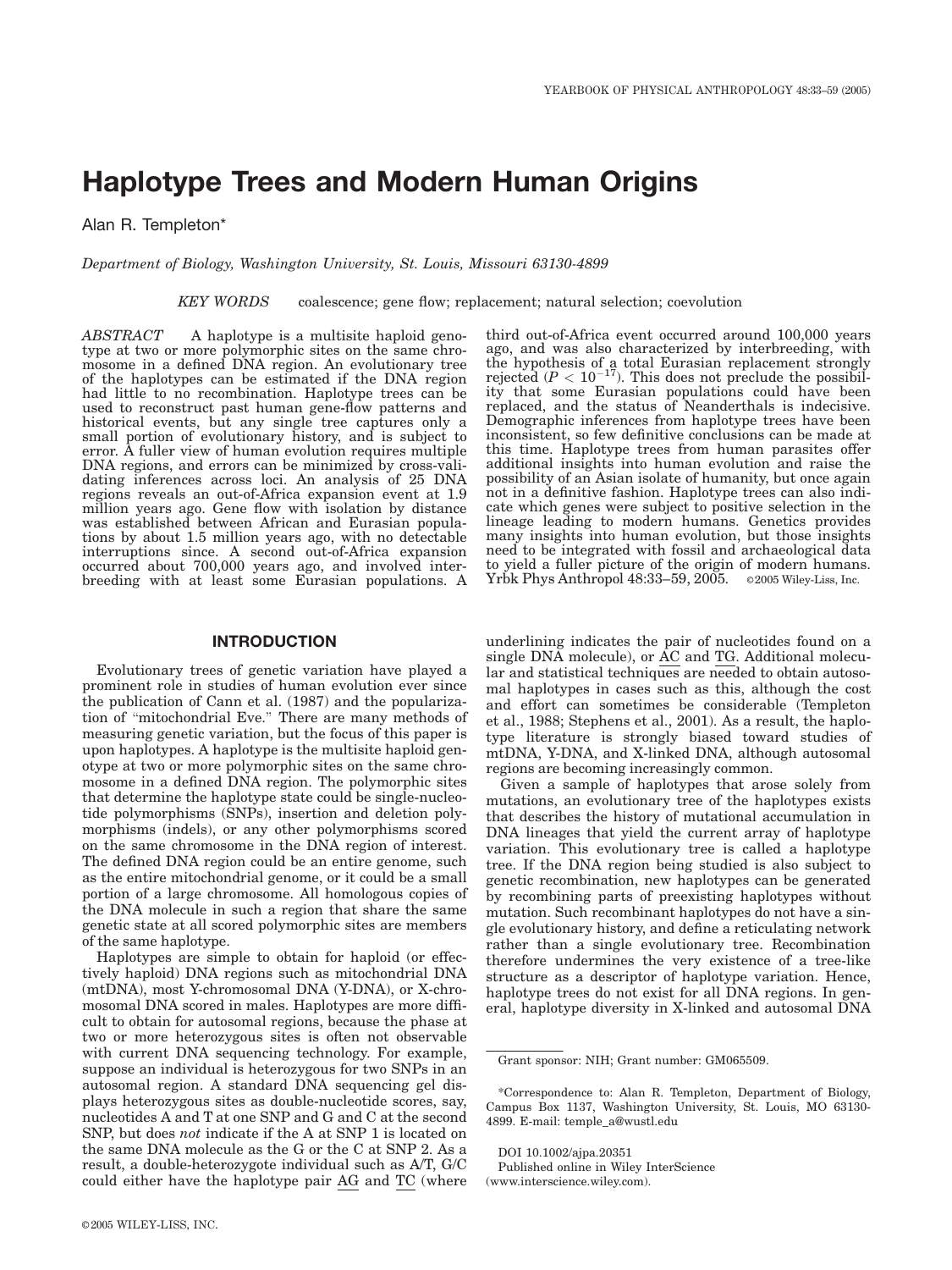# Haplotype Trees and Modern Human Origins

Alan R. Templeton\*

Department of Biology, Washington University, St. Louis, Missouri 63130-4899

KEY WORDS coalescence; gene flow; replacement; natural selection; coevolution

ABSTRACT A haplotype is a multisite haploid genotype at two or more polymorphic sites on the same chromosome in a defined DNA region. An evolutionary tree of the haplotypes can be estimated if the DNA region had little to no recombination. Haplotype trees can be used to reconstruct past human gene-flow patterns and historical events, but any single tree captures only a small portion of evolutionary history, and is subject to error. A fuller view of human evolution requires multiple DNA regions, and errors can be minimized by cross-validating inferences across loci. An analysis of 25 DNA regions reveals an out-of-Africa expansion event at 1.9 million years ago. Gene flow with isolation by distance was established between African and Eurasian populations by about 1.5 million years ago, with no detectable interruptions since. A second out-of-Africa expansion occurred about 700,000 years ago, and involved interbreeding with at least some Eurasian populations. A

#### INTRODUCTION

Evolutionary trees of genetic variation have played a prominent role in studies of human evolution ever since the publication of Cann et al. (1987) and the popularization of \mitochondrial Eve." There are many methods of measuring genetic variation, but the focus of this paper is upon haplotypes. A haplotype is the multisite haploid genotype at two or more polymorphic sites on the same chromosome in a defined DNA region. The polymorphic sites that determine the haplotype state could be single-nucleotide polymorphisms (SNPs), insertion and deletion polymorphisms (indels), or any other polymorphisms scored on the same chromosome in the DNA region of interest. The defined DNA region could be an entire genome, such as the entire mitochondrial genome, or it could be a small portion of a large chromosome. All homologous copies of the DNA molecule in such a region that share the same genetic state at all scored polymorphic sites are members of the same haplotype.

Haplotypes are simple to obtain for haploid (or effectively haploid) DNA regions such as mitochondrial DNA (mtDNA), most Y-chromosomal DNA (Y-DNA), or X-chromosomal DNA scored in males. Haplotypes are more difficult to obtain for autosomal regions, because the phase at two or more heterozygous sites is often not observable with current DNA sequencing technology. For example, suppose an individual is heterozygous for two SNPs in an autosomal region. A standard DNA sequencing gel displays heterozygous sites as double-nucleotide scores, say, nucleotides A and T at one SNP and G and C at the second SNP, but does not indicate if the A at SNP 1 is located on the same DNA molecule as the G or the C at SNP 2. As a result, a double-heterozygote individual such as A/T, G/C could either have the haplotype pair AG and TC (where third out-of-Africa event occurred around 100,000 years ago, and was also characterized by interbreeding, with the hypothesis of a total Eurasian replacement strongly rejected  $(P < 10^{-17})$ . This does not preclude the possibility that some Eurasian populations could have been replaced, and the status of Neanderthals is indecisive. Demographic inferences from haplotype trees have been inconsistent, so few definitive conclusions can be made at this time. Haplotype trees from human parasites offer additional insights into human evolution and raise the possibility of an Asian isolate of humanity, but once again not in a definitive fashion. Haplotype trees can also indicate which genes were subject to positive selection in the lineage leading to modern humans. Genetics provides many insights into human evolution, but those insights need to be integrated with fossil and archaeological data to yield a fuller picture of the origin of modern humans. Yrbk Phys Anthropol  $48:33-59$ ,  $2005.$   $\circ$  2005 Wiley-Liss, Inc.

underlining indicates the pair of nucleotides found on a single DNA molecule), or AC and TG. Additional molecular and statistical techniques are needed to obtain autosomal haplotypes in cases such as this, although the cost and effort can sometimes be considerable (Templeton et al., 1988; Stephens et al., 2001). As a result, the haplotype literature is strongly biased toward studies of mtDNA, Y-DNA, and X-linked DNA, although autosomal regions are becoming increasingly common.

Given a sample of haplotypes that arose solely from mutations, an evolutionary tree of the haplotypes exists that describes the history of mutational accumulation in DNA lineages that yield the current array of haplotype variation. This evolutionary tree is called a haplotype tree. If the DNA region being studied is also subject to genetic recombination, new haplotypes can be generated by recombining parts of preexisting haplotypes without mutation. Such recombinant haplotypes do not have a single evolutionary history, and define a reticulating network rather than a single evolutionary tree. Recombination therefore undermines the very existence of a tree-like structure as a descriptor of haplotype variation. Hence, haplotype trees do not exist for all DNA regions. In general, haplotype diversity in X-linked and autosomal DNA

Grant sponsor: NIH; Grant number: GM065509.

<sup>\*</sup>Correspondence to: Alan R. Templeton, Department of Biology, Campus Box 1137, Washington University, St. Louis, MO 63130- 4899. E-mail: temple\_a@wustl.edu

DOI 10.1002/ajpa.20351

Published online in Wiley InterScience (www.interscience.wiley.com).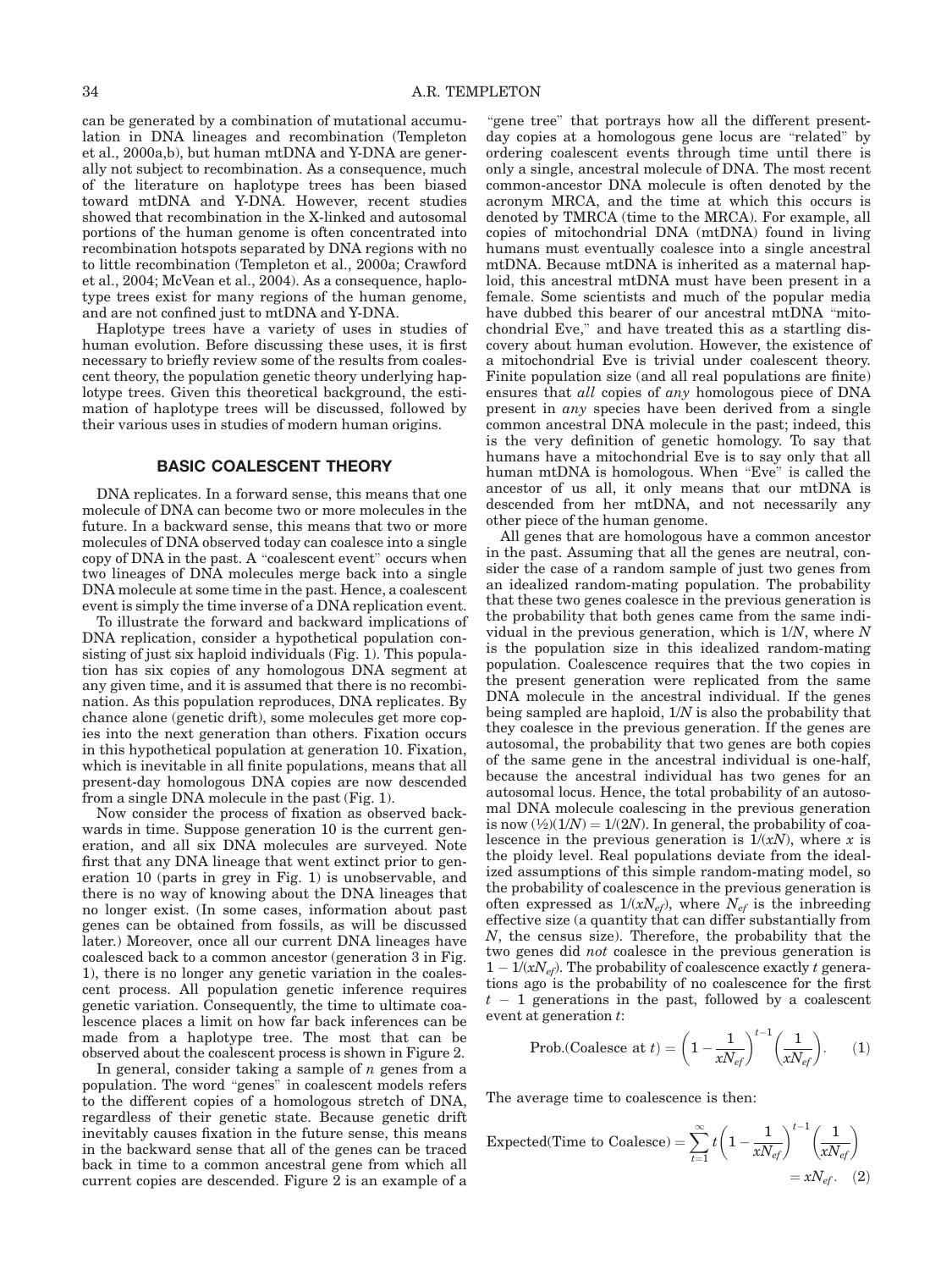can be generated by a combination of mutational accumulation in DNA lineages and recombination (Templeton et al., 2000a,b), but human mtDNA and Y-DNA are generally not subject to recombination. As a consequence, much of the literature on haplotype trees has been biased toward mtDNA and Y-DNA. However, recent studies showed that recombination in the X-linked and autosomal portions of the human genome is often concentrated into recombination hotspots separated by DNA regions with no to little recombination (Templeton et al., 2000a; Crawford et al., 2004; McVean et al., 2004). As a consequence, haplotype trees exist for many regions of the human genome, and are not confined just to mtDNA and Y-DNA.

Haplotype trees have a variety of uses in studies of human evolution. Before discussing these uses, it is first necessary to briefly review some of the results from coalescent theory, the population genetic theory underlying haplotype trees. Given this theoretical background, the estimation of haplotype trees will be discussed, followed by their various uses in studies of modern human origins.

### BASIC COALESCENT THEORY

DNA replicates. In a forward sense, this means that one molecule of DNA can become two or more molecules in the future. In a backward sense, this means that two or more molecules of DNA observed today can coalesce into a single copy of DNA in the past. A "coalescent event" occurs when two lineages of DNA molecules merge back into a single DNA molecule at some time in the past. Hence, a coalescent event is simply the time inverse of a DNA replication event.

To illustrate the forward and backward implications of DNA replication, consider a hypothetical population consisting of just six haploid individuals (Fig. 1). This population has six copies of any homologous DNA segment at any given time, and it is assumed that there is no recombination. As this population reproduces, DNA replicates. By chance alone (genetic drift), some molecules get more copies into the next generation than others. Fixation occurs in this hypothetical population at generation 10. Fixation, which is inevitable in all finite populations, means that all present-day homologous DNA copies are now descended from a single DNA molecule in the past (Fig. 1).

Now consider the process of fixation as observed backwards in time. Suppose generation 10 is the current generation, and all six DNA molecules are surveyed. Note first that any DNA lineage that went extinct prior to generation 10 (parts in grey in Fig. 1) is unobservable, and there is no way of knowing about the DNA lineages that no longer exist. (In some cases, information about past genes can be obtained from fossils, as will be discussed later.) Moreover, once all our current DNA lineages have coalesced back to a common ancestor (generation 3 in Fig. 1), there is no longer any genetic variation in the coalescent process. All population genetic inference requires genetic variation. Consequently, the time to ultimate coalescence places a limit on how far back inferences can be made from a haplotype tree. The most that can be observed about the coalescent process is shown in Figure 2.

In general, consider taking a sample of  $n$  genes from a population. The word "genes" in coalescent models refers to the different copies of a homologous stretch of DNA, regardless of their genetic state. Because genetic drift inevitably causes fixation in the future sense, this means in the backward sense that all of the genes can be traced back in time to a common ancestral gene from which all current copies are descended. Figure  $2$  is an example of a

"gene tree" that portrays how all the different presentday copies at a homologous gene locus are "related" by ordering coalescent events through time until there is only a single, ancestral molecule of DNA. The most recent common-ancestor DNA molecule is often denoted by the acronym MRCA, and the time at which this occurs is denoted by TMRCA (time to the MRCA). For example, all copies of mitochondrial DNA (mtDNA) found in living humans must eventually coalesce into a single ancestral mtDNA. Because mtDNA is inherited as a maternal haploid, this ancestral mtDNA must have been present in a female. Some scientists and much of the popular media have dubbed this bearer of our ancestral mtDNA "mitochondrial Eve," and have treated this as a startling discovery about human evolution. However, the existence of a mitochondrial Eve is trivial under coalescent theory. Finite population size (and all real populations are finite) ensures that *all* copies of *any* homologous piece of DNA present in any species have been derived from a single common ancestral DNA molecule in the past; indeed, this is the very definition of genetic homology. To say that humans have a mitochondrial Eve is to say only that all human mtDNA is homologous. When "Eve" is called the ancestor of us all, it only means that our mtDNA is descended from her mtDNA, and not necessarily any other piece of the human genome.

All genes that are homologous have a common ancestor in the past. Assuming that all the genes are neutral, consider the case of a random sample of just two genes from an idealized random-mating population. The probability that these two genes coalesce in the previous generation is the probability that both genes came from the same individual in the previous generation, which is  $1/N$ , where  $N$ is the population size in this idealized random-mating population. Coalescence requires that the two copies in the present generation were replicated from the same DNA molecule in the ancestral individual. If the genes being sampled are haploid,  $1/N$  is also the probability that they coalesce in the previous generation. If the genes are autosomal, the probability that two genes are both copies of the same gene in the ancestral individual is one-half, because the ancestral individual has two genes for an autosomal locus. Hence, the total probability of an autosomal DNA molecule coalescing in the previous generation is now  $\left(\frac{1}{2}\right)(1/N) = 1/(2N)$ . In general, the probability of coalescence in the previous generation is  $1/(xN)$ , where x is the ploidy level. Real populations deviate from the idealized assumptions of this simple random-mating model, so the probability of coalescence in the previous generation is often expressed as  $1/(xN_{ef})$ , where  $N_{ef}$  is the inbreeding effective size (a quantity that can differ substantially from N, the census size). Therefore, the probability that the two genes did not coalesce in the previous generation is  $1 - 1/(xN_{\text{ef}})$ . The probability of coalescence exactly t generations ago is the probability of no coalescence for the first  $t - 1$  generations in the past, followed by a coalescent event at generation  $t$ :

$$
\text{Prob.}(\text{Coalesce at } t) = \left(1 - \frac{1}{xN_{ef}}\right)^{t-1} \left(\frac{1}{xN_{ef}}\right). \tag{1}
$$

The average time to coalescence is then:

Expected(Time to Coalesce) = 
$$
\sum_{t=1}^{\infty} t \left(1 - \frac{1}{xN_{ef}}\right)^{t-1} \left(\frac{1}{xN_{ef}}\right)
$$

$$
= xN_{ef}.
$$
 (2)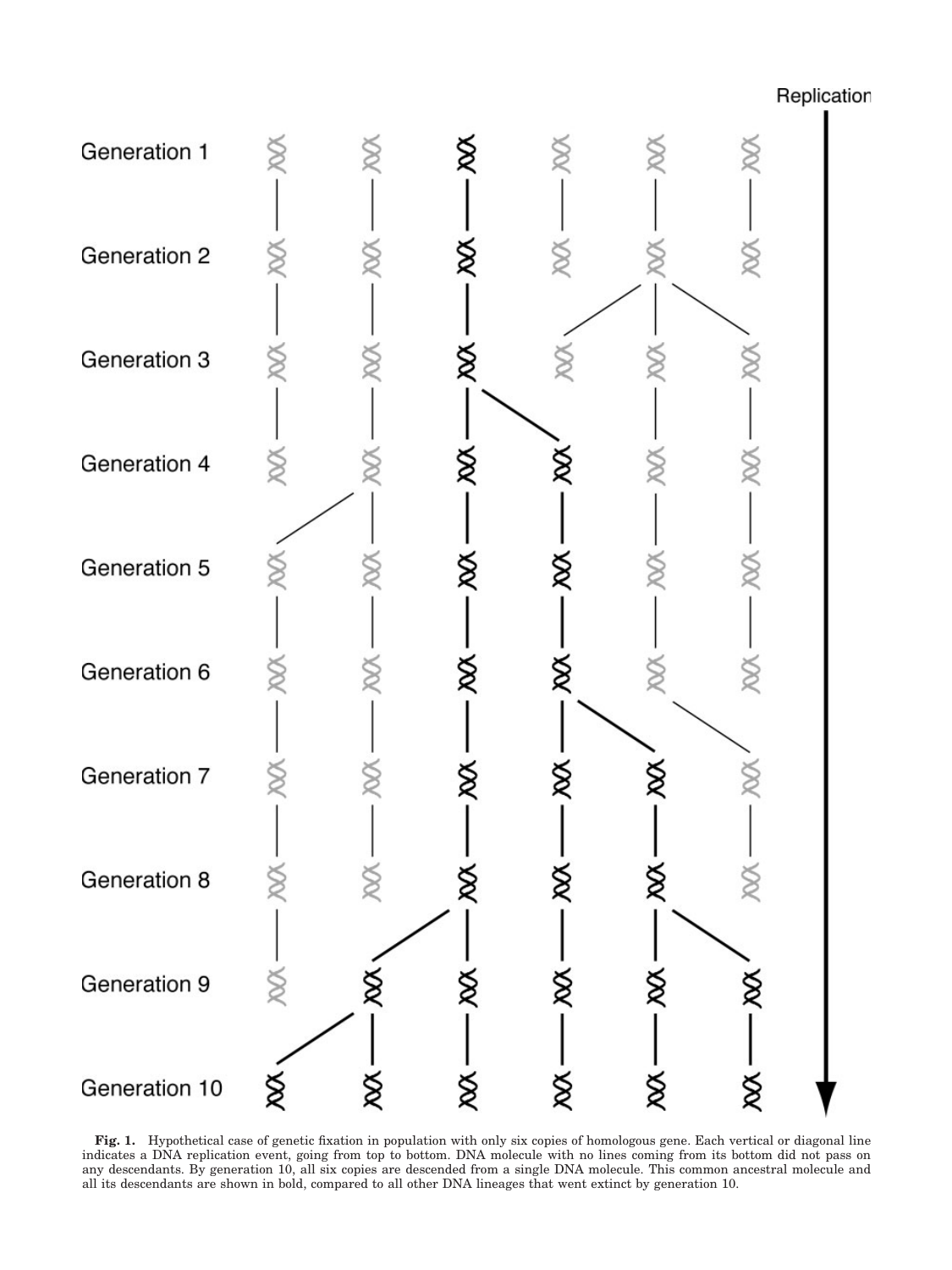

Fig. 1. Hypothetical case of genetic fixation in population with only six copies of homologous gene. Each vertical or diagonal line indicates a DNA replication event, going from top to bottom. DNA molecule with no lines coming from its bottom did not pass on any descendants. By generation 10, all six copies are descended from a single DNA molecule. This common ancestral molecule and all its descendants are shown in bold, compared to all other DNA lineages that went extinct by generation 10.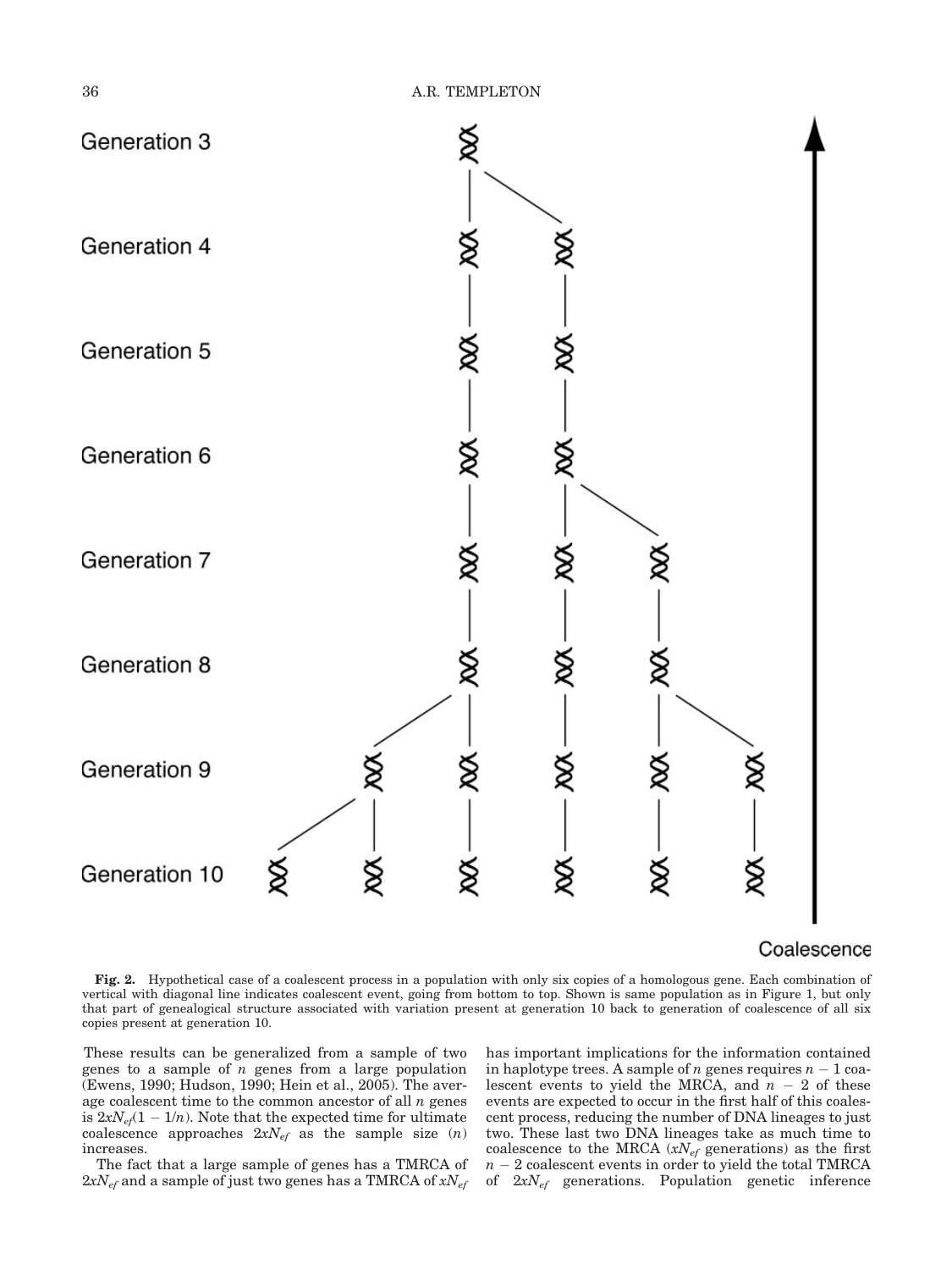

#### Coalescence

Fig. 2. Hypothetical case of a coalescent process in a population with only six copies of a homologous gene. Each combination of vertical with diagonal line indicates coalescent event, going from bottom to top. Shown is same population as in Figure 1, but only that part of genealogical structure associated with variation present at generation 10 back to generation of coalescence of all six copies present at generation 10.

These results can be generalized from a sample of two genes to a sample of  $n$  genes from a large population (Ewens, 1990; Hudson, 1990; Hein et al., 2005). The average coalescent time to the common ancestor of all  $n$  genes is  $2xN_{\text{ef}}(1 - 1/n)$ . Note that the expected time for ultimate coalescence approaches  $2xN_{ef}$  as the sample size  $(n)$ increases.

The fact that a large sample of genes has a TMRCA of  $2xN_{ef}$  and a sample of just two genes has a TMRCA of  $xN_{ef}$  has important implications for the information contained in haplotype trees. A sample of *n* genes requires  $n - 1$  coalescent events to yield the MRCA, and  $n - 2$  of these events are expected to occur in the first half of this coalescent process, reducing the number of DNA lineages to just two. These last two DNA lineages take as much time to coalescence to the MRCA  $(xN_{ef}$  generations) as the first  $n-2$  coalescent events in order to yield the total TMRCA of  $2xN_{ef}$  generations. Population genetic inference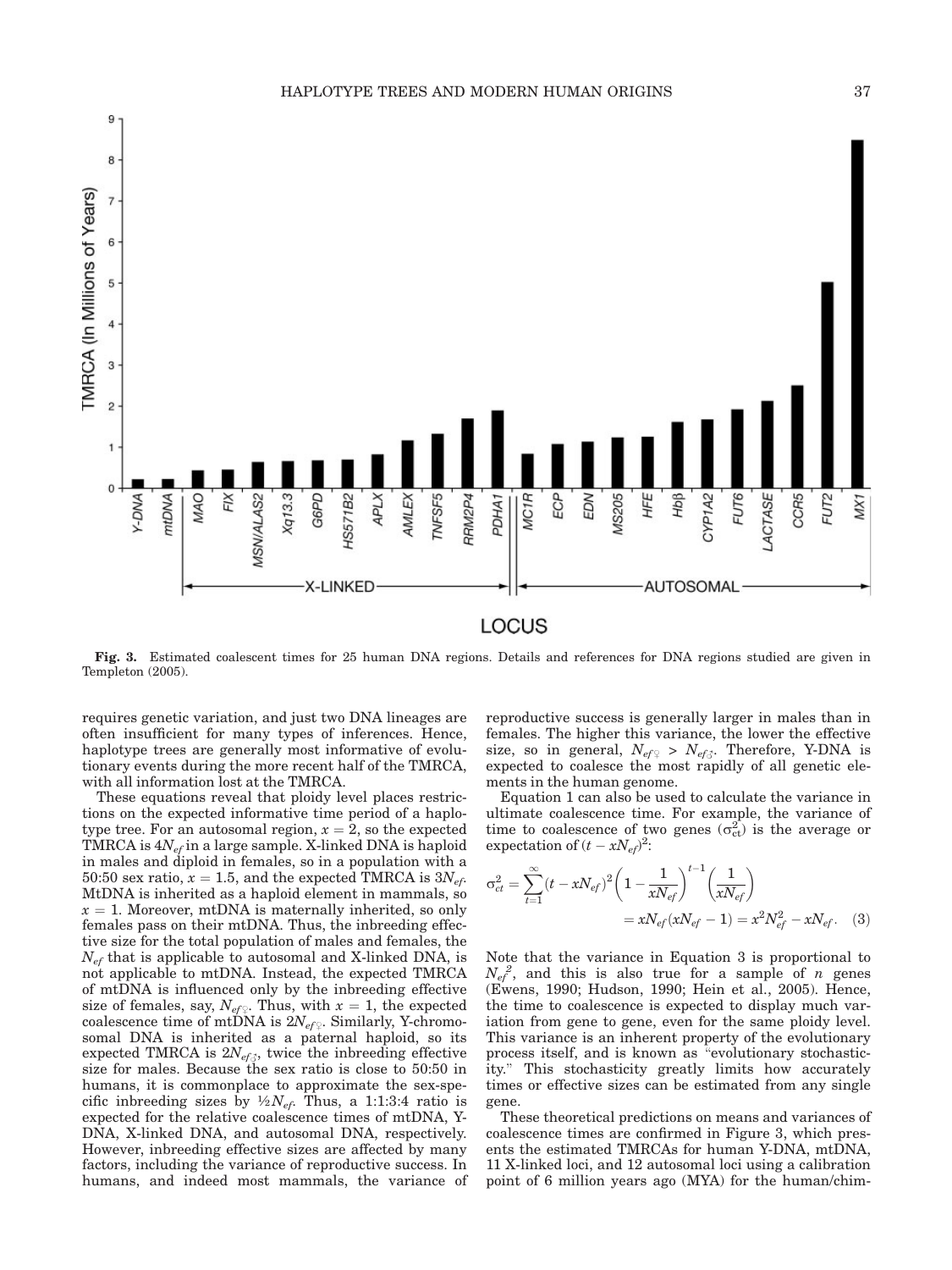

Fig. 3. Estimated coalescent times for 25 human DNA regions. Details and references for DNA regions studied are given in Templeton (2005).

requires genetic variation, and just two DNA lineages are often insufficient for many types of inferences. Hence, haplotype trees are generally most informative of evolutionary events during the more recent half of the TMRCA, with all information lost at the TMRCA.

These equations reveal that ploidy level places restrictions on the expected informative time period of a haplotype tree. For an autosomal region,  $x = 2$ , so the expected TMRCA is  $4N_{ef}$  in a large sample. X-linked DNA is haploid in males and diploid in females, so in a population with a 50:50 sex ratio,  $x = 1.5$ , and the expected TMRCA is  $3N_{\text{ef}}$ . MtDNA is inherited as a haploid element in mammals, so  $x = 1$ . Moreover, mtDNA is maternally inherited, so only females pass on their mtDNA. Thus, the inbreeding effective size for the total population of males and females, the  $N_{\text{ef}}$  that is applicable to autosomal and X-linked DNA, is not applicable to mtDNA. Instead, the expected TMRCA of mtDNA is influenced only by the inbreeding effective size of females, say,  $N_{ef}$ . Thus, with  $x = 1$ , the expected coalescence time of mtDNA is  $2N_{ef}$ . Similarly, Y-chromosomal DNA is inherited as a paternal haploid, so its expected TMRCA is  $2N_{ef\text{S}}$ , twice the inbreeding effective size for males. Because the sex ratio is close to 50:50 in humans, it is commonplace to approximate the sex-specific inbreeding sizes by  $\frac{1}{2}N_{ef}$ . Thus, a 1:1:3:4 ratio is expected for the relative coalescence times of mtDNA, Y-DNA, X-linked DNA, and autosomal DNA, respectively. However, inbreeding effective sizes are affected by many factors, including the variance of reproductive success. In humans, and indeed most mammals, the variance of reproductive success is generally larger in males than in females. The higher this variance, the lower the effective size, so in general,  $N_{ef\hat{+}} > N_{ef\hat{+}}$ . Therefore, Y-DNA is expected to coalesce the most rapidly of all genetic elements in the human genome.

Equation 1 can also be used to calculate the variance in ultimate coalescence time. For example, the variance of time to coalescence of two genes  $(\sigma_{\text{ct}}^2)$  is the average or expectation of  $(t - xN_{ef})^2$ :

$$
\sigma_{ct}^{2} = \sum_{t=1}^{\infty} (t - xN_{ef})^{2} \left(1 - \frac{1}{xN_{ef}}\right)^{t-1} \left(\frac{1}{xN_{ef}}\right)
$$
  
=  $xN_{ef}(xN_{ef} - 1) = x^{2}N_{ef}^{2} - xN_{ef}.$  (3)

Note that the variance in Equation 3 is proportional to  $N_{ef}^{2}$ , and this is also true for a sample of *n* genes (Ewens, 1990; Hudson, 1990; Hein et al., 2005). Hence, the time to coalescence is expected to display much variation from gene to gene, even for the same ploidy level. This variance is an inherent property of the evolutionary process itself, and is known as "evolutionary stochasticity." This stochasticity greatly limits how accurately times or effective sizes can be estimated from any single gene.

These theoretical predictions on means and variances of coalescence times are confirmed in Figure 3, which presents the estimated TMRCAs for human Y-DNA, mtDNA, 11 X-linked loci, and 12 autosomal loci using a calibration point of 6 million years ago (MYA) for the human/chim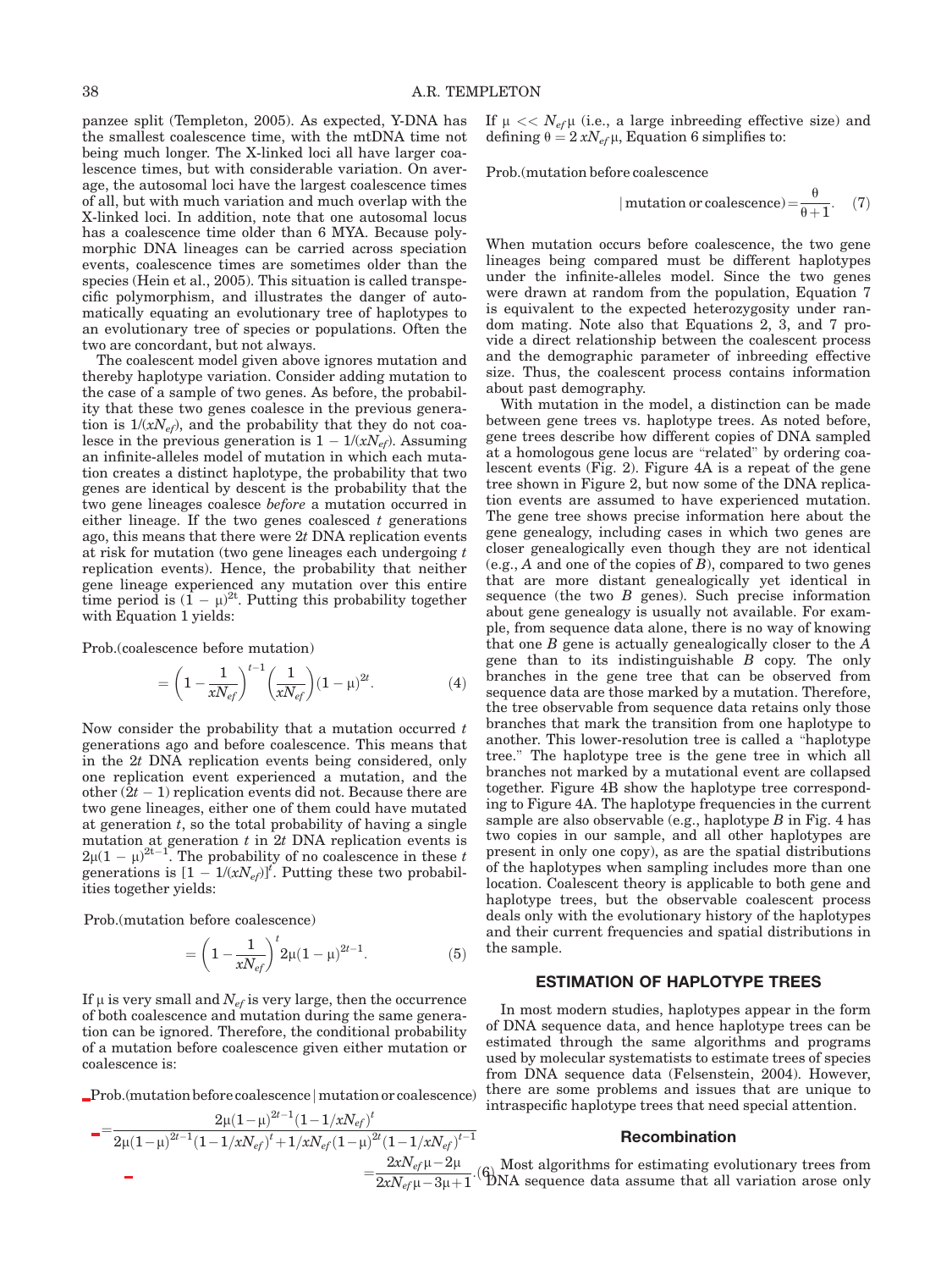panzee split (Templeton, 2005). As expected, Y-DNA has the smallest coalescence time, with the mtDNA time not being much longer. The X-linked loci all have larger coalescence times, but with considerable variation. On average, the autosomal loci have the largest coalescence times of all, but with much variation and much overlap with the X-linked loci. In addition, note that one autosomal locus has a coalescence time older than 6 MYA. Because polymorphic DNA lineages can be carried across speciation events, coalescence times are sometimes older than the species (Hein et al., 2005). This situation is called transpecific polymorphism, and illustrates the danger of automatically equating an evolutionary tree of haplotypes to an evolutionary tree of species or populations. Often the two are concordant, but not always.

The coalescent model given above ignores mutation and thereby haplotype variation. Consider adding mutation to the case of a sample of two genes. As before, the probability that these two genes coalesce in the previous generation is  $1/(xN_{\text{ef}})$ , and the probability that they do not coalesce in the previous generation is  $1 - 1/(xN_{ef})$ . Assuming an infinite-alleles model of mutation in which each mutation creates a distinct haplotype, the probability that two genes are identical by descent is the probability that the two gene lineages coalesce before a mutation occurred in either lineage. If the two genes coalesced  $t$  generations ago, this means that there were 2t DNA replication events at risk for mutation (two gene lineages each undergoing  $t$ replication events). Hence, the probability that neither gene lineage experienced any mutation over this entire time period is  $(1 - \mu)^{2t}$ . Putting this probability together with Equation 1 yields:

Prob.(coalescence before mutation)

$$
= \left(1 - \frac{1}{xN_{ef}}\right)^{t-1} \left(\frac{1}{xN_{ef}}\right) (1 - \mu)^{2t}.
$$
 (4)

Now consider the probability that a mutation occurred  $t$ generations ago and before coalescence. This means that in the 2t DNA replication events being considered, only one replication event experienced a mutation, and the other  $(2t - 1)$  replication events did not. Because there are two gene lineages, either one of them could have mutated at generation  $t$ , so the total probability of having a single mutation at generation  $t$  in  $2t$  DNA replication events is  $2\mu(1-\mu)^{2t-1}$ . The probability of no coalescence in these t generations is  $[1 - 1/(xN_{ef})]^{t'}$ . Putting these two probabilities together yields:

Prob.(mutation before coalescence)

$$
= \left(1 - \frac{1}{xN_{ef}}\right)^{t} 2\mu(1 - \mu)^{2t - 1}.
$$
 (5)

If  $\mu$  is very small and  $N_{ef}$  is very large, then the occurrence of both coalescence and mutation during the same generation can be ignored. Therefore, the conditional probability of a mutation before coalescence given either mutation or coalescence is:

Prob.(mutation before coalescence jmutation or coalescence)  $0 + 1$ 

$$
= \frac{2\mu(1-\mu)^{2t-1}(1-1/xN_{ef})^t}{2\mu(1-\mu)^{2t-1}(1-1/xN_{ef})^t+1/xN_{ef}(1-\mu)^{2t}(1-1/xN_{ef})^{t-1}}\\ = \frac{2xN_{ef}\mu-2\mu}{2xN_{ef}\mu-3\mu+1}.
$$

If  $\mu \ll N_{ef}\mu$  (i.e., a large inbreeding effective size) and defining  $\theta = 2 xN_{\text{eff}}\mu$ , Equation 6 simplifies to:

Prob.(mutation before coalescence

$$
| \text{mutation or coalescence}) = \frac{\theta}{\theta + 1}. \quad (7)
$$

When mutation occurs before coalescence, the two gene lineages being compared must be different haplotypes under the infinite-alleles model. Since the two genes were drawn at random from the population, Equation 7 is equivalent to the expected heterozygosity under random mating. Note also that Equations 2, 3, and 7 provide a direct relationship between the coalescent process and the demographic parameter of inbreeding effective size. Thus, the coalescent process contains information about past demography.

With mutation in the model, a distinction can be made between gene trees vs. haplotype trees. As noted before, gene trees describe how different copies of DNA sampled at a homologous gene locus are \related" by ordering coalescent events (Fig. 2). Figure 4A is a repeat of the gene tree shown in Figure 2, but now some of the DNA replication events are assumed to have experienced mutation. The gene tree shows precise information here about the gene genealogy, including cases in which two genes are closer genealogically even though they are not identical (e.g.,  $\overline{A}$  and one of the copies of  $\overline{B}$ ), compared to two genes that are more distant genealogically yet identical in sequence (the two  $B$  genes). Such precise information about gene genealogy is usually not available. For example, from sequence data alone, there is no way of knowing that one  $B$  gene is actually genealogically closer to the  $A$ gene than to its indistinguishable  $B$  copy. The only branches in the gene tree that can be observed from sequence data are those marked by a mutation. Therefore, the tree observable from sequence data retains only those branches that mark the transition from one haplotype to another. This lower-resolution tree is called a "haplotype tree." The haplotype tree is the gene tree in which all branches not marked by a mutational event are collapsed together. Figure 4B show the haplotype tree corresponding to Figure 4A. The haplotype frequencies in the current sample are also observable (e.g., haplotype B in Fig. 4 has two copies in our sample, and all other haplotypes are present in only one copy), as are the spatial distributions of the haplotypes when sampling includes more than one location. Coalescent theory is applicable to both gene and haplotype trees, but the observable coalescent process deals only with the evolutionary history of the haplotypes and their current frequencies and spatial distributions in the sample.

#### ESTIMATION OF HAPLOTYPE TREES

In most modern studies, haplotypes appear in the form of DNA sequence data, and hence haplotype trees can be estimated through the same algorithms and programs used by molecular systematists to estimate trees of species from DNA sequence data (Felsenstein, 2004). However, there are some problems and issues that are unique to intraspecific haplotype trees that need special attention.

#### Recombination

:ð6Þ DNA sequence data assume that all variation arose only Most algorithms for estimating evolutionary trees from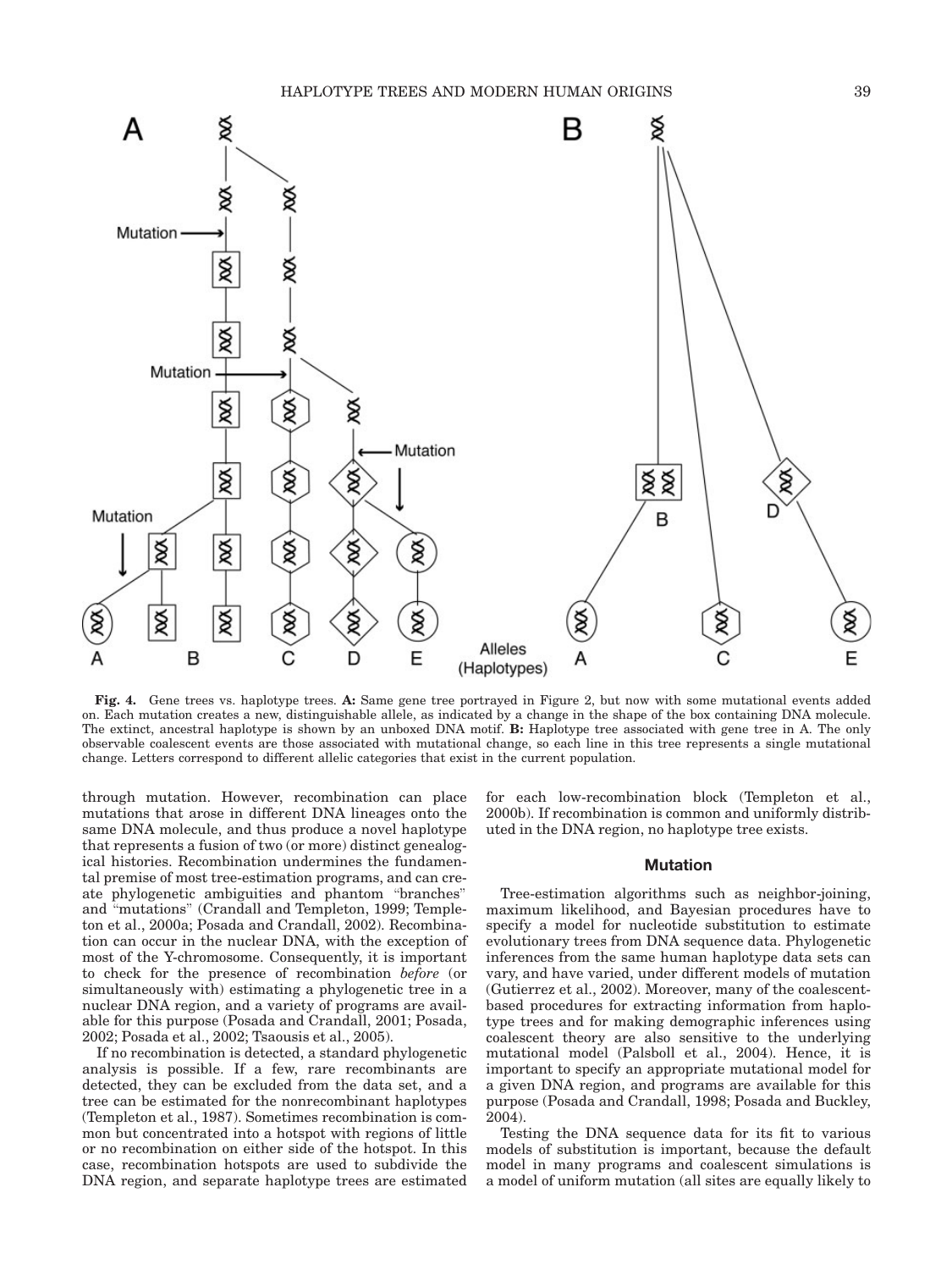

Fig. 4. Gene trees vs. haplotype trees. A: Same gene tree portrayed in Figure 2, but now with some mutational events added on. Each mutation creates a new, distinguishable allele, as indicated by a change in the shape of the box containing DNA molecule. The extinct, ancestral haplotype is shown by an unboxed DNA motif. B: Haplotype tree associated with gene tree in A. The only observable coalescent events are those associated with mutational change, so each line in this tree represents a single mutational change. Letters correspond to different allelic categories that exist in the current population.

through mutation. However, recombination can place mutations that arose in different DNA lineages onto the same DNA molecule, and thus produce a novel haplotype that represents a fusion of two (or more) distinct genealogical histories. Recombination undermines the fundamental premise of most tree-estimation programs, and can create phylogenetic ambiguities and phantom "branches" and "mutations" (Crandall and Templeton, 1999; Templeton et al., 2000a; Posada and Crandall, 2002). Recombination can occur in the nuclear DNA, with the exception of most of the Y-chromosome. Consequently, it is important to check for the presence of recombination before (or simultaneously with) estimating a phylogenetic tree in a nuclear DNA region, and a variety of programs are available for this purpose (Posada and Crandall, 2001; Posada, 2002; Posada et al., 2002; Tsaousis et al., 2005).

If no recombination is detected, a standard phylogenetic analysis is possible. If a few, rare recombinants are detected, they can be excluded from the data set, and a tree can be estimated for the nonrecombinant haplotypes (Templeton et al., 1987). Sometimes recombination is common but concentrated into a hotspot with regions of little or no recombination on either side of the hotspot. In this case, recombination hotspots are used to subdivide the DNA region, and separate haplotype trees are estimated

for each low-recombination block (Templeton et al., 2000b). If recombination is common and uniformly distributed in the DNA region, no haplotype tree exists.

#### Mutation

Tree-estimation algorithms such as neighbor-joining, maximum likelihood, and Bayesian procedures have to specify a model for nucleotide substitution to estimate evolutionary trees from DNA sequence data. Phylogenetic inferences from the same human haplotype data sets can vary, and have varied, under different models of mutation (Gutierrez et al., 2002). Moreover, many of the coalescentbased procedures for extracting information from haplotype trees and for making demographic inferences using coalescent theory are also sensitive to the underlying mutational model (Palsboll et al., 2004). Hence, it is important to specify an appropriate mutational model for a given DNA region, and programs are available for this purpose (Posada and Crandall, 1998; Posada and Buckley, 2004).

Testing the DNA sequence data for its fit to various models of substitution is important, because the default model in many programs and coalescent simulations is a model of uniform mutation (all sites are equally likely to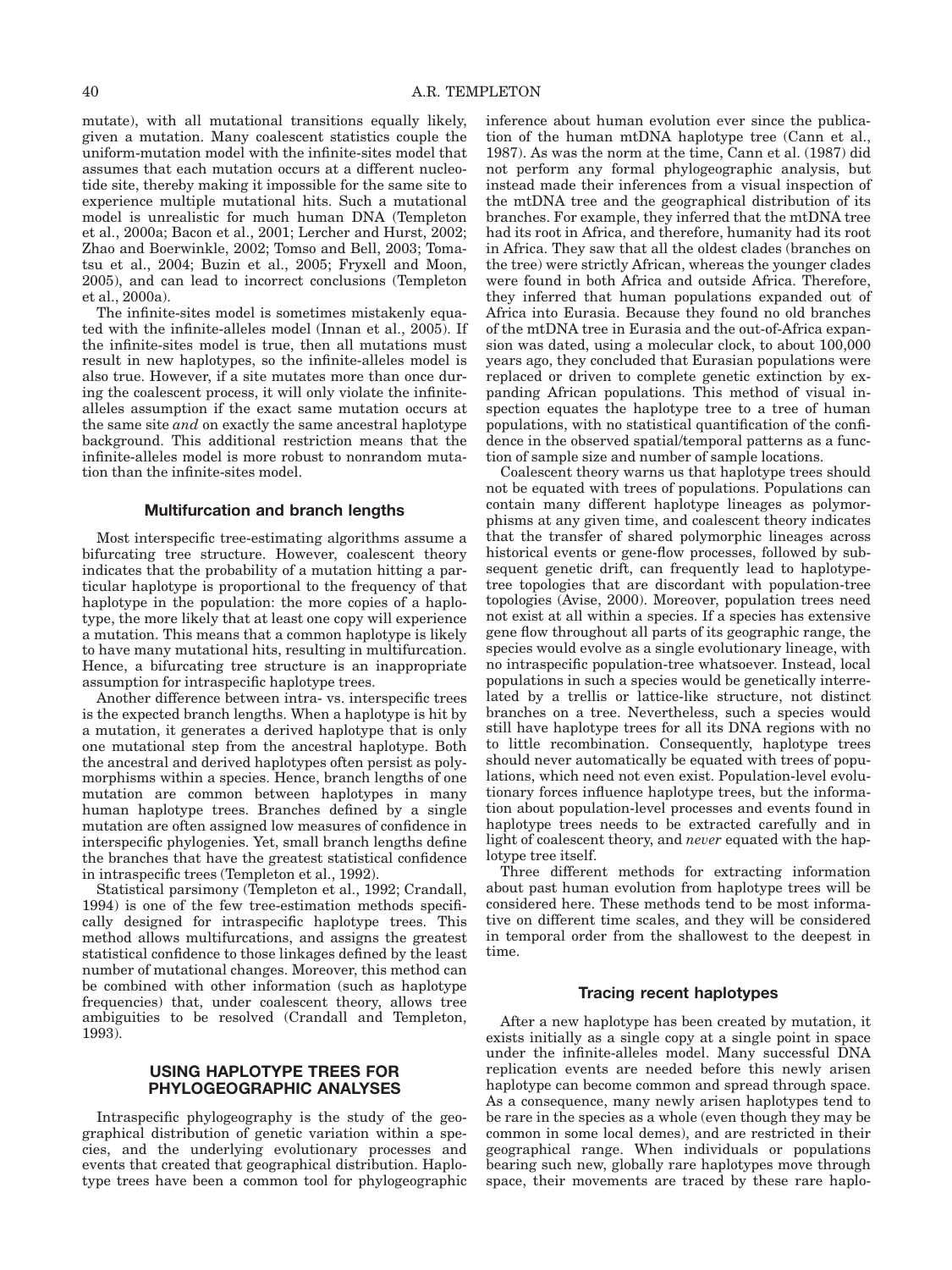mutate), with all mutational transitions equally likely, given a mutation. Many coalescent statistics couple the uniform-mutation model with the infinite-sites model that assumes that each mutation occurs at a different nucleotide site, thereby making it impossible for the same site to experience multiple mutational hits. Such a mutational model is unrealistic for much human DNA (Templeton et al., 2000a; Bacon et al., 2001; Lercher and Hurst, 2002; Zhao and Boerwinkle, 2002; Tomso and Bell, 2003; Tomatsu et al., 2004; Buzin et al., 2005; Fryxell and Moon, 2005), and can lead to incorrect conclusions (Templeton et al., 2000a).

The infinite-sites model is sometimes mistakenly equated with the infinite-alleles model (Innan et al., 2005). If the infinite-sites model is true, then all mutations must result in new haplotypes, so the infinite-alleles model is also true. However, if a site mutates more than once during the coalescent process, it will only violate the infinitealleles assumption if the exact same mutation occurs at the same site  $and$  on exactly the same ancestral haplotype background. This additional restriction means that the infinite-alleles model is more robust to nonrandom mutation than the infinite-sites model.

#### Multifurcation and branch lengths

Most interspecific tree-estimating algorithms assume a bifurcating tree structure. However, coalescent theory indicates that the probability of a mutation hitting a particular haplotype is proportional to the frequency of that haplotype in the population: the more copies of a haplotype, the more likely that at least one copy will experience a mutation. This means that a common haplotype is likely to have many mutational hits, resulting in multifurcation. Hence, a bifurcating tree structure is an inappropriate assumption for intraspecific haplotype trees.

Another difference between intra- vs. interspecific trees is the expected branch lengths. When a haplotype is hit by a mutation, it generates a derived haplotype that is only one mutational step from the ancestral haplotype. Both the ancestral and derived haplotypes often persist as polymorphisms within a species. Hence, branch lengths of one mutation are common between haplotypes in many human haplotype trees. Branches defined by a single mutation are often assigned low measures of confidence in interspecific phylogenies. Yet, small branch lengths define the branches that have the greatest statistical confidence in intraspecific trees (Templeton et al., 1992).

Statistical parsimony (Templeton et al., 1992; Crandall, 1994) is one of the few tree-estimation methods specifically designed for intraspecific haplotype trees. This method allows multifurcations, and assigns the greatest statistical confidence to those linkages defined by the least number of mutational changes. Moreover, this method can be combined with other information (such as haplotype frequencies) that, under coalescent theory, allows tree ambiguities to be resolved (Crandall and Templeton, 1993).

#### USING HAPLOTYPE TREES FOR PHYLOGEOGRAPHIC ANALYSES

Intraspecific phylogeography is the study of the geographical distribution of genetic variation within a species, and the underlying evolutionary processes and events that created that geographical distribution. Haplotype trees have been a common tool for phylogeographic inference about human evolution ever since the publication of the human mtDNA haplotype tree (Cann et al., 1987). As was the norm at the time, Cann et al. (1987) did not perform any formal phylogeographic analysis, but instead made their inferences from a visual inspection of the mtDNA tree and the geographical distribution of its branches. For example, they inferred that the mtDNA tree had its root in Africa, and therefore, humanity had its root in Africa. They saw that all the oldest clades (branches on the tree) were strictly African, whereas the younger clades were found in both Africa and outside Africa. Therefore, they inferred that human populations expanded out of Africa into Eurasia. Because they found no old branches of the mtDNA tree in Eurasia and the out-of-Africa expansion was dated, using a molecular clock, to about 100,000 years ago, they concluded that Eurasian populations were replaced or driven to complete genetic extinction by expanding African populations. This method of visual inspection equates the haplotype tree to a tree of human populations, with no statistical quantification of the confidence in the observed spatial/temporal patterns as a function of sample size and number of sample locations.

Coalescent theory warns us that haplotype trees should not be equated with trees of populations. Populations can contain many different haplotype lineages as polymorphisms at any given time, and coalescent theory indicates that the transfer of shared polymorphic lineages across historical events or gene-flow processes, followed by subsequent genetic drift, can frequently lead to haplotypetree topologies that are discordant with population-tree topologies (Avise, 2000). Moreover, population trees need not exist at all within a species. If a species has extensive gene flow throughout all parts of its geographic range, the species would evolve as a single evolutionary lineage, with no intraspecific population-tree whatsoever. Instead, local populations in such a species would be genetically interrelated by a trellis or lattice-like structure, not distinct branches on a tree. Nevertheless, such a species would still have haplotype trees for all its DNA regions with no to little recombination. Consequently, haplotype trees should never automatically be equated with trees of populations, which need not even exist. Population-level evolutionary forces influence haplotype trees, but the information about population-level processes and events found in haplotype trees needs to be extracted carefully and in light of coalescent theory, and *never* equated with the haplotype tree itself.

Three different methods for extracting information about past human evolution from haplotype trees will be considered here. These methods tend to be most informative on different time scales, and they will be considered in temporal order from the shallowest to the deepest in time.

#### Tracing recent haplotypes

After a new haplotype has been created by mutation, it exists initially as a single copy at a single point in space under the infinite-alleles model. Many successful DNA replication events are needed before this newly arisen haplotype can become common and spread through space. As a consequence, many newly arisen haplotypes tend to be rare in the species as a whole (even though they may be common in some local demes), and are restricted in their geographical range. When individuals or populations bearing such new, globally rare haplotypes move through space, their movements are traced by these rare haplo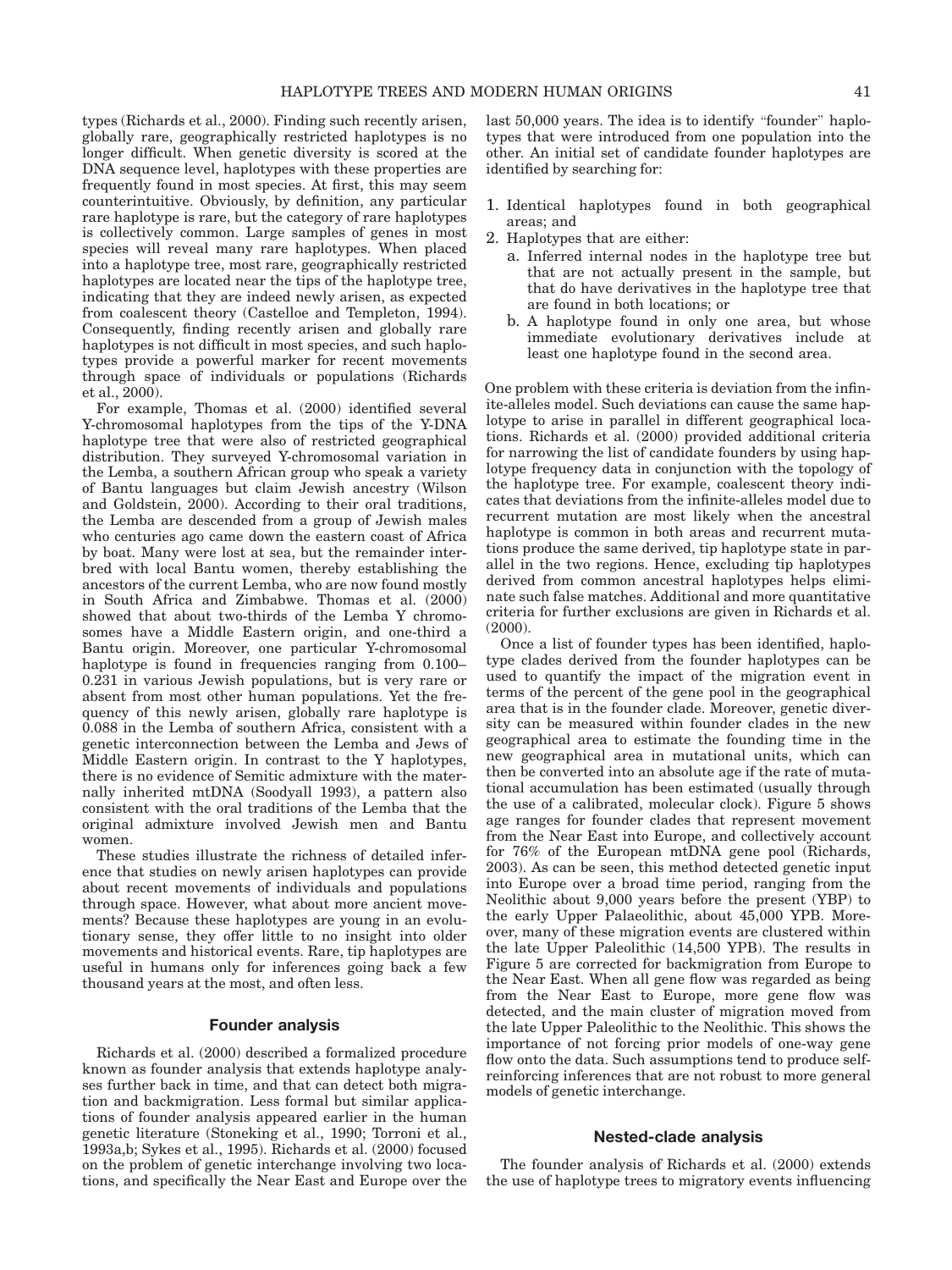types (Richards et al., 2000). Finding such recently arisen, globally rare, geographically restricted haplotypes is no longer difficult. When genetic diversity is scored at the DNA sequence level, haplotypes with these properties are frequently found in most species. At first, this may seem counterintuitive. Obviously, by definition, any particular rare haplotype is rare, but the category of rare haplotypes is collectively common. Large samples of genes in most species will reveal many rare haplotypes. When placed into a haplotype tree, most rare, geographically restricted haplotypes are located near the tips of the haplotype tree, indicating that they are indeed newly arisen, as expected from coalescent theory (Castelloe and Templeton, 1994). Consequently, finding recently arisen and globally rare haplotypes is not difficult in most species, and such haplotypes provide a powerful marker for recent movements through space of individuals or populations (Richards et al., 2000).

For example, Thomas et al. (2000) identified several Y-chromosomal haplotypes from the tips of the Y-DNA haplotype tree that were also of restricted geographical distribution. They surveyed Y-chromosomal variation in the Lemba, a southern African group who speak a variety of Bantu languages but claim Jewish ancestry (Wilson and Goldstein, 2000). According to their oral traditions, the Lemba are descended from a group of Jewish males who centuries ago came down the eastern coast of Africa by boat. Many were lost at sea, but the remainder interbred with local Bantu women, thereby establishing the ancestors of the current Lemba, who are now found mostly in South Africa and Zimbabwe. Thomas et al. (2000) showed that about two-thirds of the Lemba Y chromosomes have a Middle Eastern origin, and one-third a Bantu origin. Moreover, one particular Y-chromosomal haplotype is found in frequencies ranging from 0.100– 0.231 in various Jewish populations, but is very rare or absent from most other human populations. Yet the frequency of this newly arisen, globally rare haplotype is 0.088 in the Lemba of southern Africa, consistent with a genetic interconnection between the Lemba and Jews of Middle Eastern origin. In contrast to the Y haplotypes, there is no evidence of Semitic admixture with the maternally inherited mtDNA (Soodyall 1993), a pattern also consistent with the oral traditions of the Lemba that the original admixture involved Jewish men and Bantu women.

These studies illustrate the richness of detailed inference that studies on newly arisen haplotypes can provide about recent movements of individuals and populations through space. However, what about more ancient movements? Because these haplotypes are young in an evolutionary sense, they offer little to no insight into older movements and historical events. Rare, tip haplotypes are useful in humans only for inferences going back a few thousand years at the most, and often less.

#### Founder analysis

Richards et al. (2000) described a formalized procedure known as founder analysis that extends haplotype analyses further back in time, and that can detect both migration and backmigration. Less formal but similar applications of founder analysis appeared earlier in the human genetic literature (Stoneking et al., 1990; Torroni et al., 1993a,b; Sykes et al., 1995). Richards et al. (2000) focused on the problem of genetic interchange involving two locations, and specifically the Near East and Europe over the last 50,000 years. The idea is to identify "founder" haplotypes that were introduced from one population into the other. An initial set of candidate founder haplotypes are identified by searching for:

- 1. Identical haplotypes found in both geographical areas; and
- 2. Haplotypes that are either:
	- a. Inferred internal nodes in the haplotype tree but that are not actually present in the sample, but that do have derivatives in the haplotype tree that are found in both locations; or
	- b. A haplotype found in only one area, but whose immediate evolutionary derivatives include at least one haplotype found in the second area.

One problem with these criteria is deviation from the infinite-alleles model. Such deviations can cause the same haplotype to arise in parallel in different geographical locations. Richards et al. (2000) provided additional criteria for narrowing the list of candidate founders by using haplotype frequency data in conjunction with the topology of the haplotype tree. For example, coalescent theory indicates that deviations from the infinite-alleles model due to recurrent mutation are most likely when the ancestral haplotype is common in both areas and recurrent mutations produce the same derived, tip haplotype state in parallel in the two regions. Hence, excluding tip haplotypes derived from common ancestral haplotypes helps eliminate such false matches. Additional and more quantitative criteria for further exclusions are given in Richards et al. (2000).

Once a list of founder types has been identified, haplotype clades derived from the founder haplotypes can be used to quantify the impact of the migration event in terms of the percent of the gene pool in the geographical area that is in the founder clade. Moreover, genetic diversity can be measured within founder clades in the new geographical area to estimate the founding time in the new geographical area in mutational units, which can then be converted into an absolute age if the rate of mutational accumulation has been estimated (usually through the use of a calibrated, molecular clock). Figure 5 shows age ranges for founder clades that represent movement from the Near East into Europe, and collectively account for 76% of the European mtDNA gene pool (Richards, 2003). As can be seen, this method detected genetic input into Europe over a broad time period, ranging from the Neolithic about 9,000 years before the present (YBP) to the early Upper Palaeolithic, about 45,000 YPB. Moreover, many of these migration events are clustered within the late Upper Paleolithic (14,500 YPB). The results in Figure 5 are corrected for backmigration from Europe to the Near East. When all gene flow was regarded as being from the Near East to Europe, more gene flow was detected, and the main cluster of migration moved from the late Upper Paleolithic to the Neolithic. This shows the importance of not forcing prior models of one-way gene flow onto the data. Such assumptions tend to produce selfreinforcing inferences that are not robust to more general models of genetic interchange.

#### Nested-clade analysis

The founder analysis of Richards et al. (2000) extends the use of haplotype trees to migratory events influencing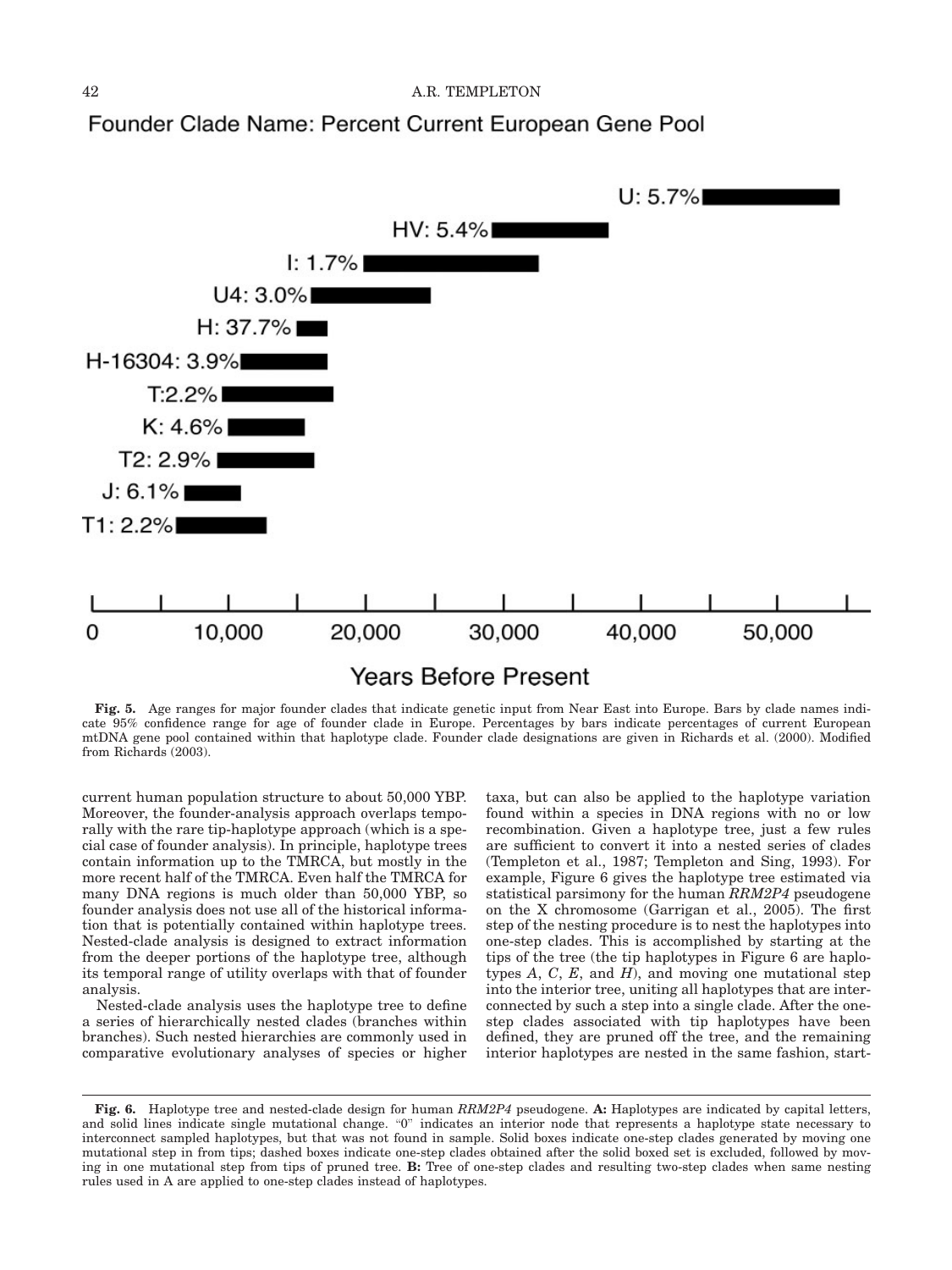



Fig. 5. Age ranges for major founder clades that indicate genetic input from Near East into Europe. Bars by clade names indicate 95% confidence range for age of founder clade in Europe. Percentages by bars indicate percentages of current European mtDNA gene pool contained within that haplotype clade. Founder clade designations are given in Richards et al. (2000). Modified from Richards (2003).

current human population structure to about 50,000 YBP. Moreover, the founder-analysis approach overlaps temporally with the rare tip-haplotype approach (which is a special case of founder analysis). In principle, haplotype trees contain information up to the TMRCA, but mostly in the more recent half of the TMRCA. Even half the TMRCA for many DNA regions is much older than 50,000 YBP, so founder analysis does not use all of the historical information that is potentially contained within haplotype trees. Nested-clade analysis is designed to extract information from the deeper portions of the haplotype tree, although its temporal range of utility overlaps with that of founder analysis.

Nested-clade analysis uses the haplotype tree to define a series of hierarchically nested clades (branches within branches). Such nested hierarchies are commonly used in comparative evolutionary analyses of species or higher taxa, but can also be applied to the haplotype variation found within a species in DNA regions with no or low recombination. Given a haplotype tree, just a few rules are sufficient to convert it into a nested series of clades (Templeton et al., 1987; Templeton and Sing, 1993). For example, Figure 6 gives the haplotype tree estimated via statistical parsimony for the human RRM2P4 pseudogene on the X chromosome (Garrigan et al., 2005). The first step of the nesting procedure is to nest the haplotypes into one-step clades. This is accomplished by starting at the tips of the tree (the tip haplotypes in Figure 6 are haplotypes  $A, C, E$ , and  $H$ ), and moving one mutational step into the interior tree, uniting all haplotypes that are interconnected by such a step into a single clade. After the onestep clades associated with tip haplotypes have been defined, they are pruned off the tree, and the remaining interior haplotypes are nested in the same fashion, start-

**Fig. 6.** Haplotype tree and nested-clade design for human  $RRM2P4$  pseudogene. A: Haplotypes are indicated by capital letters, and solid lines indicate single mutational change. "0" indicates an interior node that represe interconnect sampled haplotypes, but that was not found in sample. Solid boxes indicate one-step clades generated by moving one mutational step in from tips; dashed boxes indicate one-step clades obtained after the solid boxed set is excluded, followed by moving in one mutational step from tips of pruned tree. B: Tree of one-step clades and resulting two-step clades when same nesting rules used in A are applied to one-step clades instead of haplotypes.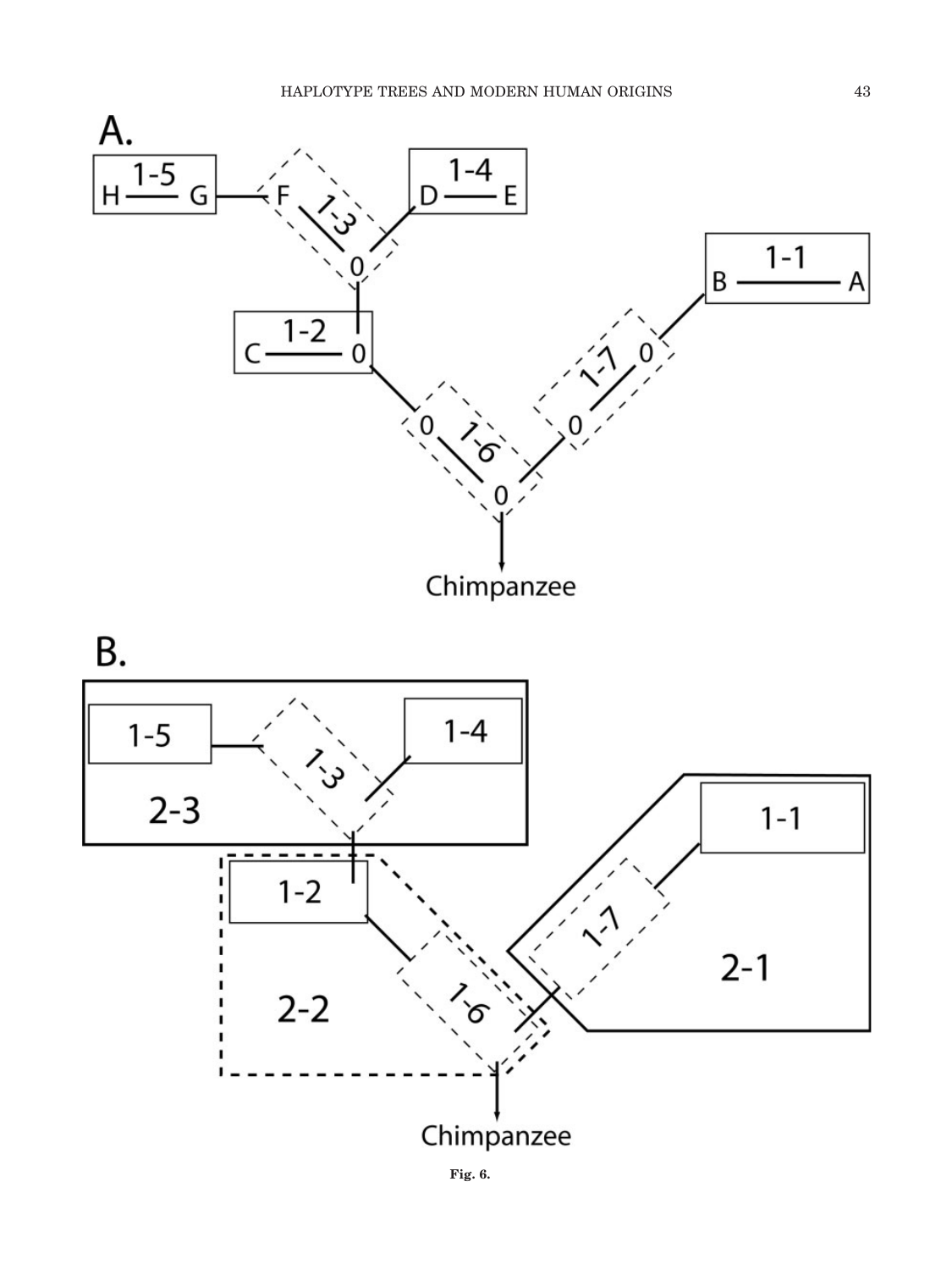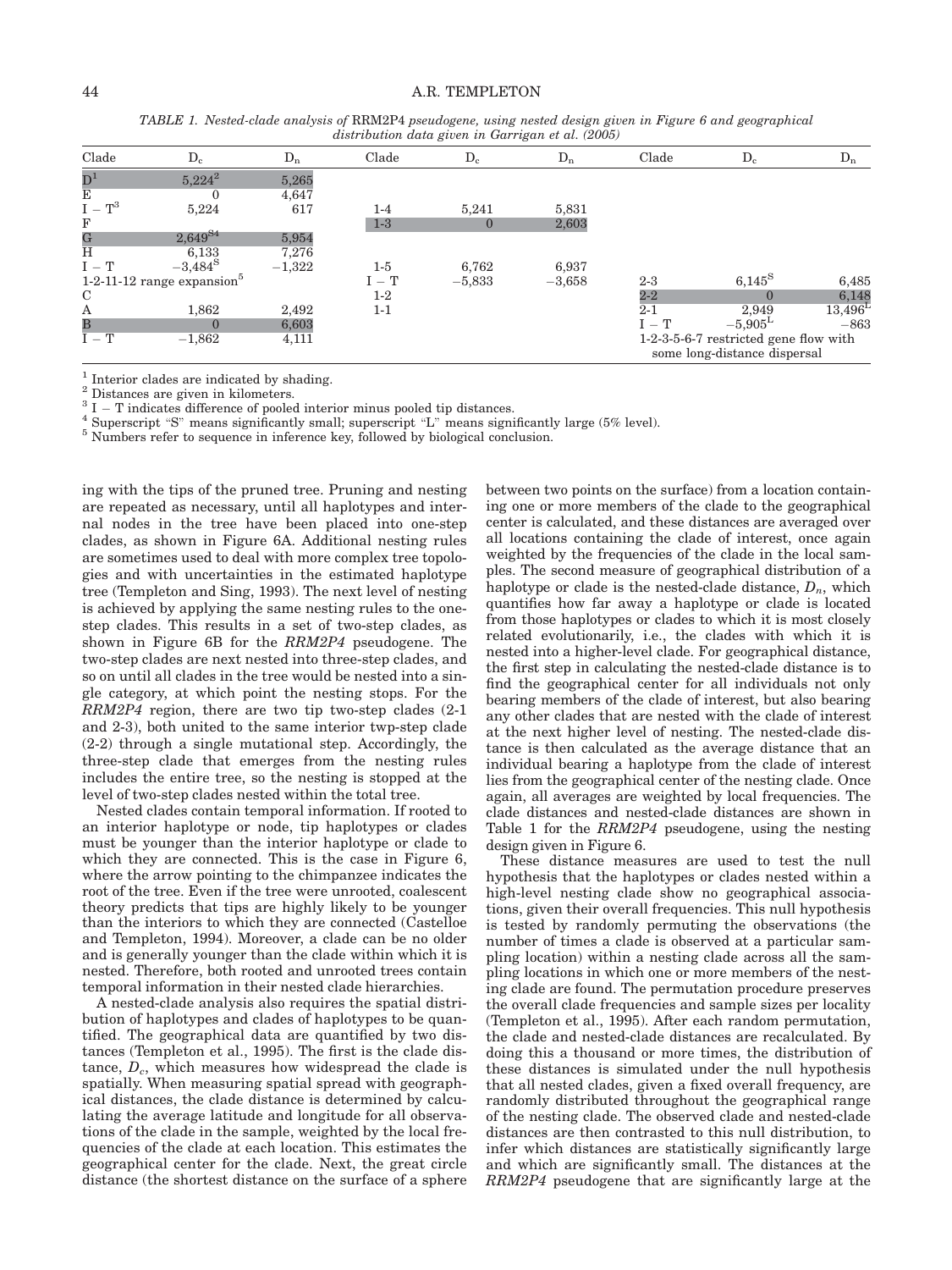| about to about a about $\mu$ of the case of the contract (2000) |                  |          |           |          |          |         |                                       |            |  |
|-----------------------------------------------------------------|------------------|----------|-----------|----------|----------|---------|---------------------------------------|------------|--|
| Clade                                                           | $D_{c}$          | $D_n$    | Clade     | $D_{c}$  | $D_n$    | Clade   | $D_{c}$                               | $D_n$      |  |
| $\mathrm{D}^1$                                                  | $5,224^2$        | 5,265    |           |          |          |         |                                       |            |  |
| $\overline{E}$                                                  |                  | 4,647    |           |          |          |         |                                       |            |  |
| $I-T^3$                                                         | 5,224            | 617      | $1-4$     | 5,241    | 5,831    |         |                                       |            |  |
| F                                                               |                  |          | $1-3$     | $\Omega$ | 2,603    |         |                                       |            |  |
| $\mathbf G$                                                     | $2,649^{S4}$     | 5,954    |           |          |          |         |                                       |            |  |
| $_{\rm H}$                                                      | 6,133            | 7,276    |           |          |          |         |                                       |            |  |
| $I - T$                                                         | $-3,484^{\rm S}$ | $-1,322$ | $1-5$     | 6,762    | 6,937    |         |                                       |            |  |
| 1-2-11-12 range expansion $5$                                   |                  |          | $\rm I-T$ | $-5,833$ | $-3,658$ | $2 - 3$ | $6,145^{\text{S}}$                    | 6,485      |  |
| C                                                               |                  |          | $1-2$     |          |          | $2 - 2$ |                                       | 6,148      |  |
| A                                                               | 1,862            | 2,492    | $1 - 1$   |          |          | $2 - 1$ | 2,949                                 | $13,496^L$ |  |
| $\overline{B}$                                                  | $\Omega$         | 6,603    |           |          |          | $I - T$ | $-5,905^{\rm L}$                      | $-863$     |  |
| $I - T$                                                         | $-1,862$         | 4,111    |           |          |          |         | 1-2-3-5-6-7 restricted gene flow with |            |  |
|                                                                 |                  |          |           |          |          |         | some long-distance dispersal          |            |  |

TABLE 1. Nested-clade analysis of RRM2P4 pseudogene, using nested design given in Figure 6 and geographical distribution data given in Garrigan et al. (2005)

 $^1$  Interior clades are indicated by shading.<br>  $^2$  Distances are given in kilometers.<br>  $^3$  I – T indicates difference of pooled interior minus pooled tip distances.<br>  $^4$  Superscript "S" means significantly small; supe

ing with the tips of the pruned tree. Pruning and nesting are repeated as necessary, until all haplotypes and internal nodes in the tree have been placed into one-step clades, as shown in Figure 6A. Additional nesting rules are sometimes used to deal with more complex tree topologies and with uncertainties in the estimated haplotype tree (Templeton and Sing, 1993). The next level of nesting is achieved by applying the same nesting rules to the onestep clades. This results in a set of two-step clades, as shown in Figure 6B for the RRM2P4 pseudogene. The two-step clades are next nested into three-step clades, and so on until all clades in the tree would be nested into a single category, at which point the nesting stops. For the RRM2P4 region, there are two tip two-step clades (2-1 and 2-3), both united to the same interior twp-step clade (2-2) through a single mutational step. Accordingly, the three-step clade that emerges from the nesting rules includes the entire tree, so the nesting is stopped at the level of two-step clades nested within the total tree.

Nested clades contain temporal information. If rooted to an interior haplotype or node, tip haplotypes or clades must be younger than the interior haplotype or clade to which they are connected. This is the case in Figure 6, where the arrow pointing to the chimpanzee indicates the root of the tree. Even if the tree were unrooted, coalescent theory predicts that tips are highly likely to be younger than the interiors to which they are connected (Castelloe and Templeton, 1994). Moreover, a clade can be no older and is generally younger than the clade within which it is nested. Therefore, both rooted and unrooted trees contain temporal information in their nested clade hierarchies.

A nested-clade analysis also requires the spatial distribution of haplotypes and clades of haplotypes to be quantified. The geographical data are quantified by two distances (Templeton et al., 1995). The first is the clade distance,  $D_c$ , which measures how widespread the clade is spatially. When measuring spatial spread with geographical distances, the clade distance is determined by calculating the average latitude and longitude for all observations of the clade in the sample, weighted by the local frequencies of the clade at each location. This estimates the geographical center for the clade. Next, the great circle distance (the shortest distance on the surface of a sphere between two points on the surface) from a location containing one or more members of the clade to the geographical center is calculated, and these distances are averaged over all locations containing the clade of interest, once again weighted by the frequencies of the clade in the local samples. The second measure of geographical distribution of a haplotype or clade is the nested-clade distance,  $D_n$ , which quantifies how far away a haplotype or clade is located from those haplotypes or clades to which it is most closely related evolutionarily, i.e., the clades with which it is nested into a higher-level clade. For geographical distance, the first step in calculating the nested-clade distance is to find the geographical center for all individuals not only bearing members of the clade of interest, but also bearing any other clades that are nested with the clade of interest at the next higher level of nesting. The nested-clade distance is then calculated as the average distance that an individual bearing a haplotype from the clade of interest lies from the geographical center of the nesting clade. Once again, all averages are weighted by local frequencies. The clade distances and nested-clade distances are shown in Table 1 for the RRM2P4 pseudogene, using the nesting design given in Figure 6.

These distance measures are used to test the null hypothesis that the haplotypes or clades nested within a high-level nesting clade show no geographical associations, given their overall frequencies. This null hypothesis is tested by randomly permuting the observations (the number of times a clade is observed at a particular sampling location) within a nesting clade across all the sampling locations in which one or more members of the nesting clade are found. The permutation procedure preserves the overall clade frequencies and sample sizes per locality (Templeton et al., 1995). After each random permutation, the clade and nested-clade distances are recalculated. By doing this a thousand or more times, the distribution of these distances is simulated under the null hypothesis that all nested clades, given a fixed overall frequency, are randomly distributed throughout the geographical range of the nesting clade. The observed clade and nested-clade distances are then contrasted to this null distribution, to infer which distances are statistically significantly large and which are significantly small. The distances at the RRM2P4 pseudogene that are significantly large at the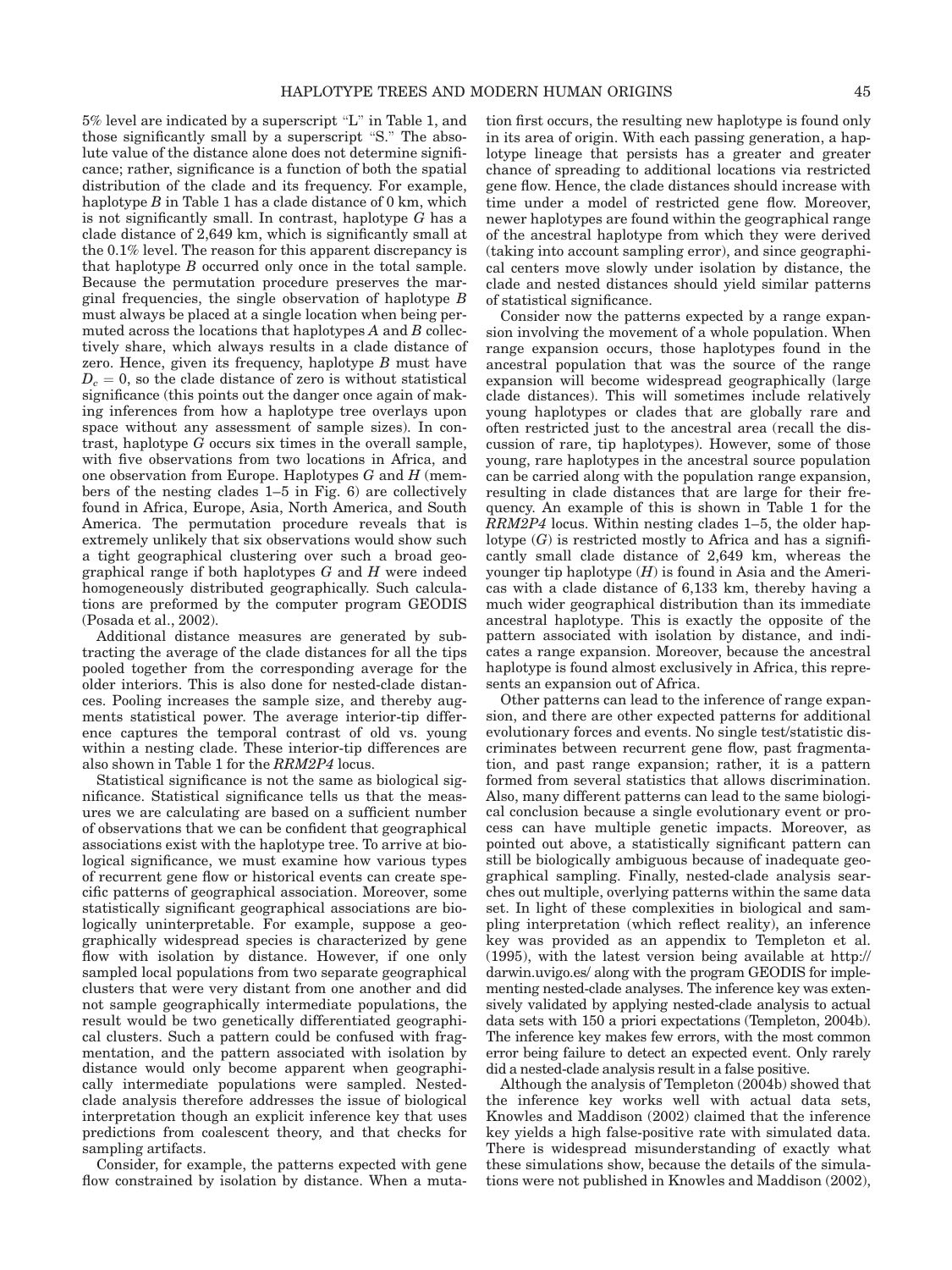5% level are indicated by a superscript \L" in Table 1, and those significantly small by a superscript "S." The absolute value of the distance alone does not determine significance; rather, significance is a function of both the spatial distribution of the clade and its frequency. For example, haplotype  $B$  in Table 1 has a clade distance of 0 km, which is not significantly small. In contrast, haplotype G has a clade distance of 2,649 km, which is significantly small at the 0.1% level. The reason for this apparent discrepancy is that haplotype  $B$  occurred only once in the total sample. Because the permutation procedure preserves the marginal frequencies, the single observation of haplotype  $B$ must always be placed at a single location when being permuted across the locations that haplotypes A and B collectively share, which always results in a clade distance of zero. Hence, given its frequency, haplotype B must have  $D_c = 0$ , so the clade distance of zero is without statistical significance (this points out the danger once again of making inferences from how a haplotype tree overlays upon space without any assessment of sample sizes). In contrast, haplotype G occurs six times in the overall sample, with five observations from two locations in Africa, and one observation from Europe. Haplotypes  $G$  and  $H$  (members of the nesting clades 1–5 in Fig. 6) are collectively found in Africa, Europe, Asia, North America, and South America. The permutation procedure reveals that is extremely unlikely that six observations would show such a tight geographical clustering over such a broad geographical range if both haplotypes  $G$  and  $H$  were indeed homogeneously distributed geographically. Such calculations are preformed by the computer program GEODIS (Posada et al., 2002).

Additional distance measures are generated by subtracting the average of the clade distances for all the tips pooled together from the corresponding average for the older interiors. This is also done for nested-clade distances. Pooling increases the sample size, and thereby augments statistical power. The average interior-tip difference captures the temporal contrast of old vs. young within a nesting clade. These interior-tip differences are also shown in Table 1 for the RRM2P4 locus.

Statistical significance is not the same as biological significance. Statistical significance tells us that the measures we are calculating are based on a sufficient number of observations that we can be confident that geographical associations exist with the haplotype tree. To arrive at biological significance, we must examine how various types of recurrent gene flow or historical events can create specific patterns of geographical association. Moreover, some statistically significant geographical associations are biologically uninterpretable. For example, suppose a geographically widespread species is characterized by gene flow with isolation by distance. However, if one only sampled local populations from two separate geographical clusters that were very distant from one another and did not sample geographically intermediate populations, the result would be two genetically differentiated geographical clusters. Such a pattern could be confused with fragmentation, and the pattern associated with isolation by distance would only become apparent when geographically intermediate populations were sampled. Nestedclade analysis therefore addresses the issue of biological interpretation though an explicit inference key that uses predictions from coalescent theory, and that checks for sampling artifacts.

Consider, for example, the patterns expected with gene flow constrained by isolation by distance. When a mutation first occurs, the resulting new haplotype is found only in its area of origin. With each passing generation, a haplotype lineage that persists has a greater and greater chance of spreading to additional locations via restricted gene flow. Hence, the clade distances should increase with time under a model of restricted gene flow. Moreover, newer haplotypes are found within the geographical range of the ancestral haplotype from which they were derived (taking into account sampling error), and since geographical centers move slowly under isolation by distance, the clade and nested distances should yield similar patterns of statistical significance.

Consider now the patterns expected by a range expansion involving the movement of a whole population. When range expansion occurs, those haplotypes found in the ancestral population that was the source of the range expansion will become widespread geographically (large clade distances). This will sometimes include relatively young haplotypes or clades that are globally rare and often restricted just to the ancestral area (recall the discussion of rare, tip haplotypes). However, some of those young, rare haplotypes in the ancestral source population can be carried along with the population range expansion, resulting in clade distances that are large for their frequency. An example of this is shown in Table 1 for the RRM2P4 locus. Within nesting clades 1–5, the older haplotype  $(G)$  is restricted mostly to Africa and has a significantly small clade distance of 2,649 km, whereas the younger tip haplotype  $(H)$  is found in Asia and the Americas with a clade distance of 6,133 km, thereby having a much wider geographical distribution than its immediate ancestral haplotype. This is exactly the opposite of the pattern associated with isolation by distance, and indicates a range expansion. Moreover, because the ancestral haplotype is found almost exclusively in Africa, this represents an expansion out of Africa.

Other patterns can lead to the inference of range expansion, and there are other expected patterns for additional evolutionary forces and events. No single test/statistic discriminates between recurrent gene flow, past fragmentation, and past range expansion; rather, it is a pattern formed from several statistics that allows discrimination. Also, many different patterns can lead to the same biological conclusion because a single evolutionary event or process can have multiple genetic impacts. Moreover, as pointed out above, a statistically significant pattern can still be biologically ambiguous because of inadequate geographical sampling. Finally, nested-clade analysis searches out multiple, overlying patterns within the same data set. In light of these complexities in biological and sampling interpretation (which reflect reality), an inference key was provided as an appendix to Templeton et al. (1995), with the latest version being available at http:// darwin.uvigo.es/ along with the program GEODIS for implementing nested-clade analyses. The inference key was extensively validated by applying nested-clade analysis to actual data sets with 150 a priori expectations (Templeton, 2004b). The inference key makes few errors, with the most common error being failure to detect an expected event. Only rarely did a nested-clade analysis result in a false positive.

Although the analysis of Templeton (2004b) showed that the inference key works well with actual data sets, Knowles and Maddison (2002) claimed that the inference key yields a high false-positive rate with simulated data. There is widespread misunderstanding of exactly what these simulations show, because the details of the simulations were not published in Knowles and Maddison (2002),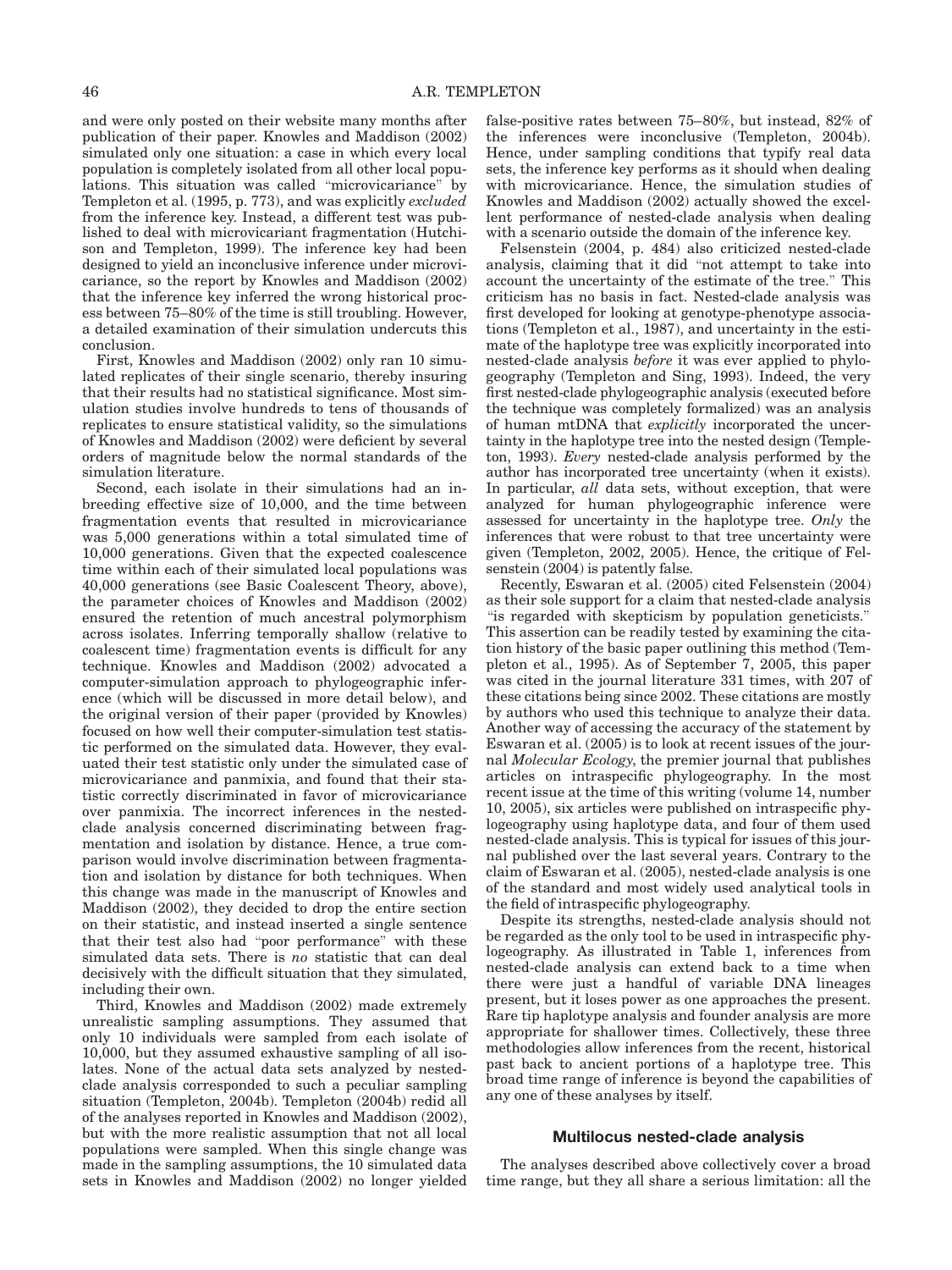and were only posted on their website many months after publication of their paper. Knowles and Maddison (2002) simulated only one situation: a case in which every local population is completely isolated from all other local populations. This situation was called \microvicariance" by Templeton et al. (1995, p. 773), and was explicitly excluded from the inference key. Instead, a different test was published to deal with microvicariant fragmentation (Hutchison and Templeton, 1999). The inference key had been designed to yield an inconclusive inference under microvicariance, so the report by Knowles and Maddison (2002) that the inference key inferred the wrong historical process between 75–80% of the time is still troubling. However, a detailed examination of their simulation undercuts this conclusion.

First, Knowles and Maddison (2002) only ran 10 simulated replicates of their single scenario, thereby insuring that their results had no statistical significance. Most simulation studies involve hundreds to tens of thousands of replicates to ensure statistical validity, so the simulations of Knowles and Maddison (2002) were deficient by several orders of magnitude below the normal standards of the simulation literature.

Second, each isolate in their simulations had an inbreeding effective size of 10,000, and the time between fragmentation events that resulted in microvicariance was 5,000 generations within a total simulated time of 10,000 generations. Given that the expected coalescence time within each of their simulated local populations was 40,000 generations (see Basic Coalescent Theory, above), the parameter choices of Knowles and Maddison (2002) ensured the retention of much ancestral polymorphism across isolates. Inferring temporally shallow (relative to coalescent time) fragmentation events is difficult for any technique. Knowles and Maddison (2002) advocated a computer-simulation approach to phylogeographic inference (which will be discussed in more detail below), and the original version of their paper (provided by Knowles) focused on how well their computer-simulation test statistic performed on the simulated data. However, they evaluated their test statistic only under the simulated case of microvicariance and panmixia, and found that their statistic correctly discriminated in favor of microvicariance over panmixia. The incorrect inferences in the nestedclade analysis concerned discriminating between fragmentation and isolation by distance. Hence, a true comparison would involve discrimination between fragmentation and isolation by distance for both techniques. When this change was made in the manuscript of Knowles and Maddison (2002), they decided to drop the entire section on their statistic, and instead inserted a single sentence that their test also had "poor performance" with these simulated data sets. There is no statistic that can deal decisively with the difficult situation that they simulated, including their own.

Third, Knowles and Maddison (2002) made extremely unrealistic sampling assumptions. They assumed that only 10 individuals were sampled from each isolate of 10,000, but they assumed exhaustive sampling of all isolates. None of the actual data sets analyzed by nestedclade analysis corresponded to such a peculiar sampling situation (Templeton, 2004b). Templeton (2004b) redid all of the analyses reported in Knowles and Maddison (2002), but with the more realistic assumption that not all local populations were sampled. When this single change was made in the sampling assumptions, the 10 simulated data sets in Knowles and Maddison (2002) no longer yielded false-positive rates between 75–80%, but instead, 82% of the inferences were inconclusive (Templeton, 2004b). Hence, under sampling conditions that typify real data sets, the inference key performs as it should when dealing with microvicariance. Hence, the simulation studies of Knowles and Maddison (2002) actually showed the excellent performance of nested-clade analysis when dealing with a scenario outside the domain of the inference key.

Felsenstein (2004, p. 484) also criticized nested-clade analysis, claiming that it did "not attempt to take into account the uncertainty of the estimate of the tree." This criticism has no basis in fact. Nested-clade analysis was first developed for looking at genotype-phenotype associations (Templeton et al., 1987), and uncertainty in the estimate of the haplotype tree was explicitly incorporated into nested-clade analysis before it was ever applied to phylogeography (Templeton and Sing, 1993). Indeed, the very first nested-clade phylogeographic analysis (executed before the technique was completely formalized) was an analysis of human mtDNA that explicitly incorporated the uncertainty in the haplotype tree into the nested design (Templeton, 1993). Every nested-clade analysis performed by the author has incorporated tree uncertainty (when it exists). In particular, all data sets, without exception, that were analyzed for human phylogeographic inference were assessed for uncertainty in the haplotype tree. Only the inferences that were robust to that tree uncertainty were given (Templeton, 2002, 2005). Hence, the critique of Felsenstein (2004) is patently false.

Recently, Eswaran et al. (2005) cited Felsenstein (2004) as their sole support for a claim that nested-clade analysis " is regarded with skepticism by population geneticists." This assertion can be readily tested by examining the citation history of the basic paper outlining this method (Templeton et al., 1995). As of September 7, 2005, this paper was cited in the journal literature 331 times, with 207 of these citations being since 2002. These citations are mostly by authors who used this technique to analyze their data. Another way of accessing the accuracy of the statement by Eswaran et al. (2005) is to look at recent issues of the journal Molecular Ecology, the premier journal that publishes articles on intraspecific phylogeography. In the most recent issue at the time of this writing (volume 14, number 10, 2005), six articles were published on intraspecific phylogeography using haplotype data, and four of them used nested-clade analysis. This is typical for issues of this journal published over the last several years. Contrary to the claim of Eswaran et al. (2005), nested-clade analysis is one of the standard and most widely used analytical tools in the field of intraspecific phylogeography.

Despite its strengths, nested-clade analysis should not be regarded as the only tool to be used in intraspecific phylogeography. As illustrated in Table 1, inferences from nested-clade analysis can extend back to a time when there were just a handful of variable DNA lineages present, but it loses power as one approaches the present. Rare tip haplotype analysis and founder analysis are more appropriate for shallower times. Collectively, these three methodologies allow inferences from the recent, historical past back to ancient portions of a haplotype tree. This broad time range of inference is beyond the capabilities of any one of these analyses by itself.

#### Multilocus nested-clade analysis

The analyses described above collectively cover a broad time range, but they all share a serious limitation: all the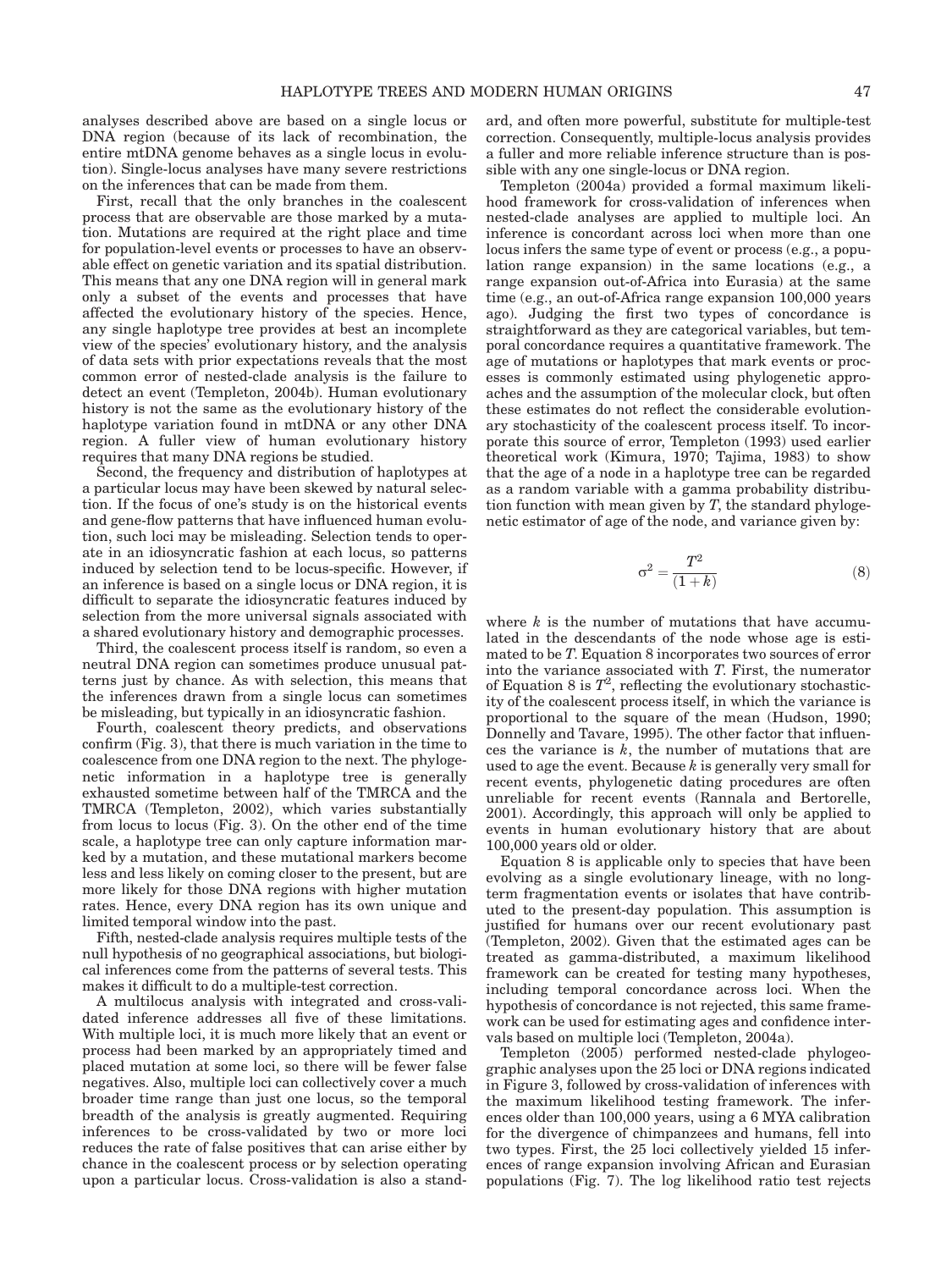analyses described above are based on a single locus or DNA region (because of its lack of recombination, the entire mtDNA genome behaves as a single locus in evolution). Single-locus analyses have many severe restrictions on the inferences that can be made from them.

First, recall that the only branches in the coalescent process that are observable are those marked by a mutation. Mutations are required at the right place and time for population-level events or processes to have an observable effect on genetic variation and its spatial distribution. This means that any one DNA region will in general mark only a subset of the events and processes that have affected the evolutionary history of the species. Hence, any single haplotype tree provides at best an incomplete view of the species' evolutionary history, and the analysis of data sets with prior expectations reveals that the most common error of nested-clade analysis is the failure to detect an event (Templeton, 2004b). Human evolutionary history is not the same as the evolutionary history of the haplotype variation found in mtDNA or any other DNA region. A fuller view of human evolutionary history requires that many DNA regions be studied.

Second, the frequency and distribution of haplotypes at a particular locus may have been skewed by natural selection. If the focus of one's study is on the historical events and gene-flow patterns that have influenced human evolution, such loci may be misleading. Selection tends to operate in an idiosyncratic fashion at each locus, so patterns induced by selection tend to be locus-specific. However, if an inference is based on a single locus or DNA region, it is difficult to separate the idiosyncratic features induced by selection from the more universal signals associated with a shared evolutionary history and demographic processes.

Third, the coalescent process itself is random, so even a neutral DNA region can sometimes produce unusual patterns just by chance. As with selection, this means that the inferences drawn from a single locus can sometimes be misleading, but typically in an idiosyncratic fashion.

Fourth, coalescent theory predicts, and observations confirm (Fig. 3), that there is much variation in the time to coalescence from one DNA region to the next. The phylogenetic information in a haplotype tree is generally exhausted sometime between half of the TMRCA and the TMRCA (Templeton, 2002), which varies substantially from locus to locus (Fig. 3). On the other end of the time scale, a haplotype tree can only capture information marked by a mutation, and these mutational markers become less and less likely on coming closer to the present, but are more likely for those DNA regions with higher mutation rates. Hence, every DNA region has its own unique and limited temporal window into the past.

Fifth, nested-clade analysis requires multiple tests of the null hypothesis of no geographical associations, but biological inferences come from the patterns of several tests. This makes it difficult to do a multiple-test correction.

A multilocus analysis with integrated and cross-validated inference addresses all five of these limitations. With multiple loci, it is much more likely that an event or process had been marked by an appropriately timed and placed mutation at some loci, so there will be fewer false negatives. Also, multiple loci can collectively cover a much broader time range than just one locus, so the temporal breadth of the analysis is greatly augmented. Requiring inferences to be cross-validated by two or more loci reduces the rate of false positives that can arise either by chance in the coalescent process or by selection operating upon a particular locus. Cross-validation is also a standard, and often more powerful, substitute for multiple-test correction. Consequently, multiple-locus analysis provides a fuller and more reliable inference structure than is possible with any one single-locus or DNA region.

Templeton (2004a) provided a formal maximum likelihood framework for cross-validation of inferences when nested-clade analyses are applied to multiple loci. An inference is concordant across loci when more than one locus infers the same type of event or process (e.g., a population range expansion) in the same locations (e.g., a range expansion out-of-Africa into Eurasia) at the same time (e.g., an out-of-Africa range expansion 100,000 years ago). Judging the first two types of concordance is straightforward as they are categorical variables, but temporal concordance requires a quantitative framework. The age of mutations or haplotypes that mark events or processes is commonly estimated using phylogenetic approaches and the assumption of the molecular clock, but often these estimates do not reflect the considerable evolutionary stochasticity of the coalescent process itself. To incorporate this source of error, Templeton (1993) used earlier theoretical work (Kimura, 1970; Tajima, 1983) to show that the age of a node in a haplotype tree can be regarded as a random variable with a gamma probability distribution function with mean given by T, the standard phylogenetic estimator of age of the node, and variance given by:

$$
\sigma^2 = \frac{T^2}{(1+k)}\tag{8}
$$

where  $k$  is the number of mutations that have accumulated in the descendants of the node whose age is estimated to be T. Equation 8 incorporates two sources of error into the variance associated with T. First, the numerator of Equation 8 is  $T^2$ , reflecting the evolutionary stochasticity of the coalescent process itself, in which the variance is proportional to the square of the mean (Hudson, 1990; Donnelly and Tavare, 1995). The other factor that influences the variance is  $k$ , the number of mutations that are used to age the event. Because  $k$  is generally very small for recent events, phylogenetic dating procedures are often unreliable for recent events (Rannala and Bertorelle, 2001). Accordingly, this approach will only be applied to events in human evolutionary history that are about 100,000 years old or older.

Equation 8 is applicable only to species that have been evolving as a single evolutionary lineage, with no longterm fragmentation events or isolates that have contributed to the present-day population. This assumption is justified for humans over our recent evolutionary past (Templeton, 2002). Given that the estimated ages can be treated as gamma-distributed, a maximum likelihood framework can be created for testing many hypotheses, including temporal concordance across loci. When the hypothesis of concordance is not rejected, this same framework can be used for estimating ages and confidence intervals based on multiple loci (Templeton, 2004a).

Templeton (2005) performed nested-clade phylogeographic analyses upon the 25 loci or DNA regions indicated in Figure 3, followed by cross-validation of inferences with the maximum likelihood testing framework. The inferences older than 100,000 years, using a 6 MYA calibration for the divergence of chimpanzees and humans, fell into two types. First, the 25 loci collectively yielded 15 inferences of range expansion involving African and Eurasian populations (Fig. 7). The log likelihood ratio test rejects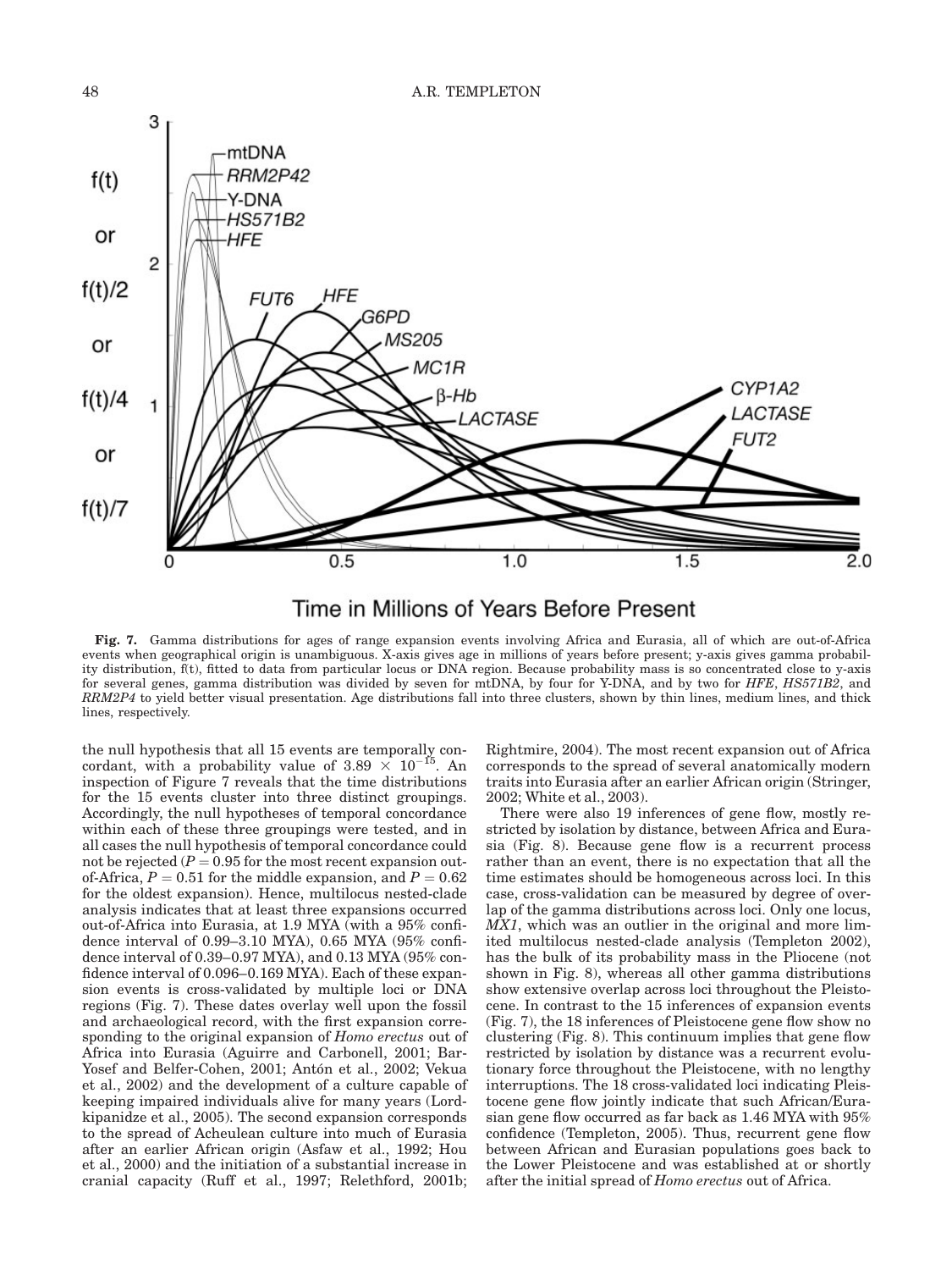

Time in Millions of Years Before Present

Fig. 7. Gamma distributions for ages of range expansion events involving Africa and Eurasia, all of which are out-of-Africa events when geographical origin is unambiguous. X-axis gives age in millions of years before present; y-axis gives gamma probability distribution, f(t), fitted to data from particular locus or DNA region. Because probability mass is so concentrated close to y-axis for several genes, gamma distribution was divided by seven for mtDNA, by four for Y-DNA, and by two for HFE, HS571B2, and RRM2P4 to yield better visual presentation. Age distributions fall into three clusters, shown by thin lines, medium lines, and thick lines, respectively.

the null hypothesis that all 15 events are temporally concordant, with a probability value of 3.89  $\times$  10<sup>-15</sup>. An inspection of Figure 7 reveals that the time distributions for the 15 events cluster into three distinct groupings. Accordingly, the null hypotheses of temporal concordance within each of these three groupings were tested, and in all cases the null hypothesis of temporal concordance could not be rejected ( $P = 0.95$  for the most recent expansion outof-Africa,  $P = 0.51$  for the middle expansion, and  $P = 0.62$ for the oldest expansion). Hence, multilocus nested-clade analysis indicates that at least three expansions occurred out-of-Africa into Eurasia, at 1.9 MYA (with a 95% confidence interval of 0.99–3.10 MYA), 0.65 MYA (95% confidence interval of 0.39–0.97 MYA), and 0.13 MYA (95% confidence interval of 0.096–0.169 MYA). Each of these expansion events is cross-validated by multiple loci or DNA regions (Fig. 7). These dates overlay well upon the fossil and archaeological record, with the first expansion corresponding to the original expansion of *Homo erectus* out of Africa into Eurasia (Aguirre and Carbonell, 2001; Bar-Yosef and Belfer-Cohen, 2001; Antón et al., 2002; Vekua et al., 2002) and the development of a culture capable of keeping impaired individuals alive for many years (Lordkipanidze et al., 2005). The second expansion corresponds to the spread of Acheulean culture into much of Eurasia after an earlier African origin (Asfaw et al., 1992; Hou et al., 2000) and the initiation of a substantial increase in cranial capacity (Ruff et al., 1997; Relethford, 2001b; Rightmire, 2004). The most recent expansion out of Africa corresponds to the spread of several anatomically modern traits into Eurasia after an earlier African origin (Stringer, 2002; White et al., 2003).

There were also 19 inferences of gene flow, mostly restricted by isolation by distance, between Africa and Eurasia (Fig. 8). Because gene flow is a recurrent process rather than an event, there is no expectation that all the time estimates should be homogeneous across loci. In this case, cross-validation can be measured by degree of overlap of the gamma distributions across loci. Only one locus, MX1, which was an outlier in the original and more limited multilocus nested-clade analysis (Templeton 2002), has the bulk of its probability mass in the Pliocene (not shown in Fig. 8), whereas all other gamma distributions show extensive overlap across loci throughout the Pleistocene. In contrast to the 15 inferences of expansion events (Fig. 7), the 18 inferences of Pleistocene gene flow show no clustering (Fig. 8). This continuum implies that gene flow restricted by isolation by distance was a recurrent evolutionary force throughout the Pleistocene, with no lengthy interruptions. The 18 cross-validated loci indicating Pleistocene gene flow jointly indicate that such African/Eurasian gene flow occurred as far back as 1.46 MYA with 95% confidence (Templeton, 2005). Thus, recurrent gene flow between African and Eurasian populations goes back to the Lower Pleistocene and was established at or shortly after the initial spread of Homo erectus out of Africa.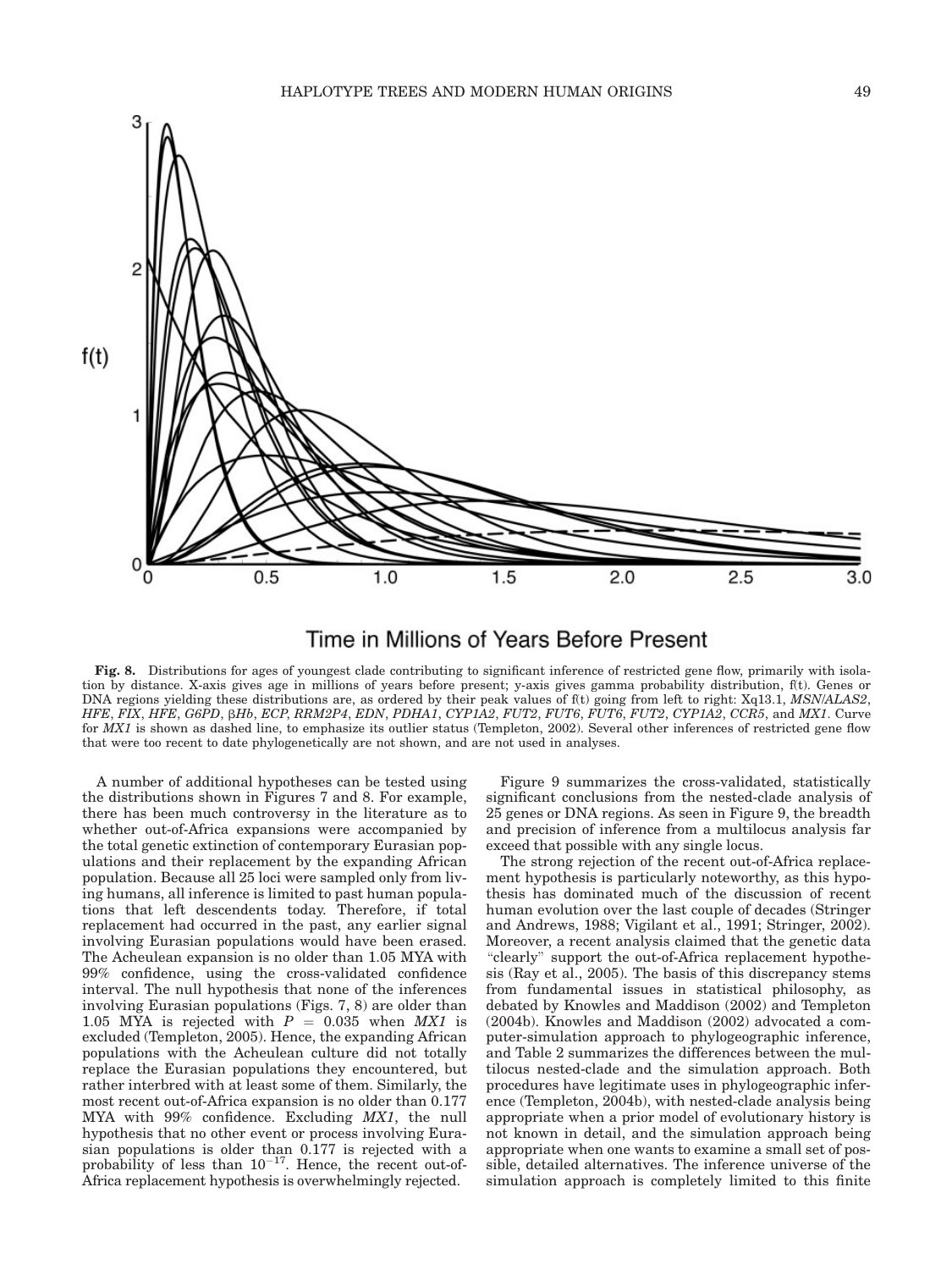

# Time in Millions of Years Before Present

Fig. 8. Distributions for ages of youngest clade contributing to significant inference of restricted gene flow, primarily with isolation by distance. X-axis gives age in millions of years before present; y-axis gives gamma probability distribution, f(t). Genes or DNA regions yielding these distributions are, as ordered by their peak values of f(t) going from left to right: Xq13.1, MSN/ALAS2, HFE, FIX, HFE, G6PD, bHb, ECP, RRM2P4, EDN, PDHA1, CYP1A2, FUT2, FUT6, FUT6, FUT2, CYP1A2, CCR5, and MX1. Curve for MX1 is shown as dashed line, to emphasize its outlier status (Templeton, 2002). Several other inferences of restricted gene flow that were too recent to date phylogenetically are not shown, and are not used in analyses.

A number of additional hypotheses can be tested using the distributions shown in Figures 7 and 8. For example, there has been much controversy in the literature as to whether out-of-Africa expansions were accompanied by the total genetic extinction of contemporary Eurasian populations and their replacement by the expanding African population. Because all 25 loci were sampled only from living humans, all inference is limited to past human populations that left descendents today. Therefore, if total replacement had occurred in the past, any earlier signal involving Eurasian populations would have been erased. The Acheulean expansion is no older than 1.05 MYA with 99% confidence, using the cross-validated confidence interval. The null hypothesis that none of the inferences involving Eurasian populations (Figs. 7, 8) are older than 1.05 MYA is rejected with  $P = 0.035$  when MX1 is excluded (Templeton, 2005). Hence, the expanding African populations with the Acheulean culture did not totally replace the Eurasian populations they encountered, but rather interbred with at least some of them. Similarly, the most recent out-of-Africa expansion is no older than 0.177 MYA with 99% confidence. Excluding MX1, the null hypothesis that no other event or process involving Eurasian populations is older than 0.177 is rejected with a probability of less than  $10^{-17}$ . Hence, the recent out-of-Africa replacement hypothesis is overwhelmingly rejected.

Figure 9 summarizes the cross-validated, statistically significant conclusions from the nested-clade analysis of 25 genes or DNA regions. As seen in Figure 9, the breadth and precision of inference from a multilocus analysis far exceed that possible with any single locus.

The strong rejection of the recent out-of-Africa replacement hypothesis is particularly noteworthy, as this hypothesis has dominated much of the discussion of recent human evolution over the last couple of decades (Stringer and Andrews, 1988; Vigilant et al., 1991; Stringer, 2002). Moreover, a recent analysis claimed that the genetic data "clearly" support the out-of-Africa replacement hypothesis (Ray et al., 2005). The basis of this discrepancy stems from fundamental issues in statistical philosophy, as debated by Knowles and Maddison (2002) and Templeton (2004b). Knowles and Maddison (2002) advocated a computer-simulation approach to phylogeographic inference, and Table 2 summarizes the differences between the multilocus nested-clade and the simulation approach. Both procedures have legitimate uses in phylogeographic inference (Templeton, 2004b), with nested-clade analysis being appropriate when a prior model of evolutionary history is not known in detail, and the simulation approach being appropriate when one wants to examine a small set of possible, detailed alternatives. The inference universe of the simulation approach is completely limited to this finite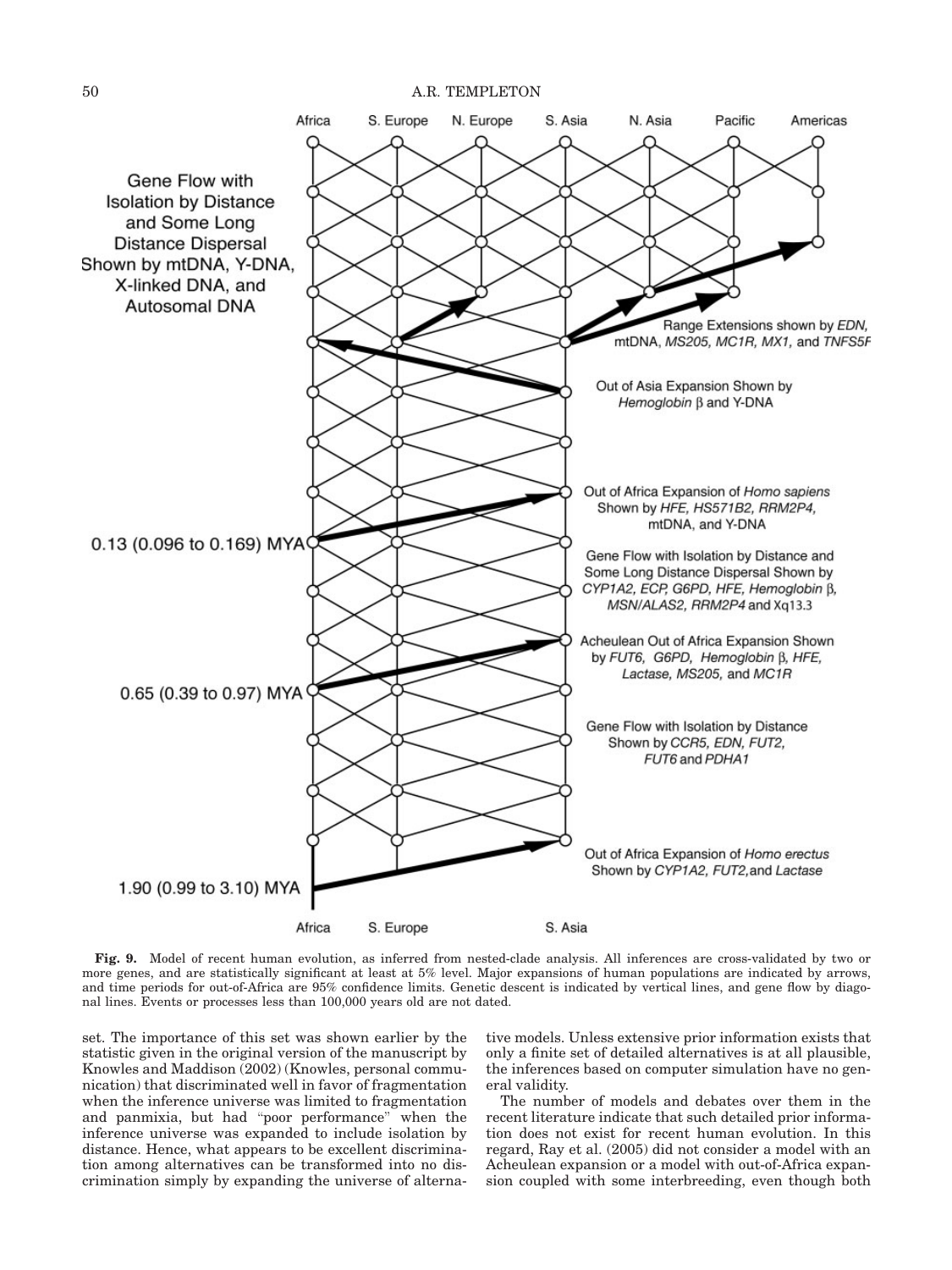

Fig. 9. Model of recent human evolution, as inferred from nested-clade analysis. All inferences are cross-validated by two or more genes, and are statistically significant at least at 5% level. Major expansions of human populations are indicated by arrows, and time periods for out-of-Africa are 95% confidence limits. Genetic descent is indicated by vertical lines, and gene flow by diagonal lines. Events or processes less than 100,000 years old are not dated.

set. The importance of this set was shown earlier by the statistic given in the original version of the manuscript by Knowles and Maddison (2002) (Knowles, personal communication) that discriminated well in favor of fragmentation when the inference universe was limited to fragmentation and panmixia, but had "poor performance" when the inference universe was expanded to include isolation by distance. Hence, what appears to be excellent discrimination among alternatives can be transformed into no discrimination simply by expanding the universe of alternative models. Unless extensive prior information exists that only a finite set of detailed alternatives is at all plausible, the inferences based on computer simulation have no general validity.

The number of models and debates over them in the recent literature indicate that such detailed prior information does not exist for recent human evolution. In this regard, Ray et al. (2005) did not consider a model with an Acheulean expansion or a model with out-of-Africa expansion coupled with some interbreeding, even though both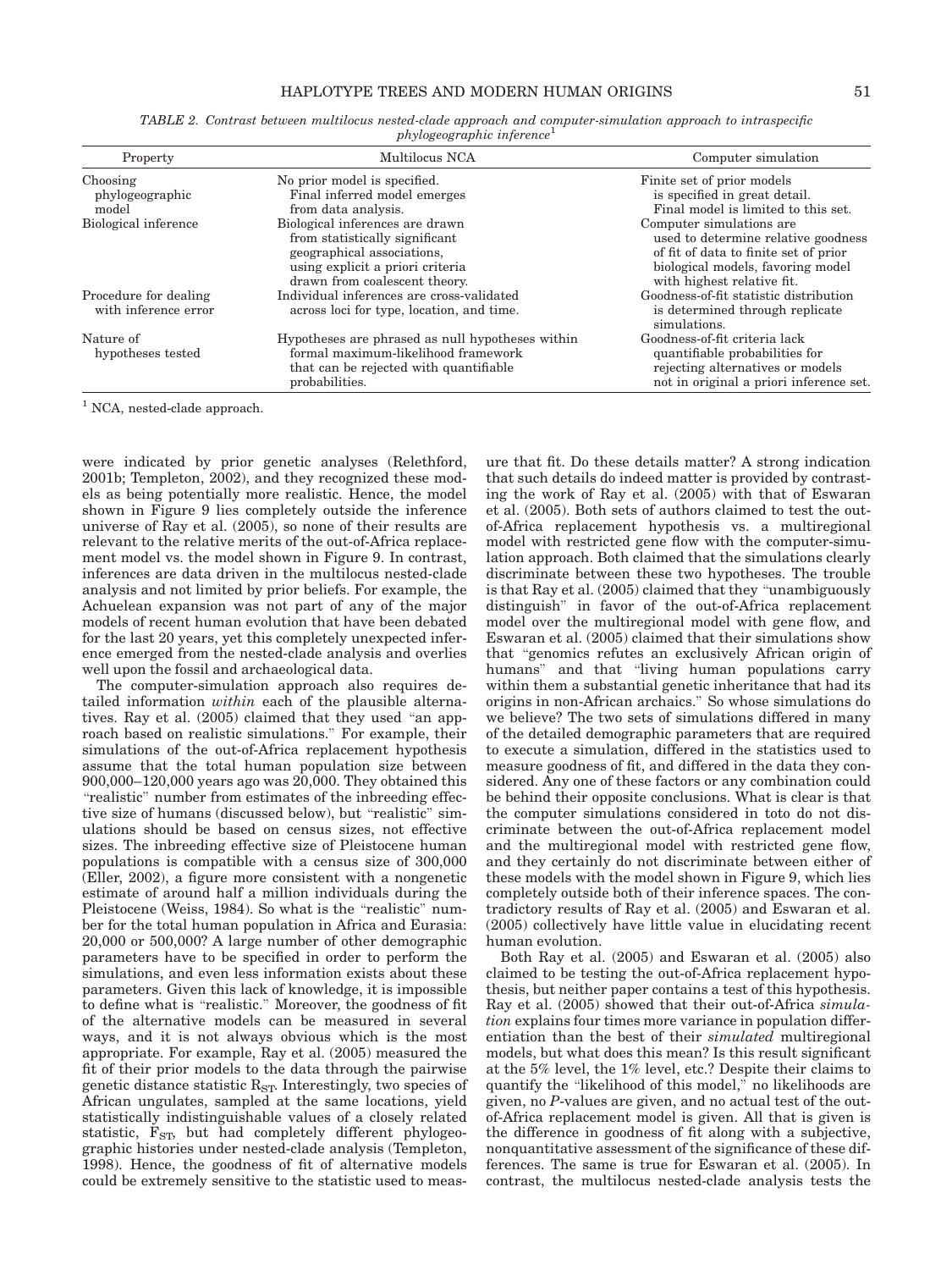| Property                                      | Multilocus NCA                                                                                                                                                       | Computer simulation                                                                                                                                                         |  |  |
|-----------------------------------------------|----------------------------------------------------------------------------------------------------------------------------------------------------------------------|-----------------------------------------------------------------------------------------------------------------------------------------------------------------------------|--|--|
| Choosing<br>phylogeographic<br>model          | No prior model is specified.<br>Final inferred model emerges<br>from data analysis.                                                                                  | Finite set of prior models<br>is specified in great detail.<br>Final model is limited to this set.                                                                          |  |  |
| Biological inference                          | Biological inferences are drawn<br>from statistically significant<br>geographical associations,<br>using explicit a priori criteria<br>drawn from coalescent theory. | Computer simulations are<br>used to determine relative goodness<br>of fit of data to finite set of prior<br>biological models, favoring model<br>with highest relative fit. |  |  |
| Procedure for dealing<br>with inference error | Individual inferences are cross-validated<br>across loci for type, location, and time.                                                                               | Goodness-of-fit statistic distribution<br>is determined through replicate<br>simulations.                                                                                   |  |  |
| Nature of<br>hypotheses tested                | Hypotheses are phrased as null hypotheses within<br>formal maximum-likelihood framework<br>that can be rejected with quantifiable<br>probabilities.                  | Goodness-of-fit criteria lack<br>quantifiable probabilities for<br>rejecting alternatives or models<br>not in original a priori inference set.                              |  |  |

TABLE 2. Contrast between multilocus nested-clade approach and computer-simulation approach to intraspecific  $phylogeographic$  inference<sup>1</sup>

<sup>1</sup> NCA, nested-clade approach.

were indicated by prior genetic analyses (Relethford, 2001b; Templeton, 2002), and they recognized these models as being potentially more realistic. Hence, the model shown in Figure 9 lies completely outside the inference universe of Ray et al. (2005), so none of their results are relevant to the relative merits of the out-of-Africa replacement model vs. the model shown in Figure 9. In contrast, inferences are data driven in the multilocus nested-clade analysis and not limited by prior beliefs. For example, the Achuelean expansion was not part of any of the major models of recent human evolution that have been debated for the last 20 years, yet this completely unexpected inference emerged from the nested-clade analysis and overlies well upon the fossil and archaeological data.

The computer-simulation approach also requires detailed information within each of the plausible alternatives. Ray et al.  $(2005)$  claimed that they used "an approach based on realistic simulations." For example, their simulations of the out-of-Africa replacement hypothesis assume that the total human population size between 900,000–120,000 years ago was 20,000. They obtained this "realistic" number from estimates of the inbreeding effective size of humans (discussed below), but "realistic" simulations should be based on census sizes, not effective sizes. The inbreeding effective size of Pleistocene human populations is compatible with a census size of 300,000 (Eller, 2002), a figure more consistent with a nongenetic estimate of around half a million individuals during the Pleistocene (Weiss, 1984). So what is the "realistic" number for the total human population in Africa and Eurasia: 20,000 or 500,000? A large number of other demographic parameters have to be specified in order to perform the simulations, and even less information exists about these parameters. Given this lack of knowledge, it is impossible to define what is "realistic." Moreover, the goodness of fit of the alternative models can be measured in several ways, and it is not always obvious which is the most appropriate. For example, Ray et al. (2005) measured the fit of their prior models to the data through the pairwise genetic distance statistic  $R_{ST}$ . Interestingly, two species of African ungulates, sampled at the same locations, yield statistically indistinguishable values of a closely related statistic,  $F_{ST}$ , but had completely different phylogeographic histories under nested-clade analysis (Templeton, 1998). Hence, the goodness of fit of alternative models could be extremely sensitive to the statistic used to measure that fit. Do these details matter? A strong indication that such details do indeed matter is provided by contrasting the work of Ray et al. (2005) with that of Eswaran et al. (2005). Both sets of authors claimed to test the outof-Africa replacement hypothesis vs. a multiregional model with restricted gene flow with the computer-simulation approach. Both claimed that the simulations clearly discriminate between these two hypotheses. The trouble is that Ray et al.  $(2005)$  claimed that they "unambiguously distinguish" in favor of the out-of-Africa replacement model over the multiregional model with gene flow, and Eswaran et al. (2005) claimed that their simulations show that "genomics refutes an exclusively African origin of humans" and that "living human populations carry within them a substantial genetic inheritance that had its origins in non-African archaics." So whose simulations do we believe? The two sets of simulations differed in many of the detailed demographic parameters that are required to execute a simulation, differed in the statistics used to measure goodness of fit, and differed in the data they considered. Any one of these factors or any combination could be behind their opposite conclusions. What is clear is that the computer simulations considered in toto do not discriminate between the out-of-Africa replacement model and the multiregional model with restricted gene flow, and they certainly do not discriminate between either of these models with the model shown in Figure 9, which lies completely outside both of their inference spaces. The contradictory results of Ray et al. (2005) and Eswaran et al. (2005) collectively have little value in elucidating recent human evolution.

Both Ray et al. (2005) and Eswaran et al. (2005) also claimed to be testing the out-of-Africa replacement hypothesis, but neither paper contains a test of this hypothesis. Ray et al. (2005) showed that their out-of-Africa simulation explains four times more variance in population differentiation than the best of their simulated multiregional models, but what does this mean? Is this result significant at the 5% level, the 1% level, etc.? Despite their claims to quantify the "likelihood of this model," no likelihoods are given, no P-values are given, and no actual test of the outof-Africa replacement model is given. All that is given is the difference in goodness of fit along with a subjective, nonquantitative assessment of the significance of these differences. The same is true for Eswaran et al. (2005). In contrast, the multilocus nested-clade analysis tests the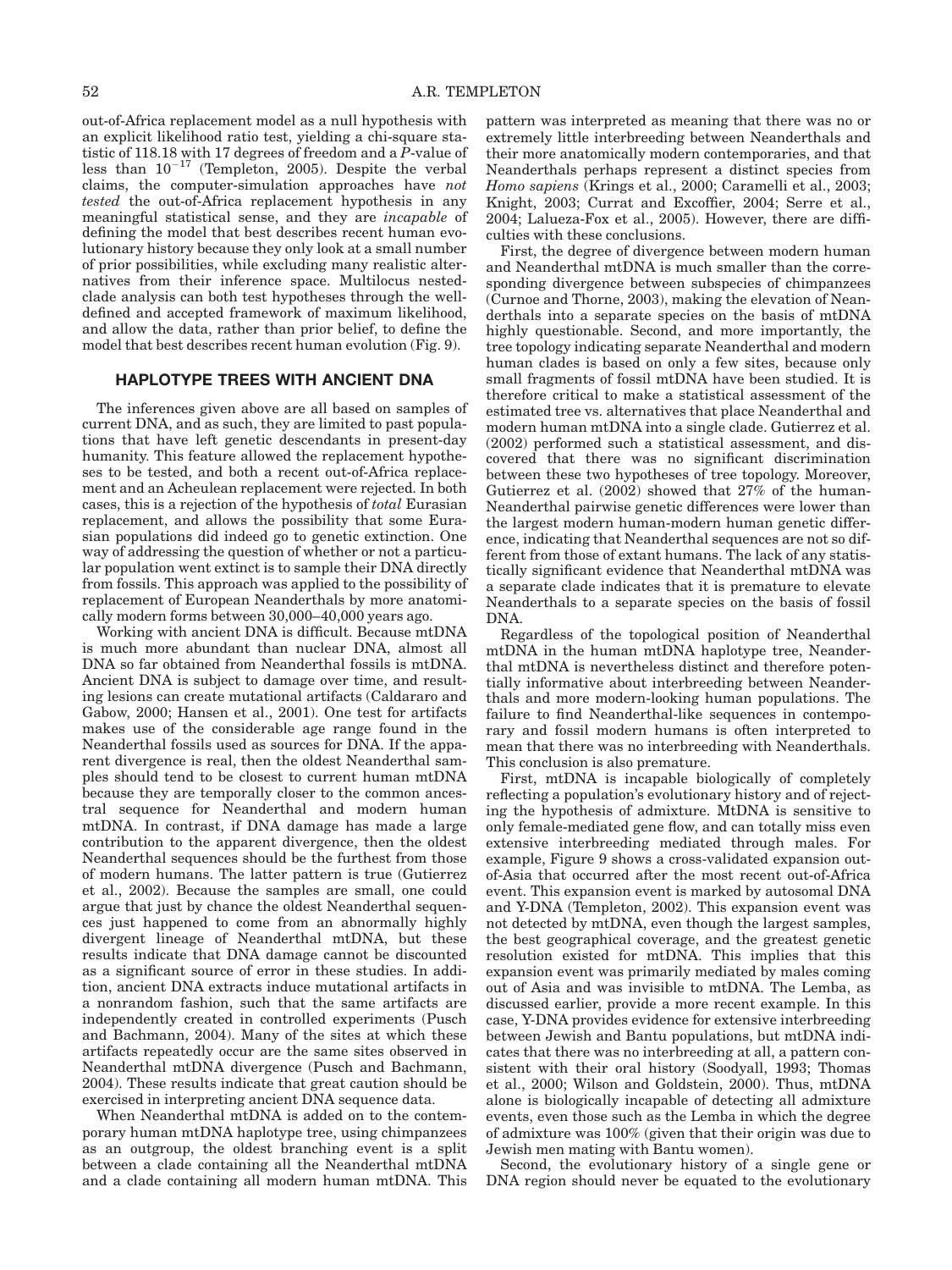out-of-Africa replacement model as a null hypothesis with an explicit likelihood ratio test, yielding a chi-square statistic of 118.18 with 17 degrees of freedom and a P-value of less than  $10^{-17}$  (Templeton, 2005). Despite the verbal claims, the computer-simulation approaches have not tested the out-of-Africa replacement hypothesis in any meaningful statistical sense, and they are incapable of defining the model that best describes recent human evolutionary history because they only look at a small number of prior possibilities, while excluding many realistic alternatives from their inference space. Multilocus nestedclade analysis can both test hypotheses through the welldefined and accepted framework of maximum likelihood, and allow the data, rather than prior belief, to define the model that best describes recent human evolution (Fig. 9).

#### HAPLOTYPE TREES WITH ANCIENT DNA

The inferences given above are all based on samples of current DNA, and as such, they are limited to past populations that have left genetic descendants in present-day humanity. This feature allowed the replacement hypotheses to be tested, and both a recent out-of-Africa replacement and an Acheulean replacement were rejected. In both cases, this is a rejection of the hypothesis of total Eurasian replacement, and allows the possibility that some Eurasian populations did indeed go to genetic extinction. One way of addressing the question of whether or not a particular population went extinct is to sample their DNA directly from fossils. This approach was applied to the possibility of replacement of European Neanderthals by more anatomically modern forms between 30,000–40,000 years ago.

Working with ancient DNA is difficult. Because mtDNA is much more abundant than nuclear DNA, almost all DNA so far obtained from Neanderthal fossils is mtDNA. Ancient DNA is subject to damage over time, and resulting lesions can create mutational artifacts (Caldararo and Gabow, 2000; Hansen et al., 2001). One test for artifacts makes use of the considerable age range found in the Neanderthal fossils used as sources for DNA. If the apparent divergence is real, then the oldest Neanderthal samples should tend to be closest to current human mtDNA because they are temporally closer to the common ancestral sequence for Neanderthal and modern human mtDNA. In contrast, if DNA damage has made a large contribution to the apparent divergence, then the oldest Neanderthal sequences should be the furthest from those of modern humans. The latter pattern is true (Gutierrez et al., 2002). Because the samples are small, one could argue that just by chance the oldest Neanderthal sequences just happened to come from an abnormally highly divergent lineage of Neanderthal mtDNA, but these results indicate that DNA damage cannot be discounted as a significant source of error in these studies. In addition, ancient DNA extracts induce mutational artifacts in a nonrandom fashion, such that the same artifacts are independently created in controlled experiments (Pusch and Bachmann, 2004). Many of the sites at which these artifacts repeatedly occur are the same sites observed in Neanderthal mtDNA divergence (Pusch and Bachmann, 2004). These results indicate that great caution should be exercised in interpreting ancient DNA sequence data.

When Neanderthal mtDNA is added on to the contemporary human mtDNA haplotype tree, using chimpanzees as an outgroup, the oldest branching event is a split between a clade containing all the Neanderthal mtDNA and a clade containing all modern human mtDNA. This

pattern was interpreted as meaning that there was no or extremely little interbreeding between Neanderthals and their more anatomically modern contemporaries, and that Neanderthals perhaps represent a distinct species from Homo sapiens (Krings et al., 2000; Caramelli et al., 2003; Knight, 2003; Currat and Excoffier, 2004; Serre et al., 2004; Lalueza-Fox et al., 2005). However, there are difficulties with these conclusions.

First, the degree of divergence between modern human and Neanderthal mtDNA is much smaller than the corresponding divergence between subspecies of chimpanzees (Curnoe and Thorne, 2003), making the elevation of Neanderthals into a separate species on the basis of mtDNA highly questionable. Second, and more importantly, the tree topology indicating separate Neanderthal and modern human clades is based on only a few sites, because only small fragments of fossil mtDNA have been studied. It is therefore critical to make a statistical assessment of the estimated tree vs. alternatives that place Neanderthal and modern human mtDNA into a single clade. Gutierrez et al. (2002) performed such a statistical assessment, and discovered that there was no significant discrimination between these two hypotheses of tree topology. Moreover, Gutierrez et al. (2002) showed that 27% of the human-Neanderthal pairwise genetic differences were lower than the largest modern human-modern human genetic difference, indicating that Neanderthal sequences are not so different from those of extant humans. The lack of any statistically significant evidence that Neanderthal mtDNA was a separate clade indicates that it is premature to elevate Neanderthals to a separate species on the basis of fossil DNA.

Regardless of the topological position of Neanderthal mtDNA in the human mtDNA haplotype tree, Neanderthal mtDNA is nevertheless distinct and therefore potentially informative about interbreeding between Neanderthals and more modern-looking human populations. The failure to find Neanderthal-like sequences in contemporary and fossil modern humans is often interpreted to mean that there was no interbreeding with Neanderthals. This conclusion is also premature.

First, mtDNA is incapable biologically of completely reflecting a population's evolutionary history and of rejecting the hypothesis of admixture. MtDNA is sensitive to only female-mediated gene flow, and can totally miss even extensive interbreeding mediated through males. For example, Figure 9 shows a cross-validated expansion outof-Asia that occurred after the most recent out-of-Africa event. This expansion event is marked by autosomal DNA and Y-DNA (Templeton, 2002). This expansion event was not detected by mtDNA, even though the largest samples, the best geographical coverage, and the greatest genetic resolution existed for mtDNA. This implies that this expansion event was primarily mediated by males coming out of Asia and was invisible to mtDNA. The Lemba, as discussed earlier, provide a more recent example. In this case, Y-DNA provides evidence for extensive interbreeding between Jewish and Bantu populations, but mtDNA indicates that there was no interbreeding at all, a pattern consistent with their oral history (Soodyall, 1993; Thomas et al., 2000; Wilson and Goldstein, 2000). Thus, mtDNA alone is biologically incapable of detecting all admixture events, even those such as the Lemba in which the degree of admixture was 100% (given that their origin was due to Jewish men mating with Bantu women).

Second, the evolutionary history of a single gene or DNA region should never be equated to the evolutionary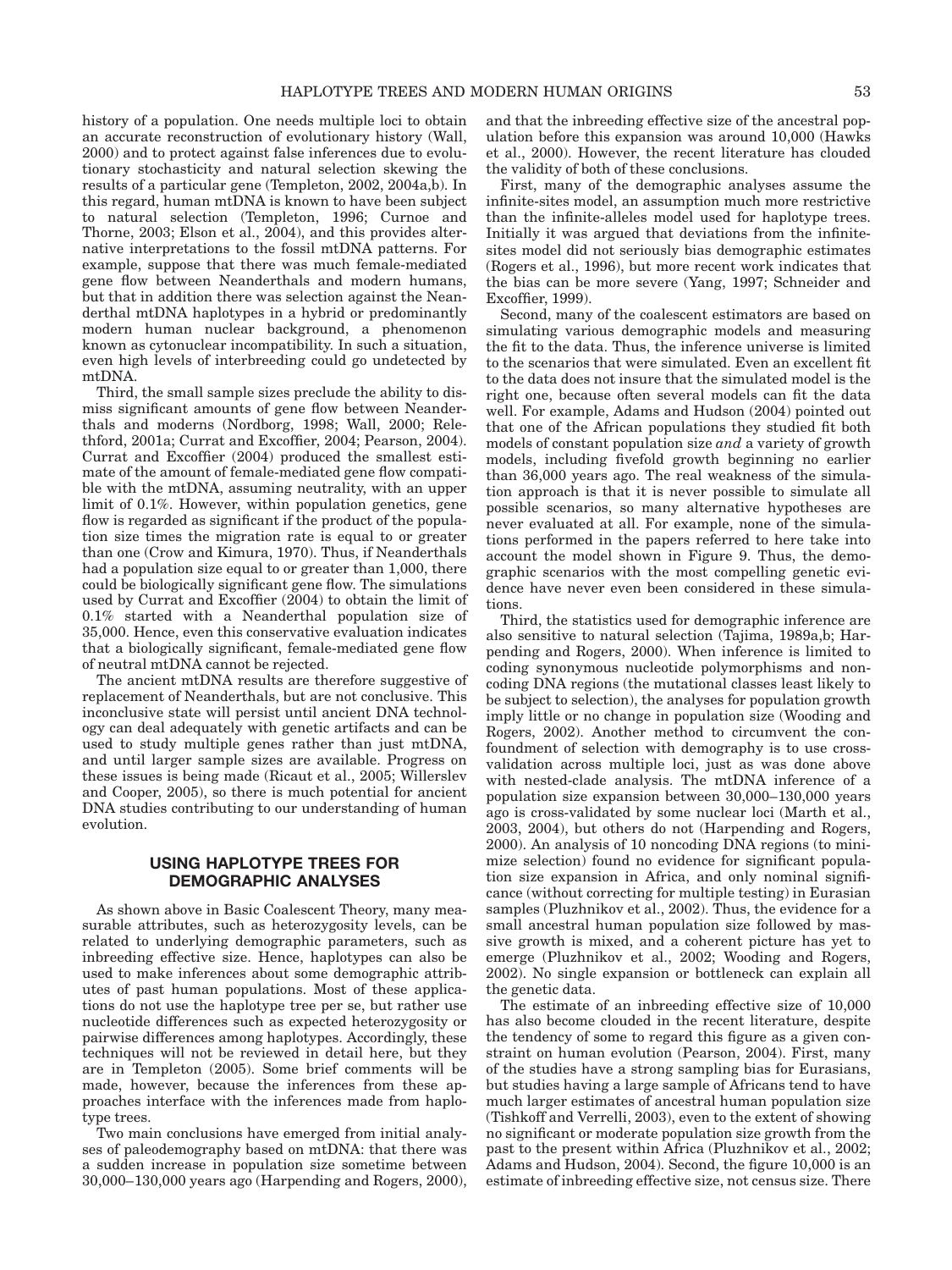history of a population. One needs multiple loci to obtain an accurate reconstruction of evolutionary history (Wall, 2000) and to protect against false inferences due to evolutionary stochasticity and natural selection skewing the results of a particular gene (Templeton, 2002, 2004a,b). In this regard, human mtDNA is known to have been subject to natural selection (Templeton, 1996; Curnoe and Thorne, 2003; Elson et al., 2004), and this provides alternative interpretations to the fossil mtDNA patterns. For example, suppose that there was much female-mediated gene flow between Neanderthals and modern humans, but that in addition there was selection against the Neanderthal mtDNA haplotypes in a hybrid or predominantly modern human nuclear background, a phenomenon known as cytonuclear incompatibility. In such a situation, even high levels of interbreeding could go undetected by mtDNA.

Third, the small sample sizes preclude the ability to dismiss significant amounts of gene flow between Neanderthals and moderns (Nordborg, 1998; Wall, 2000; Relethford, 2001a; Currat and Excoffier, 2004; Pearson, 2004). Currat and Excoffier (2004) produced the smallest estimate of the amount of female-mediated gene flow compatible with the mtDNA, assuming neutrality, with an upper limit of 0.1%. However, within population genetics, gene flow is regarded as significant if the product of the population size times the migration rate is equal to or greater than one (Crow and Kimura, 1970). Thus, if Neanderthals had a population size equal to or greater than 1,000, there could be biologically significant gene flow. The simulations used by Currat and Excoffier (2004) to obtain the limit of 0.1% started with a Neanderthal population size of 35,000. Hence, even this conservative evaluation indicates that a biologically significant, female-mediated gene flow of neutral mtDNA cannot be rejected.

The ancient mtDNA results are therefore suggestive of replacement of Neanderthals, but are not conclusive. This inconclusive state will persist until ancient DNA technology can deal adequately with genetic artifacts and can be used to study multiple genes rather than just mtDNA, and until larger sample sizes are available. Progress on these issues is being made (Ricaut et al., 2005; Willerslev and Cooper, 2005), so there is much potential for ancient DNA studies contributing to our understanding of human evolution.

## USING HAPLOTYPE TREES FOR DEMOGRAPHIC ANALYSES

As shown above in Basic Coalescent Theory, many measurable attributes, such as heterozygosity levels, can be related to underlying demographic parameters, such as inbreeding effective size. Hence, haplotypes can also be used to make inferences about some demographic attributes of past human populations. Most of these applications do not use the haplotype tree per se, but rather use nucleotide differences such as expected heterozygosity or pairwise differences among haplotypes. Accordingly, these techniques will not be reviewed in detail here, but they are in Templeton (2005). Some brief comments will be made, however, because the inferences from these approaches interface with the inferences made from haplotype trees.

Two main conclusions have emerged from initial analyses of paleodemography based on mtDNA: that there was a sudden increase in population size sometime between 30,000–130,000 years ago (Harpending and Rogers, 2000), and that the inbreeding effective size of the ancestral population before this expansion was around 10,000 (Hawks et al., 2000). However, the recent literature has clouded the validity of both of these conclusions.

First, many of the demographic analyses assume the infinite-sites model, an assumption much more restrictive than the infinite-alleles model used for haplotype trees. Initially it was argued that deviations from the infinitesites model did not seriously bias demographic estimates (Rogers et al., 1996), but more recent work indicates that the bias can be more severe (Yang, 1997; Schneider and Excoffier, 1999).

Second, many of the coalescent estimators are based on simulating various demographic models and measuring the fit to the data. Thus, the inference universe is limited to the scenarios that were simulated. Even an excellent fit to the data does not insure that the simulated model is the right one, because often several models can fit the data well. For example, Adams and Hudson (2004) pointed out that one of the African populations they studied fit both models of constant population size and a variety of growth models, including fivefold growth beginning no earlier than 36,000 years ago. The real weakness of the simulation approach is that it is never possible to simulate all possible scenarios, so many alternative hypotheses are never evaluated at all. For example, none of the simulations performed in the papers referred to here take into account the model shown in Figure 9. Thus, the demographic scenarios with the most compelling genetic evidence have never even been considered in these simulations.

Third, the statistics used for demographic inference are also sensitive to natural selection (Tajima, 1989a,b; Harpending and Rogers, 2000). When inference is limited to coding synonymous nucleotide polymorphisms and noncoding DNA regions (the mutational classes least likely to be subject to selection), the analyses for population growth imply little or no change in population size (Wooding and Rogers, 2002). Another method to circumvent the confoundment of selection with demography is to use crossvalidation across multiple loci, just as was done above with nested-clade analysis. The mtDNA inference of a population size expansion between 30,000–130,000 years ago is cross-validated by some nuclear loci (Marth et al., 2003, 2004), but others do not (Harpending and Rogers, 2000). An analysis of 10 noncoding DNA regions (to minimize selection) found no evidence for significant population size expansion in Africa, and only nominal significance (without correcting for multiple testing) in Eurasian samples (Pluzhnikov et al., 2002). Thus, the evidence for a small ancestral human population size followed by massive growth is mixed, and a coherent picture has yet to emerge (Pluzhnikov et al., 2002; Wooding and Rogers, 2002). No single expansion or bottleneck can explain all the genetic data.

The estimate of an inbreeding effective size of 10,000 has also become clouded in the recent literature, despite the tendency of some to regard this figure as a given constraint on human evolution (Pearson, 2004). First, many of the studies have a strong sampling bias for Eurasians, but studies having a large sample of Africans tend to have much larger estimates of ancestral human population size (Tishkoff and Verrelli, 2003), even to the extent of showing no significant or moderate population size growth from the past to the present within Africa (Pluzhnikov et al., 2002; Adams and Hudson, 2004). Second, the figure 10,000 is an estimate of inbreeding effective size, not census size. There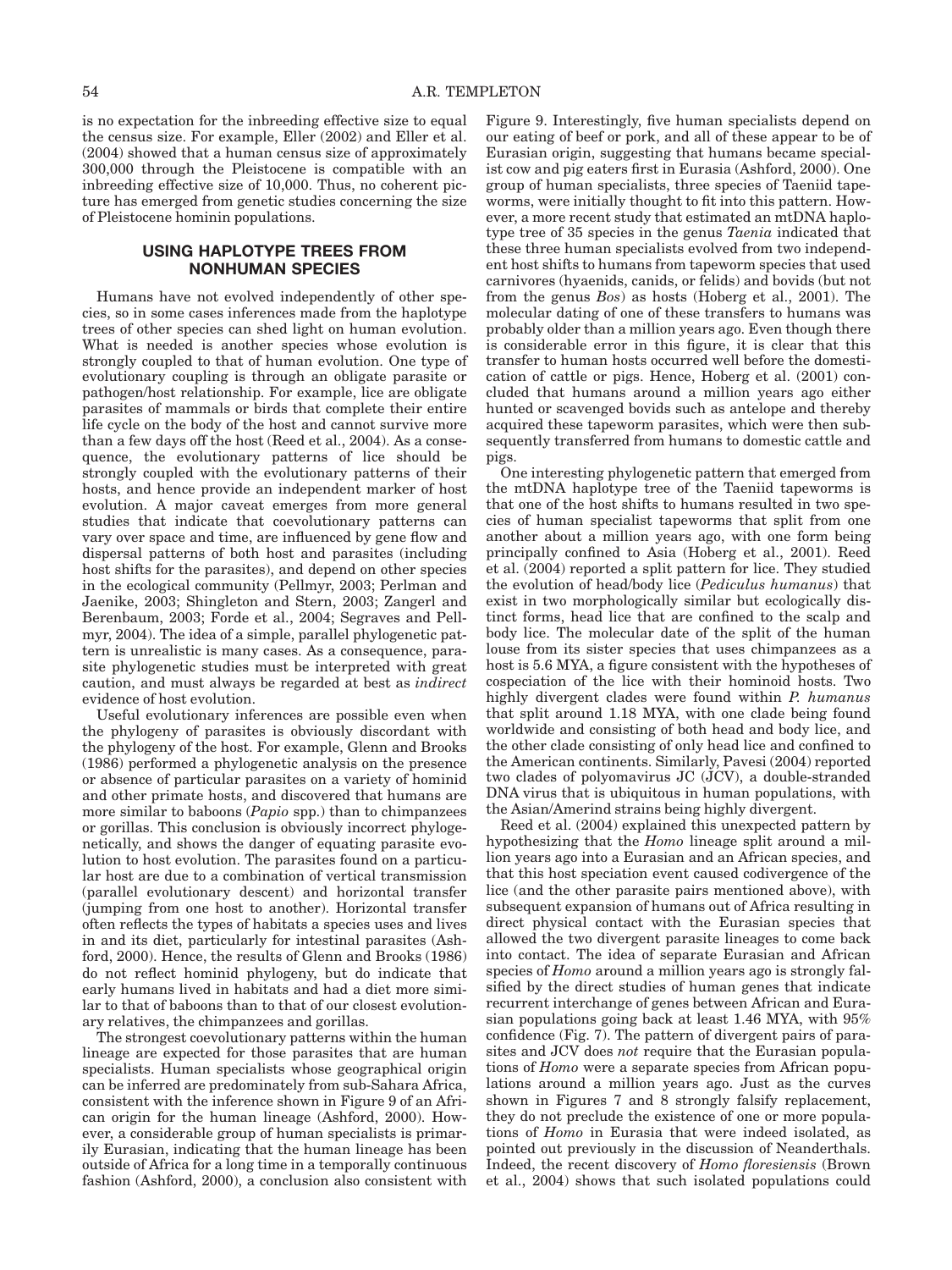is no expectation for the inbreeding effective size to equal the census size. For example, Eller (2002) and Eller et al. (2004) showed that a human census size of approximately 300,000 through the Pleistocene is compatible with an inbreeding effective size of 10,000. Thus, no coherent picture has emerged from genetic studies concerning the size of Pleistocene hominin populations.

# USING HAPLOTYPE TREES FROM NONHUMAN SPECIES

Humans have not evolved independently of other species, so in some cases inferences made from the haplotype trees of other species can shed light on human evolution. What is needed is another species whose evolution is strongly coupled to that of human evolution. One type of evolutionary coupling is through an obligate parasite or pathogen/host relationship. For example, lice are obligate parasites of mammals or birds that complete their entire life cycle on the body of the host and cannot survive more than a few days off the host (Reed et al., 2004). As a consequence, the evolutionary patterns of lice should be strongly coupled with the evolutionary patterns of their hosts, and hence provide an independent marker of host evolution. A major caveat emerges from more general studies that indicate that coevolutionary patterns can vary over space and time, are influenced by gene flow and dispersal patterns of both host and parasites (including host shifts for the parasites), and depend on other species in the ecological community (Pellmyr, 2003; Perlman and Jaenike, 2003; Shingleton and Stern, 2003; Zangerl and Berenbaum, 2003; Forde et al., 2004; Segraves and Pellmyr, 2004). The idea of a simple, parallel phylogenetic pattern is unrealistic is many cases. As a consequence, parasite phylogenetic studies must be interpreted with great caution, and must always be regarded at best as indirect evidence of host evolution.

Useful evolutionary inferences are possible even when the phylogeny of parasites is obviously discordant with the phylogeny of the host. For example, Glenn and Brooks (1986) performed a phylogenetic analysis on the presence or absence of particular parasites on a variety of hominid and other primate hosts, and discovered that humans are more similar to baboons (Papio spp.) than to chimpanzees or gorillas. This conclusion is obviously incorrect phylogenetically, and shows the danger of equating parasite evolution to host evolution. The parasites found on a particular host are due to a combination of vertical transmission (parallel evolutionary descent) and horizontal transfer (jumping from one host to another). Horizontal transfer often reflects the types of habitats a species uses and lives in and its diet, particularly for intestinal parasites (Ashford, 2000). Hence, the results of Glenn and Brooks (1986) do not reflect hominid phylogeny, but do indicate that early humans lived in habitats and had a diet more similar to that of baboons than to that of our closest evolutionary relatives, the chimpanzees and gorillas.

The strongest coevolutionary patterns within the human lineage are expected for those parasites that are human specialists. Human specialists whose geographical origin can be inferred are predominately from sub-Sahara Africa, consistent with the inference shown in Figure 9 of an African origin for the human lineage (Ashford, 2000). However, a considerable group of human specialists is primarily Eurasian, indicating that the human lineage has been outside of Africa for a long time in a temporally continuous fashion (Ashford, 2000), a conclusion also consistent with Figure 9. Interestingly, five human specialists depend on our eating of beef or pork, and all of these appear to be of Eurasian origin, suggesting that humans became specialist cow and pig eaters first in Eurasia (Ashford, 2000). One group of human specialists, three species of Taeniid tapeworms, were initially thought to fit into this pattern. However, a more recent study that estimated an mtDNA haplotype tree of 35 species in the genus Taenia indicated that these three human specialists evolved from two independent host shifts to humans from tapeworm species that used carnivores (hyaenids, canids, or felids) and bovids (but not from the genus Bos) as hosts (Hoberg et al., 2001). The molecular dating of one of these transfers to humans was probably older than a million years ago. Even though there is considerable error in this figure, it is clear that this transfer to human hosts occurred well before the domestication of cattle or pigs. Hence, Hoberg et al. (2001) concluded that humans around a million years ago either hunted or scavenged bovids such as antelope and thereby acquired these tapeworm parasites, which were then subsequently transferred from humans to domestic cattle and pigs.

One interesting phylogenetic pattern that emerged from the mtDNA haplotype tree of the Taeniid tapeworms is that one of the host shifts to humans resulted in two species of human specialist tapeworms that split from one another about a million years ago, with one form being principally confined to Asia (Hoberg et al., 2001). Reed et al. (2004) reported a split pattern for lice. They studied the evolution of head/body lice (Pediculus humanus) that exist in two morphologically similar but ecologically distinct forms, head lice that are confined to the scalp and body lice. The molecular date of the split of the human louse from its sister species that uses chimpanzees as a host is 5.6 MYA, a figure consistent with the hypotheses of cospeciation of the lice with their hominoid hosts. Two highly divergent clades were found within P. humanus that split around 1.18 MYA, with one clade being found worldwide and consisting of both head and body lice, and the other clade consisting of only head lice and confined to the American continents. Similarly, Pavesi (2004) reported two clades of polyomavirus JC (JCV), a double-stranded DNA virus that is ubiquitous in human populations, with the Asian/Amerind strains being highly divergent.

Reed et al. (2004) explained this unexpected pattern by hypothesizing that the Homo lineage split around a million years ago into a Eurasian and an African species, and that this host speciation event caused codivergence of the lice (and the other parasite pairs mentioned above), with subsequent expansion of humans out of Africa resulting in direct physical contact with the Eurasian species that allowed the two divergent parasite lineages to come back into contact. The idea of separate Eurasian and African species of Homo around a million years ago is strongly falsified by the direct studies of human genes that indicate recurrent interchange of genes between African and Eurasian populations going back at least 1.46 MYA, with 95% confidence (Fig. 7). The pattern of divergent pairs of parasites and JCV does not require that the Eurasian populations of Homo were a separate species from African populations around a million years ago. Just as the curves shown in Figures 7 and 8 strongly falsify replacement, they do not preclude the existence of one or more populations of Homo in Eurasia that were indeed isolated, as pointed out previously in the discussion of Neanderthals. Indeed, the recent discovery of Homo floresiensis (Brown et al., 2004) shows that such isolated populations could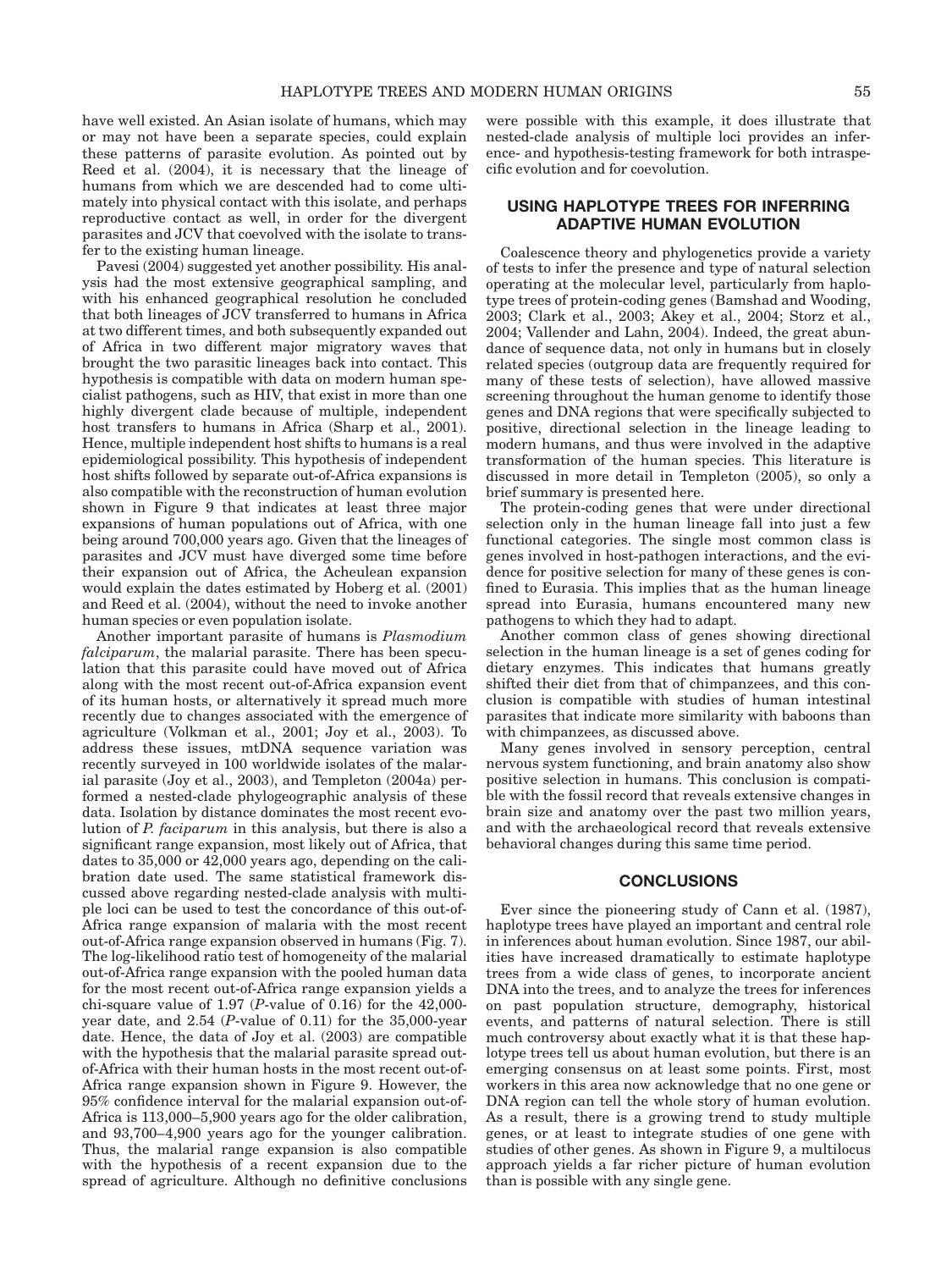have well existed. An Asian isolate of humans, which may or may not have been a separate species, could explain these patterns of parasite evolution. As pointed out by Reed et al. (2004), it is necessary that the lineage of humans from which we are descended had to come ultimately into physical contact with this isolate, and perhaps reproductive contact as well, in order for the divergent parasites and JCV that coevolved with the isolate to transfer to the existing human lineage.

Pavesi (2004) suggested yet another possibility. His analysis had the most extensive geographical sampling, and with his enhanced geographical resolution he concluded that both lineages of JCV transferred to humans in Africa at two different times, and both subsequently expanded out of Africa in two different major migratory waves that brought the two parasitic lineages back into contact. This hypothesis is compatible with data on modern human specialist pathogens, such as HIV, that exist in more than one highly divergent clade because of multiple, independent host transfers to humans in Africa (Sharp et al., 2001). Hence, multiple independent host shifts to humans is a real epidemiological possibility. This hypothesis of independent host shifts followed by separate out-of-Africa expansions is also compatible with the reconstruction of human evolution shown in Figure 9 that indicates at least three major expansions of human populations out of Africa, with one being around 700,000 years ago. Given that the lineages of parasites and JCV must have diverged some time before their expansion out of Africa, the Acheulean expansion would explain the dates estimated by Hoberg et al. (2001) and Reed et al. (2004), without the need to invoke another human species or even population isolate.

Another important parasite of humans is Plasmodium falciparum, the malarial parasite. There has been speculation that this parasite could have moved out of Africa along with the most recent out-of-Africa expansion event of its human hosts, or alternatively it spread much more recently due to changes associated with the emergence of agriculture (Volkman et al., 2001; Joy et al., 2003). To address these issues, mtDNA sequence variation was recently surveyed in 100 worldwide isolates of the malarial parasite (Joy et al., 2003), and Templeton (2004a) performed a nested-clade phylogeographic analysis of these data. Isolation by distance dominates the most recent evolution of P. faciparum in this analysis, but there is also a significant range expansion, most likely out of Africa, that dates to 35,000 or 42,000 years ago, depending on the calibration date used. The same statistical framework discussed above regarding nested-clade analysis with multiple loci can be used to test the concordance of this out-of-Africa range expansion of malaria with the most recent out-of-Africa range expansion observed in humans (Fig. 7). The log-likelihood ratio test of homogeneity of the malarial out-of-Africa range expansion with the pooled human data for the most recent out-of-Africa range expansion yields a chi-square value of 1.97 (P-value of 0.16) for the 42,000 year date, and 2.54 (P-value of 0.11) for the 35,000-year date. Hence, the data of Joy et al. (2003) are compatible with the hypothesis that the malarial parasite spread outof-Africa with their human hosts in the most recent out-of-Africa range expansion shown in Figure 9. However, the 95% confidence interval for the malarial expansion out-of-Africa is 113,000–5,900 years ago for the older calibration, and 93,700–4,900 years ago for the younger calibration. Thus, the malarial range expansion is also compatible with the hypothesis of a recent expansion due to the spread of agriculture. Although no definitive conclusions

were possible with this example, it does illustrate that nested-clade analysis of multiple loci provides an inference- and hypothesis-testing framework for both intraspecific evolution and for coevolution.

#### USING HAPLOTYPE TREES FOR INFERRING ADAPTIVE HUMAN EVOLUTION

Coalescence theory and phylogenetics provide a variety of tests to infer the presence and type of natural selection operating at the molecular level, particularly from haplotype trees of protein-coding genes (Bamshad and Wooding, 2003; Clark et al., 2003; Akey et al., 2004; Storz et al., 2004; Vallender and Lahn, 2004). Indeed, the great abundance of sequence data, not only in humans but in closely related species (outgroup data are frequently required for many of these tests of selection), have allowed massive screening throughout the human genome to identify those genes and DNA regions that were specifically subjected to positive, directional selection in the lineage leading to modern humans, and thus were involved in the adaptive transformation of the human species. This literature is discussed in more detail in Templeton (2005), so only a brief summary is presented here.

The protein-coding genes that were under directional selection only in the human lineage fall into just a few functional categories. The single most common class is genes involved in host-pathogen interactions, and the evidence for positive selection for many of these genes is confined to Eurasia. This implies that as the human lineage spread into Eurasia, humans encountered many new pathogens to which they had to adapt.

Another common class of genes showing directional selection in the human lineage is a set of genes coding for dietary enzymes. This indicates that humans greatly shifted their diet from that of chimpanzees, and this conclusion is compatible with studies of human intestinal parasites that indicate more similarity with baboons than with chimpanzees, as discussed above.

Many genes involved in sensory perception, central nervous system functioning, and brain anatomy also show positive selection in humans. This conclusion is compatible with the fossil record that reveals extensive changes in brain size and anatomy over the past two million years, and with the archaeological record that reveals extensive behavioral changes during this same time period.

# CONCLUSIONS

Ever since the pioneering study of Cann et al. (1987), haplotype trees have played an important and central role in inferences about human evolution. Since 1987, our abilities have increased dramatically to estimate haplotype trees from a wide class of genes, to incorporate ancient DNA into the trees, and to analyze the trees for inferences on past population structure, demography, historical events, and patterns of natural selection. There is still much controversy about exactly what it is that these haplotype trees tell us about human evolution, but there is an emerging consensus on at least some points. First, most workers in this area now acknowledge that no one gene or DNA region can tell the whole story of human evolution. As a result, there is a growing trend to study multiple genes, or at least to integrate studies of one gene with studies of other genes. As shown in Figure 9, a multilocus approach yields a far richer picture of human evolution than is possible with any single gene.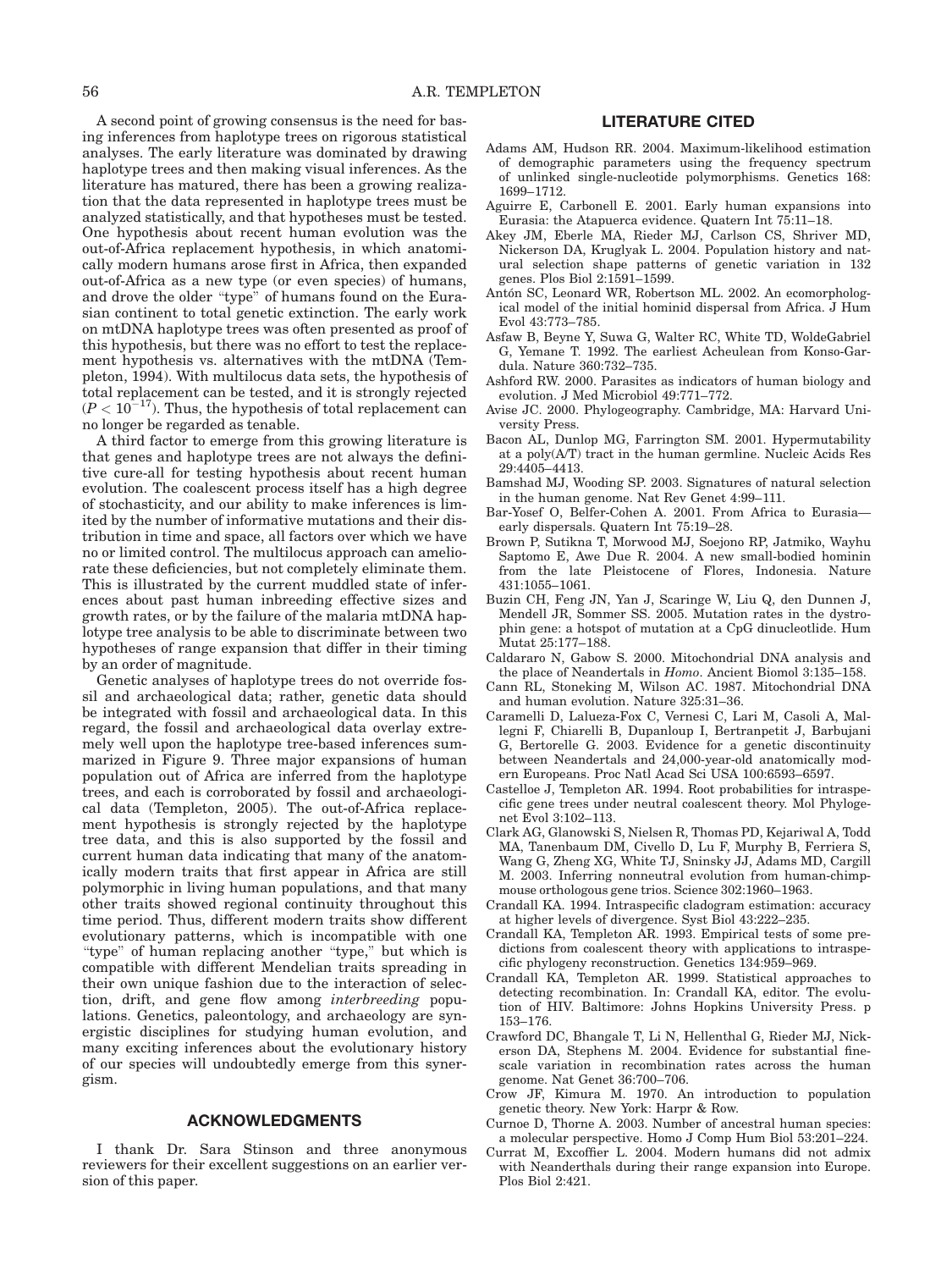A second point of growing consensus is the need for basing inferences from haplotype trees on rigorous statistical analyses. The early literature was dominated by drawing haplotype trees and then making visual inferences. As the literature has matured, there has been a growing realization that the data represented in haplotype trees must be analyzed statistically, and that hypotheses must be tested. One hypothesis about recent human evolution was the out-of-Africa replacement hypothesis, in which anatomically modern humans arose first in Africa, then expanded out-of-Africa as a new type (or even species) of humans, and drove the older "type" of humans found on the Eurasian continent to total genetic extinction. The early work on mtDNA haplotype trees was often presented as proof of this hypothesis, but there was no effort to test the replacement hypothesis vs. alternatives with the mtDNA (Templeton, 1994). With multilocus data sets, the hypothesis of total replacement can be tested, and it is strongly rejected  $(P < 10^{-17})$ . Thus, the hypothesis of total replacement can no longer be regarded as tenable.

A third factor to emerge from this growing literature is that genes and haplotype trees are not always the definitive cure-all for testing hypothesis about recent human evolution. The coalescent process itself has a high degree of stochasticity, and our ability to make inferences is limited by the number of informative mutations and their distribution in time and space, all factors over which we have no or limited control. The multilocus approach can ameliorate these deficiencies, but not completely eliminate them. This is illustrated by the current muddled state of inferences about past human inbreeding effective sizes and growth rates, or by the failure of the malaria mtDNA haplotype tree analysis to be able to discriminate between two hypotheses of range expansion that differ in their timing by an order of magnitude.

Genetic analyses of haplotype trees do not override fossil and archaeological data; rather, genetic data should be integrated with fossil and archaeological data. In this regard, the fossil and archaeological data overlay extremely well upon the haplotype tree-based inferences summarized in Figure 9. Three major expansions of human population out of Africa are inferred from the haplotype trees, and each is corroborated by fossil and archaeological data (Templeton, 2005). The out-of-Africa replacement hypothesis is strongly rejected by the haplotype tree data, and this is also supported by the fossil and current human data indicating that many of the anatomically modern traits that first appear in Africa are still polymorphic in living human populations, and that many other traits showed regional continuity throughout this time period. Thus, different modern traits show different evolutionary patterns, which is incompatible with one "type" of human replacing another "type," but which is compatible with different Mendelian traits spreading in their own unique fashion due to the interaction of selection, drift, and gene flow among interbreeding populations. Genetics, paleontology, and archaeology are synergistic disciplines for studying human evolution, and many exciting inferences about the evolutionary history of our species will undoubtedly emerge from this synergism.

#### ACKNOWLEDGMENTS

I thank Dr. Sara Stinson and three anonymous reviewers for their excellent suggestions on an earlier version of this paper.

#### LITERATURE CITED

- Adams AM, Hudson RR. 2004. Maximum-likelihood estimation of demographic parameters using the frequency spectrum of unlinked single-nucleotide polymorphisms. Genetics 168: 1699–1712.
- Aguirre E, Carbonell E. 2001. Early human expansions into Eurasia: the Atapuerca evidence. Quatern Int 75:11–18.
- Akey JM, Eberle MA, Rieder MJ, Carlson CS, Shriver MD, Nickerson DA, Kruglyak L. 2004. Population history and natural selection shape patterns of genetic variation in 132 genes. Plos Biol 2:1591–1599.
- Antón SC, Leonard WR, Robertson ML. 2002. An ecomorphological model of the initial hominid dispersal from Africa. J Hum Evol 43:773–785.
- Asfaw B, Beyne Y, Suwa G, Walter RC, White TD, WoldeGabriel G, Yemane T. 1992. The earliest Acheulean from Konso-Gardula. Nature 360:732–735.
- Ashford RW. 2000. Parasites as indicators of human biology and evolution. J Med Microbiol 49:771–772.
- Avise JC. 2000. Phylogeography. Cambridge, MA: Harvard University Press.
- Bacon AL, Dunlop MG, Farrington SM. 2001. Hypermutability at a poly(A/T) tract in the human germline. Nucleic Acids Res 29:4405–4413.
- Bamshad MJ, Wooding SP. 2003. Signatures of natural selection in the human genome. Nat Rev Genet 4:99–111.
- Bar-Yosef O, Belfer-Cohen A. 2001. From Africa to Eurasia early dispersals. Quatern Int 75:19–28.
- Brown P, Sutikna T, Morwood MJ, Soejono RP, Jatmiko, Wayhu Saptomo E, Awe Due R. 2004. A new small-bodied hominin from the late Pleistocene of Flores, Indonesia. Nature 431:1055–1061.
- Buzin CH, Feng JN, Yan J, Scaringe W, Liu Q, den Dunnen J, Mendell JR, Sommer SS. 2005. Mutation rates in the dystrophin gene: a hotspot of mutation at a CpG dinucleotlide. Hum Mutat 25:177–188.
- Caldararo N, Gabow S. 2000. Mitochondrial DNA analysis and the place of Neandertals in Homo. Ancient Biomol 3:135–158.
- Cann RL, Stoneking M, Wilson AC. 1987. Mitochondrial DNA and human evolution. Nature 325:31–36.
- Caramelli D, Lalueza-Fox C, Vernesi C, Lari M, Casoli A, Mallegni F, Chiarelli B, Dupanloup I, Bertranpetit J, Barbujani G, Bertorelle G. 2003. Evidence for a genetic discontinuity between Neandertals and 24,000-year-old anatomically modern Europeans. Proc Natl Acad Sci USA 100:6593–6597.
- Castelloe J, Templeton AR. 1994. Root probabilities for intraspecific gene trees under neutral coalescent theory. Mol Phylogenet Evol 3:102–113.
- Clark AG, Glanowski S, Nielsen R, Thomas PD, Kejariwal A, Todd MA, Tanenbaum DM, Civello D, Lu F, Murphy B, Ferriera S, Wang G, Zheng XG, White TJ, Sninsky JJ, Adams MD, Cargill M. 2003. Inferring nonneutral evolution from human-chimpmouse orthologous gene trios. Science 302:1960–1963.
- Crandall KA. 1994. Intraspecific cladogram estimation: accuracy at higher levels of divergence. Syst Biol 43:222–235.
- Crandall KA, Templeton AR. 1993. Empirical tests of some predictions from coalescent theory with applications to intraspecific phylogeny reconstruction. Genetics 134:959–969.
- Crandall KA, Templeton AR. 1999. Statistical approaches to detecting recombination. In: Crandall KA, editor. The evolution of HIV. Baltimore: Johns Hopkins University Press. p 153–176.
- Crawford DC, Bhangale T, Li N, Hellenthal G, Rieder MJ, Nickerson DA, Stephens M. 2004. Evidence for substantial finescale variation in recombination rates across the human genome. Nat Genet 36:700–706.
- Crow JF, Kimura M. 1970. An introduction to population genetic theory. New York: Harpr & Row.
- Curnoe D, Thorne A. 2003. Number of ancestral human species: a molecular perspective. Homo J Comp Hum Biol 53:201–224.
- Currat M, Excoffier L. 2004. Modern humans did not admix with Neanderthals during their range expansion into Europe. Plos Biol 2:421.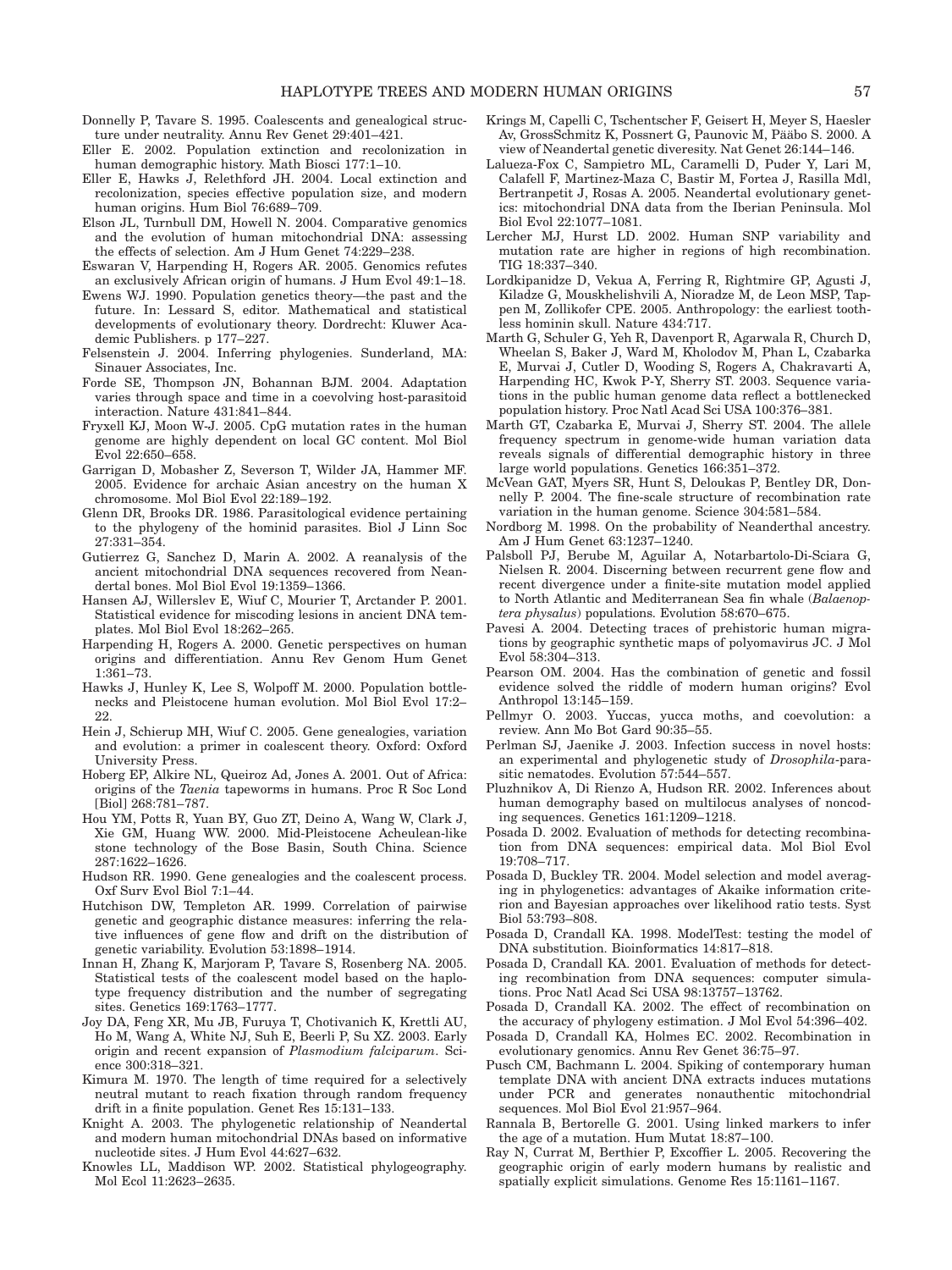- Donnelly P, Tavare S. 1995. Coalescents and genealogical structure under neutrality. Annu Rev Genet 29:401–421.
- Eller E. 2002. Population extinction and recolonization in human demographic history. Math Biosci 177:1–10.
- Eller E, Hawks J, Relethford JH. 2004. Local extinction and recolonization, species effective population size, and modern human origins. Hum Biol 76:689–709.
- Elson JL, Turnbull DM, Howell N. 2004. Comparative genomics and the evolution of human mitochondrial DNA: assessing the effects of selection. Am J Hum Genet 74:229–238.
- Eswaran V, Harpending H, Rogers AR. 2005. Genomics refutes an exclusively African origin of humans. J Hum Evol 49:1–18.
- Ewens WJ. 1990. Population genetics theory—the past and the future. In: Lessard S, editor. Mathematical and statistical developments of evolutionary theory. Dordrecht: Kluwer Academic Publishers. p 177–227.
- Felsenstein J. 2004. Inferring phylogenies. Sunderland, MA: Sinauer Associates, Inc.
- Forde SE, Thompson JN, Bohannan BJM. 2004. Adaptation varies through space and time in a coevolving host-parasitoid interaction. Nature 431:841–844.
- Fryxell KJ, Moon W-J. 2005. CpG mutation rates in the human genome are highly dependent on local GC content. Mol Biol Evol 22:650–658.
- Garrigan D, Mobasher Z, Severson T, Wilder JA, Hammer MF. 2005. Evidence for archaic Asian ancestry on the human X chromosome. Mol Biol Evol 22:189–192.
- Glenn DR, Brooks DR. 1986. Parasitological evidence pertaining to the phylogeny of the hominid parasites. Biol J Linn Soc 27:331–354.
- Gutierrez G, Sanchez D, Marin A. 2002. A reanalysis of the ancient mitochondrial DNA sequences recovered from Neandertal bones. Mol Biol Evol 19:1359–1366.
- Hansen AJ, Willerslev E, Wiuf C, Mourier T, Arctander P. 2001. Statistical evidence for miscoding lesions in ancient DNA templates. Mol Biol Evol 18:262–265.
- Harpending H, Rogers A. 2000. Genetic perspectives on human origins and differentiation. Annu Rev Genom Hum Genet 1:361–73.
- Hawks J, Hunley K, Lee S, Wolpoff M. 2000. Population bottlenecks and Pleistocene human evolution. Mol Biol Evol 17:2– 22.
- Hein J, Schierup MH, Wiuf C. 2005. Gene genealogies, variation and evolution: a primer in coalescent theory. Oxford: Oxford University Press.
- Hoberg EP, Alkire NL, Queiroz Ad, Jones A. 2001. Out of Africa: origins of the Taenia tapeworms in humans. Proc R Soc Lond [Biol] 268:781–787.
- Hou YM, Potts R, Yuan BY, Guo ZT, Deino A, Wang W, Clark J, Xie GM, Huang WW. 2000. Mid-Pleistocene Acheulean-like stone technology of the Bose Basin, South China. Science 287:1622–1626.
- Hudson RR. 1990. Gene genealogies and the coalescent process. Oxf Surv Evol Biol 7:1–44.
- Hutchison DW, Templeton AR. 1999. Correlation of pairwise genetic and geographic distance measures: inferring the relative influences of gene flow and drift on the distribution of genetic variability. Evolution 53:1898–1914.
- Innan H, Zhang K, Marjoram P, Tavare S, Rosenberg NA. 2005. Statistical tests of the coalescent model based on the haplotype frequency distribution and the number of segregating sites. Genetics 169:1763–1777.
- Joy DA, Feng XR, Mu JB, Furuya T, Chotivanich K, Krettli AU, Ho M, Wang A, White NJ, Suh E, Beerli P, Su XZ. 2003. Early origin and recent expansion of Plasmodium falciparum. Science 300:318–321.
- Kimura M. 1970. The length of time required for a selectively neutral mutant to reach fixation through random frequency drift in a finite population. Genet Res 15:131–133.
- Knight A. 2003. The phylogenetic relationship of Neandertal and modern human mitochondrial DNAs based on informative nucleotide sites. J Hum Evol 44:627–632.
- Knowles LL, Maddison WP. 2002. Statistical phylogeography. Mol Ecol 11:2623–2635.
- Krings M, Capelli C, Tschentscher F, Geisert H, Meyer S, Haesler Av, GrossSchmitz K, Possnert G, Paunovic M, Pääbo S. 2000. A view of Neandertal genetic diveresity. Nat Genet 26:144–146.
- Lalueza-Fox C, Sampietro ML, Caramelli D, Puder Y, Lari M, Calafell F, Martinez-Maza C, Bastir M, Fortea J, Rasilla Mdl, Bertranpetit J, Rosas A. 2005. Neandertal evolutionary genetics: mitochondrial DNA data from the Iberian Peninsula. Mol Biol Evol 22:1077–1081.
- Lercher MJ, Hurst LD. 2002. Human SNP variability and mutation rate are higher in regions of high recombination. TIG 18:337–340.
- Lordkipanidze D, Vekua A, Ferring R, Rightmire GP, Agusti J, Kiladze G, Mouskhelishvili A, Nioradze M, de Leon MSP, Tappen M, Zollikofer CPE. 2005. Anthropology: the earliest toothless hominin skull. Nature 434:717.
- Marth G, Schuler G, Yeh R, Davenport R, Agarwala R, Church D, Wheelan S, Baker J, Ward M, Kholodov M, Phan L, Czabarka E, Murvai J, Cutler D, Wooding S, Rogers A, Chakravarti A, Harpending HC, Kwok P-Y, Sherry ST. 2003. Sequence variations in the public human genome data reflect a bottlenecked population history. Proc Natl Acad Sci USA 100:376–381.
- Marth GT, Czabarka E, Murvai J, Sherry ST. 2004. The allele frequency spectrum in genome-wide human variation data reveals signals of differential demographic history in three large world populations. Genetics 166:351–372.
- McVean GAT, Myers SR, Hunt S, Deloukas P, Bentley DR, Donnelly P. 2004. The fine-scale structure of recombination rate variation in the human genome. Science 304:581–584.
- Nordborg M. 1998. On the probability of Neanderthal ancestry. Am J Hum Genet 63:1237–1240.
- Palsboll PJ, Berube M, Aguilar A, Notarbartolo-Di-Sciara G, Nielsen R. 2004. Discerning between recurrent gene flow and recent divergence under a finite-site mutation model applied to North Atlantic and Mediterranean Sea fin whale (Balaenoptera physalus) populations. Evolution 58:670–675.
- Pavesi A. 2004. Detecting traces of prehistoric human migrations by geographic synthetic maps of polyomavirus JC. J Mol Evol 58:304–313.
- Pearson OM. 2004. Has the combination of genetic and fossil evidence solved the riddle of modern human origins? Evol Anthropol 13:145–159.
- Pellmyr O. 2003. Yuccas, yucca moths, and coevolution: a review. Ann Mo Bot Gard 90:35–55.
- Perlman SJ, Jaenike J. 2003. Infection success in novel hosts: an experimental and phylogenetic study of Drosophila-parasitic nematodes. Evolution 57:544–557.
- Pluzhnikov A, Di Rienzo A, Hudson RR. 2002. Inferences about human demography based on multilocus analyses of noncoding sequences. Genetics 161:1209–1218.
- Posada D. 2002. Evaluation of methods for detecting recombination from DNA sequences: empirical data. Mol Biol Evol 19:708–717.
- Posada D, Buckley TR. 2004. Model selection and model averaging in phylogenetics: advantages of Akaike information criterion and Bayesian approaches over likelihood ratio tests. Syst Biol 53:793–808.
- Posada D, Crandall KA. 1998. ModelTest: testing the model of DNA substitution. Bioinformatics 14:817–818.
- Posada D, Crandall KA. 2001. Evaluation of methods for detecting recombination from DNA sequences: computer simulations. Proc Natl Acad Sci USA 98:13757–13762.
- Posada D, Crandall KA. 2002. The effect of recombination on the accuracy of phylogeny estimation. J Mol Evol 54:396–402.
- Posada D, Crandall KA, Holmes EC. 2002. Recombination in evolutionary genomics. Annu Rev Genet 36:75–97.
- Pusch CM, Bachmann L. 2004. Spiking of contemporary human template DNA with ancient DNA extracts induces mutations under PCR and generates nonauthentic mitochondrial sequences. Mol Biol Evol 21:957–964.
- Rannala B, Bertorelle G. 2001. Using linked markers to infer the age of a mutation. Hum Mutat 18:87–100.
- Ray N, Currat M, Berthier P, Excoffier L. 2005. Recovering the geographic origin of early modern humans by realistic and spatially explicit simulations. Genome Res 15:1161–1167.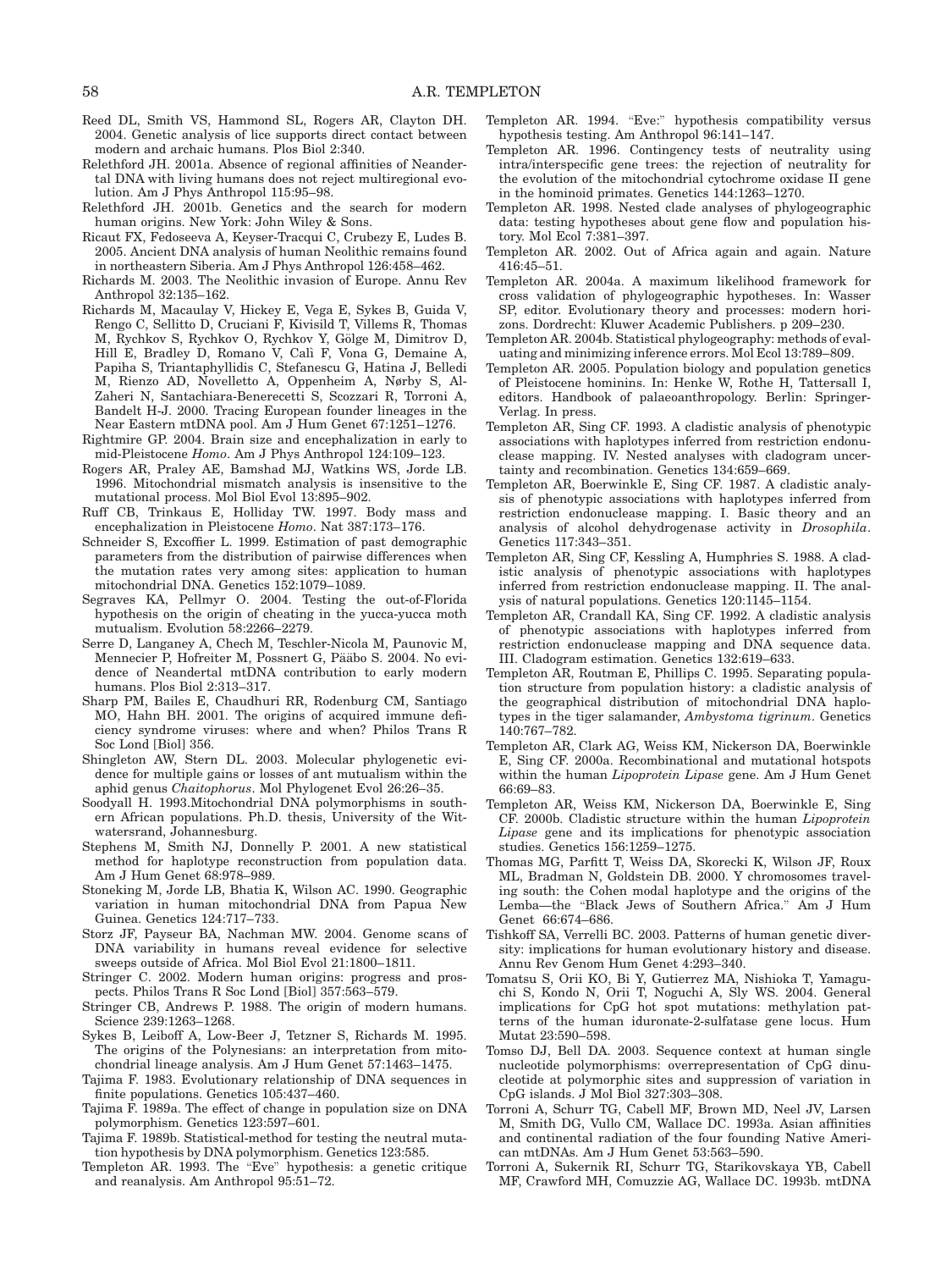- Reed DL, Smith VS, Hammond SL, Rogers AR, Clayton DH. 2004. Genetic analysis of lice supports direct contact between modern and archaic humans. Plos Biol 2:340.
- Relethford JH. 2001a. Absence of regional affinities of Neandertal DNA with living humans does not reject multiregional evolution. Am J Phys Anthropol 115:95–98.
- Relethford JH. 2001b. Genetics and the search for modern human origins. New York: John Wiley & Sons.
- Ricaut FX, Fedoseeva A, Keyser-Tracqui C, Crubezy E, Ludes B. 2005. Ancient DNA analysis of human Neolithic remains found in northeastern Siberia. Am J Phys Anthropol 126:458–462.
- Richards M. 2003. The Neolithic invasion of Europe. Annu Rev Anthropol 32:135–162.
- Richards M, Macaulay V, Hickey E, Vega E, Sykes B, Guida V, Rengo C, Sellitto D, Cruciani F, Kivisild T, Villems R, Thomas M, Rychkov S, Rychkov O, Rychkov Y, Gölge M, Dimitrov D, Hill E, Bradley D, Romano V, Calı` F, Vona G, Demaine A, Papiha S, Triantaphyllidis C, Stefanescu G, Hatina J, Belledi M, Rienzo AD, Novelletto A, Oppenheim A, Nørby S, Al-Zaheri N, Santachiara-Benerecetti S, Scozzari R, Torroni A, Bandelt H-J. 2000. Tracing European founder lineages in the Near Eastern mtDNA pool. Am J Hum Genet 67:1251–1276.
- Rightmire GP. 2004. Brain size and encephalization in early to mid-Pleistocene Homo. Am J Phys Anthropol 124:109–123.
- Rogers AR, Praley AE, Bamshad MJ, Watkins WS, Jorde LB. 1996. Mitochondrial mismatch analysis is insensitive to the mutational process. Mol Biol Evol 13:895–902.
- Ruff CB, Trinkaus E, Holliday TW. 1997. Body mass and encephalization in Pleistocene Homo. Nat 387:173–176.
- Schneider S, Excoffier L. 1999. Estimation of past demographic parameters from the distribution of pairwise differences when the mutation rates very among sites: application to human mitochondrial DNA. Genetics 152:1079–1089.
- Segraves KA, Pellmyr O. 2004. Testing the out-of-Florida hypothesis on the origin of cheating in the yucca-yucca moth mutualism. Evolution 58:2266–2279.
- Serre D, Langaney A, Chech M, Teschler-Nicola M, Paunovic M, Mennecier P, Hofreiter M, Possnert G, Pääbo S. 2004. No evidence of Neandertal mtDNA contribution to early modern humans. Plos Biol 2:313–317.
- Sharp PM, Bailes E, Chaudhuri RR, Rodenburg CM, Santiago MO, Hahn BH. 2001. The origins of acquired immune deficiency syndrome viruses: where and when? Philos Trans R Soc Lond [Biol] 356.
- Shingleton AW, Stern DL. 2003. Molecular phylogenetic evidence for multiple gains or losses of ant mutualism within the aphid genus Chaitophorus. Mol Phylogenet Evol 26:26–35.
- Soodyall H. 1993.Mitochondrial DNA polymorphisms in southern African populations. Ph.D. thesis, University of the Witwatersrand, Johannesburg.
- Stephens M, Smith NJ, Donnelly P. 2001. A new statistical method for haplotype reconstruction from population data. Am J Hum Genet 68:978–989.
- Stoneking M, Jorde LB, Bhatia K, Wilson AC. 1990. Geographic variation in human mitochondrial DNA from Papua New Guinea. Genetics 124:717–733.
- Storz JF, Payseur BA, Nachman MW. 2004. Genome scans of DNA variability in humans reveal evidence for selective sweeps outside of Africa. Mol Biol Evol 21:1800–1811.
- Stringer C. 2002. Modern human origins: progress and prospects. Philos Trans R Soc Lond [Biol] 357:563–579.
- Stringer CB, Andrews P. 1988. The origin of modern humans. Science 239:1263–1268.
- Sykes B, Leiboff A, Low-Beer J, Tetzner S, Richards M. 1995. The origins of the Polynesians: an interpretation from mitochondrial lineage analysis. Am J Hum Genet 57:1463–1475.
- Tajima F. 1983. Evolutionary relationship of DNA sequences in finite populations. Genetics 105:437–460.
- Tajima F. 1989a. The effect of change in population size on DNA polymorphism. Genetics 123:597–601.
- Tajima F. 1989b. Statistical-method for testing the neutral mutation hypothesis by DNA polymorphism. Genetics 123:585.
- Templeton AR. 1993. The "Eve" hypothesis: a genetic critique and reanalysis. Am Anthropol 95:51–72.
- Templeton AR. 1994. "Eve:" hypothesis compatibility versus hypothesis testing. Am Anthropol 96:141–147.
- Templeton AR. 1996. Contingency tests of neutrality using intra/interspecific gene trees: the rejection of neutrality for the evolution of the mitochondrial cytochrome oxidase II gene in the hominoid primates. Genetics 144:1263–1270.
- Templeton AR. 1998. Nested clade analyses of phylogeographic data: testing hypotheses about gene flow and population history. Mol Ecol 7:381–397.
- Templeton AR. 2002. Out of Africa again and again. Nature 416:45–51.
- Templeton AR. 2004a. A maximum likelihood framework for cross validation of phylogeographic hypotheses. In: Wasser SP, editor. Evolutionary theory and processes: modern horizons. Dordrecht: Kluwer Academic Publishers. p 209–230.
- Templeton AR. 2004b. Statistical phylogeography: methods of evaluating and minimizing inference errors. Mol Ecol 13:789–809.
- Templeton AR. 2005. Population biology and population genetics of Pleistocene hominins. In: Henke W, Rothe H, Tattersall I, editors. Handbook of palaeoanthropology. Berlin: Springer-Verlag. In press.
- Templeton AR, Sing CF. 1993. A cladistic analysis of phenotypic associations with haplotypes inferred from restriction endonuclease mapping. IV. Nested analyses with cladogram uncertainty and recombination. Genetics 134:659–669.
- Templeton AR, Boerwinkle E, Sing CF. 1987. A cladistic analysis of phenotypic associations with haplotypes inferred from restriction endonuclease mapping. I. Basic theory and an analysis of alcohol dehydrogenase activity in Drosophila. Genetics 117:343–351.
- Templeton AR, Sing CF, Kessling A, Humphries S. 1988. A cladistic analysis of phenotypic associations with haplotypes inferred from restriction endonuclease mapping. II. The analysis of natural populations. Genetics 120:1145–1154.
- Templeton AR, Crandall KA, Sing CF. 1992. A cladistic analysis of phenotypic associations with haplotypes inferred from restriction endonuclease mapping and DNA sequence data. III. Cladogram estimation. Genetics 132:619–633.
- Templeton AR, Routman E, Phillips C. 1995. Separating population structure from population history: a cladistic analysis of the geographical distribution of mitochondrial DNA haplotypes in the tiger salamander, Ambystoma tigrinum. Genetics 140:767–782.
- Templeton AR, Clark AG, Weiss KM, Nickerson DA, Boerwinkle E, Sing CF. 2000a. Recombinational and mutational hotspots within the human Lipoprotein Lipase gene. Am J Hum Genet 66:69–83.
- Templeton AR, Weiss KM, Nickerson DA, Boerwinkle E, Sing CF. 2000b. Cladistic structure within the human Lipoprotein Lipase gene and its implications for phenotypic association studies. Genetics 156:1259–1275.
- Thomas MG, Parfitt T, Weiss DA, Skorecki K, Wilson JF, Roux ML, Bradman N, Goldstein DB. 2000. Y chromosomes traveling south: the Cohen modal haplotype and the origins of the Lemba—the \Black Jews of Southern Africa." Am J Hum Genet 66:674–686.
- Tishkoff SA, Verrelli BC. 2003. Patterns of human genetic diversity: implications for human evolutionary history and disease. Annu Rev Genom Hum Genet 4:293–340.
- Tomatsu S, Orii KO, Bi Y, Gutierrez MA, Nishioka T, Yamaguchi S, Kondo N, Orii T, Noguchi A, Sly WS. 2004. General implications for CpG hot spot mutations: methylation patterns of the human iduronate-2-sulfatase gene locus. Hum Mutat 23:590–598.
- Tomso DJ, Bell DA. 2003. Sequence context at human single nucleotide polymorphisms: overrepresentation of CpG dinucleotide at polymorphic sites and suppression of variation in CpG islands. J Mol Biol 327:303–308.
- Torroni A, Schurr TG, Cabell MF, Brown MD, Neel JV, Larsen M, Smith DG, Vullo CM, Wallace DC. 1993a. Asian affinities and continental radiation of the four founding Native American mtDNAs. Am J Hum Genet 53:563–590.
- Torroni A, Sukernik RI, Schurr TG, Starikovskaya YB, Cabell MF, Crawford MH, Comuzzie AG, Wallace DC. 1993b. mtDNA